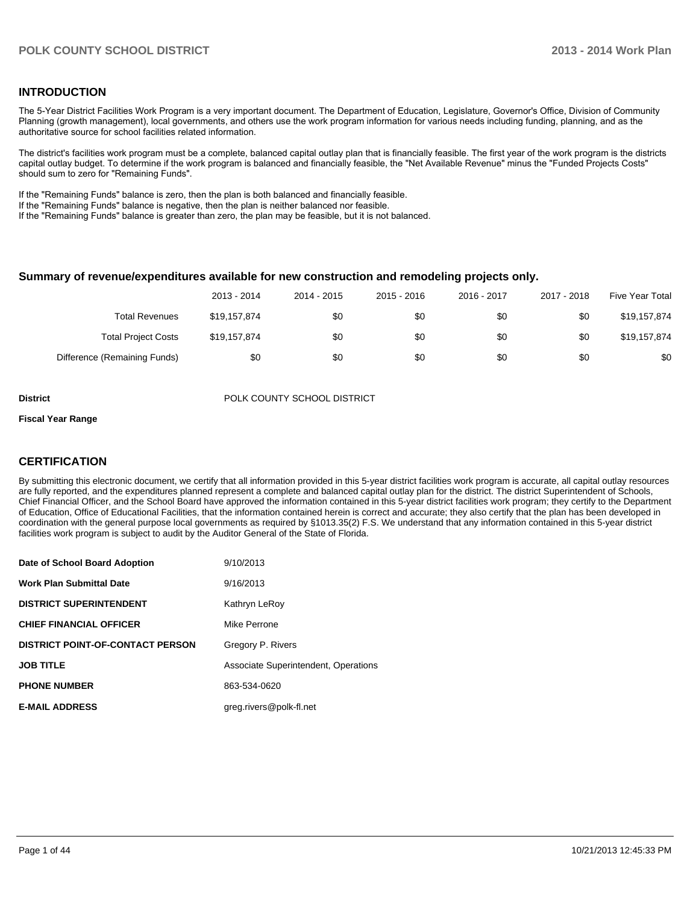## **INTRODUCTION**

The 5-Year District Facilities Work Program is a very important document. The Department of Education, Legislature, Governor's Office, Division of Community Planning (growth management), local governments, and others use the work program information for various needs including funding, planning, and as the authoritative source for school facilities related information.

The district's facilities work program must be a complete, balanced capital outlay plan that is financially feasible. The first year of the work program is the districts capital outlay budget. To determine if the work program is balanced and financially feasible, the "Net Available Revenue" minus the "Funded Projects Costs" should sum to zero for "Remaining Funds".

If the "Remaining Funds" balance is zero, then the plan is both balanced and financially feasible.

If the "Remaining Funds" balance is negative, then the plan is neither balanced nor feasible.

If the "Remaining Funds" balance is greater than zero, the plan may be feasible, but it is not balanced.

### **Summary of revenue/expenditures available for new construction and remodeling projects only.**

|                              | 2013 - 2014  | 2014 - 2015 | 2015 - 2016 | 2016 - 2017 | 2017 - 2018 | Five Year Total |
|------------------------------|--------------|-------------|-------------|-------------|-------------|-----------------|
| <b>Total Revenues</b>        | \$19.157.874 | \$0         | \$0         | \$0         | \$0         | \$19,157,874    |
| <b>Total Project Costs</b>   | \$19,157,874 | \$0         | \$0         | \$0         | \$0         | \$19,157,874    |
| Difference (Remaining Funds) | \$0          | \$0         | \$0         | \$0         | \$0         | \$0             |

**District District POLK COUNTY SCHOOL DISTRICT** 

#### **Fiscal Year Range**

# **CERTIFICATION**

By submitting this electronic document, we certify that all information provided in this 5-year district facilities work program is accurate, all capital outlay resources are fully reported, and the expenditures planned represent a complete and balanced capital outlay plan for the district. The district Superintendent of Schools, Chief Financial Officer, and the School Board have approved the information contained in this 5-year district facilities work program; they certify to the Department of Education, Office of Educational Facilities, that the information contained herein is correct and accurate; they also certify that the plan has been developed in coordination with the general purpose local governments as required by §1013.35(2) F.S. We understand that any information contained in this 5-year district facilities work program is subject to audit by the Auditor General of the State of Florida.

| Date of School Board Adoption           | 9/10/2013                            |
|-----------------------------------------|--------------------------------------|
| <b>Work Plan Submittal Date</b>         | 9/16/2013                            |
| <b>DISTRICT SUPERINTENDENT</b>          | Kathryn LeRoy                        |
| <b>CHIEF FINANCIAL OFFICER</b>          | Mike Perrone                         |
| <b>DISTRICT POINT-OF-CONTACT PERSON</b> | Gregory P. Rivers                    |
| <b>JOB TITLE</b>                        | Associate Superintendent, Operations |
| <b>PHONE NUMBER</b>                     | 863-534-0620                         |
| <b>E-MAIL ADDRESS</b>                   | greg.rivers@polk-fl.net              |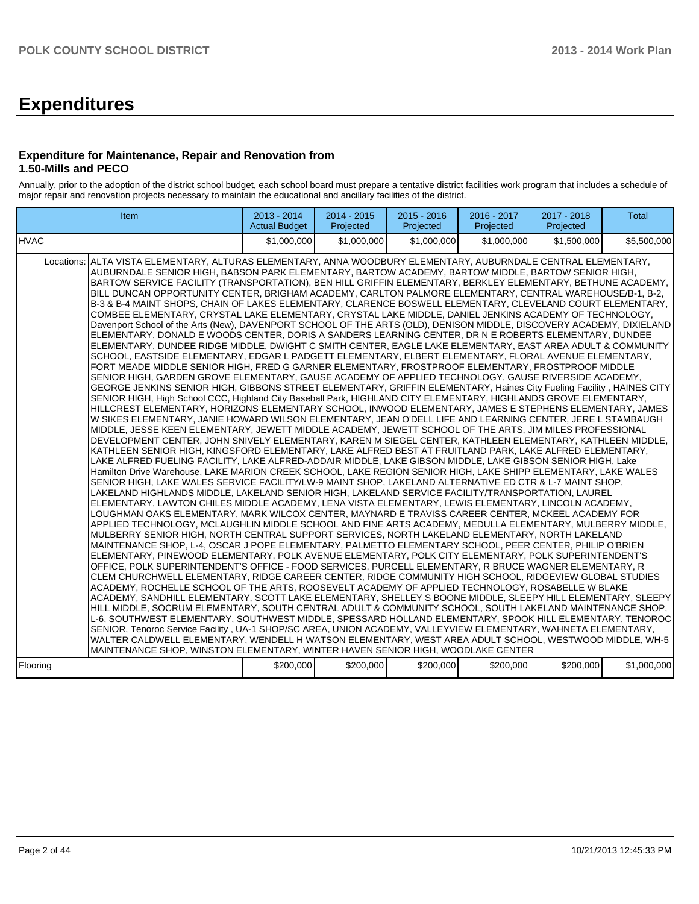# **Expenditures**

# **Expenditure for Maintenance, Repair and Renovation from 1.50-Mills and PECO**

Annually, prior to the adoption of the district school budget, each school board must prepare a tentative district facilities work program that includes a schedule of major repair and renovation projects necessary to maintain the educational and ancillary facilities of the district.

| Item                                                                                                                                                                                                                                                                                                                                                                                                                                                                                                                                                                                                                                                                                                                                                                                                                                                                                                                                                                                                                                                                                                                                                                                                                                                                                                                                                                                                                                                                                                                                                                                                                                                                                                                                                                                                                                                                                                                                                                                                                                                                                                                                                                                                                                                                                                                                                                                                                                                                                                                                                                                                                                                                                                                                                                                                                                                                                                                                                                                                                                                                                                                                                                                                                                                                                                                                                                                                                                                                                                                                                                                                                                                                                                                                                                                                                                                                                                                                                                                                                                                                                                                                                                                                                                        | 2013 - 2014<br><b>Actual Budget</b> | $2014 - 2015$<br>Projected | $2015 - 2016$<br>Projected | 2016 - 2017<br>Projected | 2017 - 2018<br>Projected | <b>Total</b> |
|---------------------------------------------------------------------------------------------------------------------------------------------------------------------------------------------------------------------------------------------------------------------------------------------------------------------------------------------------------------------------------------------------------------------------------------------------------------------------------------------------------------------------------------------------------------------------------------------------------------------------------------------------------------------------------------------------------------------------------------------------------------------------------------------------------------------------------------------------------------------------------------------------------------------------------------------------------------------------------------------------------------------------------------------------------------------------------------------------------------------------------------------------------------------------------------------------------------------------------------------------------------------------------------------------------------------------------------------------------------------------------------------------------------------------------------------------------------------------------------------------------------------------------------------------------------------------------------------------------------------------------------------------------------------------------------------------------------------------------------------------------------------------------------------------------------------------------------------------------------------------------------------------------------------------------------------------------------------------------------------------------------------------------------------------------------------------------------------------------------------------------------------------------------------------------------------------------------------------------------------------------------------------------------------------------------------------------------------------------------------------------------------------------------------------------------------------------------------------------------------------------------------------------------------------------------------------------------------------------------------------------------------------------------------------------------------------------------------------------------------------------------------------------------------------------------------------------------------------------------------------------------------------------------------------------------------------------------------------------------------------------------------------------------------------------------------------------------------------------------------------------------------------------------------------------------------------------------------------------------------------------------------------------------------------------------------------------------------------------------------------------------------------------------------------------------------------------------------------------------------------------------------------------------------------------------------------------------------------------------------------------------------------------------------------------------------------------------------------------------------------------------------------------------------------------------------------------------------------------------------------------------------------------------------------------------------------------------------------------------------------------------------------------------------------------------------------------------------------------------------------------------------------------------------------------------------------------------------------------------------|-------------------------------------|----------------------------|----------------------------|--------------------------|--------------------------|--------------|
| IHVAC                                                                                                                                                                                                                                                                                                                                                                                                                                                                                                                                                                                                                                                                                                                                                                                                                                                                                                                                                                                                                                                                                                                                                                                                                                                                                                                                                                                                                                                                                                                                                                                                                                                                                                                                                                                                                                                                                                                                                                                                                                                                                                                                                                                                                                                                                                                                                                                                                                                                                                                                                                                                                                                                                                                                                                                                                                                                                                                                                                                                                                                                                                                                                                                                                                                                                                                                                                                                                                                                                                                                                                                                                                                                                                                                                                                                                                                                                                                                                                                                                                                                                                                                                                                                                                       | \$1,000,000                         | \$1,000,000                | \$1,000,000                | \$1,000,000              | \$1,500,000              | \$5,500,000  |
| Locations: ALTA VISTA ELEMENTARY, ALTURAS ELEMENTARY, ANNA WOODBURY ELEMENTARY, AUBURNDALE CENTRAL ELEMENTARY,<br>AUBURNDALE SENIOR HIGH, BABSON PARK ELEMENTARY, BARTOW ACADEMY, BARTOW MIDDLE, BARTOW SENIOR HIGH,<br>BARTOW SERVICE FACILITY (TRANSPORTATION), BEN HILL GRIFFIN ELEMENTARY, BERKLEY ELEMENTARY, BETHUNE ACADEMY,<br>BILL DUNCAN OPPORTUNITY CENTER, BRIGHAM ACADEMY, CARLTON PALMORE ELEMENTARY, CENTRAL WAREHOUSE/B-1, B-2,<br>B-3 & B-4 MAINT SHOPS, CHAIN OF LAKES ELEMENTARY, CLARENCE BOSWELL ELEMENTARY, CLEVELAND COURT ELEMENTARY,<br>COMBEE ELEMENTARY, CRYSTAL LAKE ELEMENTARY, CRYSTAL LAKE MIDDLE, DANIEL JENKINS ACADEMY OF TECHNOLOGY,<br>Davenport School of the Arts (New), DAVENPORT SCHOOL OF THE ARTS (OLD), DENISON MIDDLE, DISCOVERY ACADEMY, DIXIELAND<br>ELEMENTARY, DONALD E WOODS CENTER, DORIS A SANDERS LEARNING CENTER, DR N E ROBERTS ELEMENTARY, DUNDEE<br>ELEMENTARY, DUNDEE RIDGE MIDDLE, DWIGHT C SMITH CENTER, EAGLE LAKE ELEMENTARY, EAST AREA ADULT & COMMUNITY<br>SCHOOL, EASTSIDE ELEMENTARY, EDGAR L PADGETT ELEMENTARY, ELBERT ELEMENTARY, FLORAL AVENUE ELEMENTARY,<br>FORT MEADE MIDDLE SENIOR HIGH, FRED G GARNER ELEMENTARY, FROSTPROOF ELEMENTARY, FROSTPROOF MIDDLE<br>SENIOR HIGH, GARDEN GROVE ELEMENTARY, GAUSE ACADEMY OF APPLIED TECHNOLOGY, GAUSE RIVERSIDE ACADEMY,<br>GEORGE JENKINS SENIOR HIGH, GIBBONS STREET ELEMENTARY, GRIFFIN ELEMENTARY, Haines City Fueling Facility, HAINES CITY<br>SENIOR HIGH, High School CCC, Highland City Baseball Park, HIGHLAND CITY ELEMENTARY, HIGHLANDS GROVE ELEMENTARY,<br>HILLCREST ELEMENTARY, HORIZONS ELEMENTARY SCHOOL, INWOOD ELEMENTARY, JAMES E STEPHENS ELEMENTARY, JAMES<br>W SIKES ELEMENTARY, JANIE HOWARD WILSON ELEMENTARY, JEAN O'DELL LIFE AND LEARNING CENTER, JERE L STAMBAUGH<br>MIDDLE, JESSE KEEN ELEMENTARY, JEWETT MIDDLE ACADEMY, JEWETT SCHOOL OF THE ARTS, JIM MILES PROFESSIONAL<br>DEVELOPMENT CENTER, JOHN SNIVELY ELEMENTARY, KAREN M SIEGEL CENTER, KATHLEEN ELEMENTARY, KATHLEEN MIDDLE,<br>KATHLEEN SENIOR HIGH, KINGSFORD ELEMENTARY, LAKE ALFRED BEST AT FRUITLAND PARK, LAKE ALFRED ELEMENTARY,<br>LAKE ALFRED FUELING FACILITY, LAKE ALFRED-ADDAIR MIDDLE, LAKE GIBSON MIDDLE, LAKE GIBSON SENIOR HIGH, Lake<br>Hamilton Drive Warehouse, LAKE MARION CREEK SCHOOL, LAKE REGION SENIOR HIGH, LAKE SHIPP ELEMENTARY, LAKE WALES<br>SENIOR HIGH, LAKE WALES SERVICE FACILITY/LW-9 MAINT SHOP, LAKELAND ALTERNATIVE ED CTR & L-7 MAINT SHOP,<br>LAKELAND HIGHLANDS MIDDLE, LAKELAND SENIOR HIGH, LAKELAND SERVICE FACILITY/TRANSPORTATION, LAUREL<br>ELEMENTARY, LAWTON CHILES MIDDLE ACADEMY, LENA VISTA ELEMENTARY, LEWIS ELEMENTARY, LINCOLN ACADEMY,<br>LOUGHMAN OAKS ELEMENTARY, MARK WILCOX CENTER, MAYNARD E TRAVISS CAREER CENTER, MCKEEL ACADEMY FOR<br>APPLIED TECHNOLOGY, MCLAUGHLIN MIDDLE SCHOOL AND FINE ARTS ACADEMY, MEDULLA ELEMENTARY, MULBERRY MIDDLE,<br>MULBERRY SENIOR HIGH, NORTH CENTRAL SUPPORT SERVICES, NORTH LAKELAND ELEMENTARY, NORTH LAKELAND<br>MAINTENANCE SHOP, L-4, OSCAR J POPE ELEMENTARY, PALMETTO ELEMENTARY SCHOOL, PEER CENTER, PHILIP O'BRIEN<br>ELEMENTARY, PINEWOOD ELEMENTARY, POLK AVENUE ELEMENTARY, POLK CITY ELEMENTARY, POLK SUPERINTENDENT'S<br>OFFICE, POLK SUPERINTENDENT'S OFFICE - FOOD SERVICES, PURCELL ELEMENTARY, R BRUCE WAGNER ELEMENTARY, R<br>CLEM CHURCHWELL ELEMENTARY, RIDGE CAREER CENTER, RIDGE COMMUNITY HIGH SCHOOL, RIDGEVIEW GLOBAL STUDIES<br>ACADEMY, ROCHELLE SCHOOL OF THE ARTS, ROOSEVELT ACADEMY OF APPLIED TECHNOLOGY, ROSABELLE W BLAKE<br>ACADEMY, SANDHILL ELEMENTARY, SCOTT LAKE ELEMENTARY, SHELLEY S BOONE MIDDLE, SLEEPY HILL ELEMENTARY, SLEEPY<br>HILL MIDDLE, SOCRUM ELEMENTARY, SOUTH CENTRAL ADULT & COMMUNITY SCHOOL, SOUTH LAKELAND MAINTENANCE SHOP,<br>L-6, SOUTHWEST ELEMENTARY, SOUTHWEST MIDDLE, SPESSARD HOLLAND ELEMENTARY, SPOOK HILL ELEMENTARY, TENOROC<br>SENIOR, Tenoroc Service Facility, UA-1 SHOP/SC AREA, UNION ACADEMY, VALLEYVIEW ELEMENTARY, WAHNETA ELEMENTARY,<br>WALTER CALDWELL ELEMENTARY, WENDELL H WATSON ELEMENTARY, WEST AREA ADULT SCHOOL, WESTWOOD MIDDLE, WH-5<br>MAINTENANCE SHOP, WINSTON ELEMENTARY, WINTER HAVEN SENIOR HIGH, WOODLAKE CENTER<br>Flooring | \$200,000                           | \$200,000                  | \$200,000                  | \$200,000                | \$200,000                | \$1,000,000  |
|                                                                                                                                                                                                                                                                                                                                                                                                                                                                                                                                                                                                                                                                                                                                                                                                                                                                                                                                                                                                                                                                                                                                                                                                                                                                                                                                                                                                                                                                                                                                                                                                                                                                                                                                                                                                                                                                                                                                                                                                                                                                                                                                                                                                                                                                                                                                                                                                                                                                                                                                                                                                                                                                                                                                                                                                                                                                                                                                                                                                                                                                                                                                                                                                                                                                                                                                                                                                                                                                                                                                                                                                                                                                                                                                                                                                                                                                                                                                                                                                                                                                                                                                                                                                                                             |                                     |                            |                            |                          |                          |              |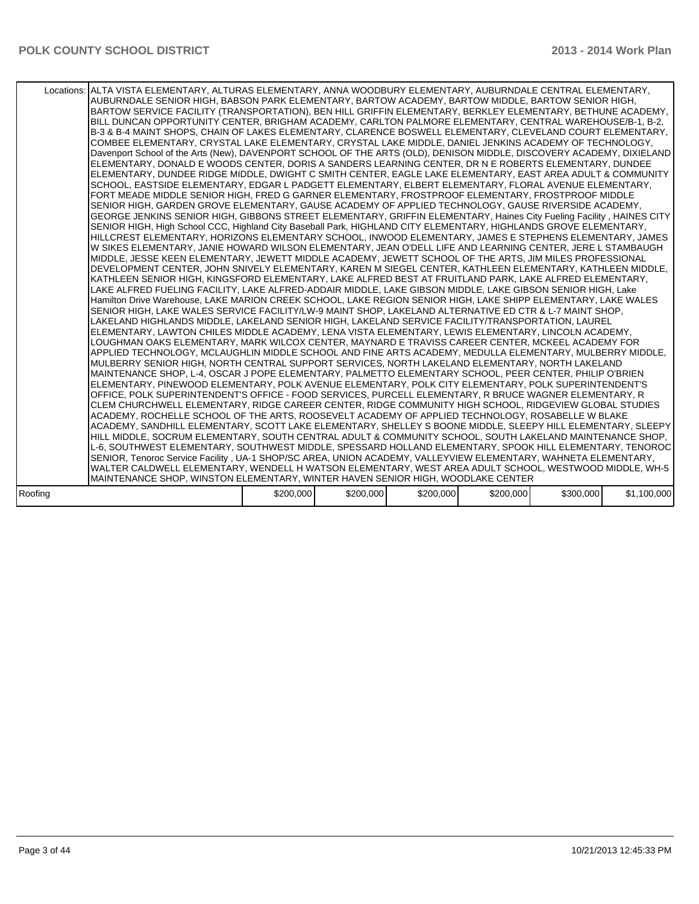|         | Locations: ALTA VISTA ELEMENTARY, ALTURAS ELEMENTARY, ANNA WOODBURY ELEMENTARY, AUBURNDALE CENTRAL ELEMENTARY,<br>AUBURNDALE SENIOR HIGH, BABSON PARK ELEMENTARY, BARTOW ACADEMY, BARTOW MIDDLE, BARTOW SENIOR HIGH,<br>BARTOW SERVICE FACILITY (TRANSPORTATION), BEN HILL GRIFFIN ELEMENTARY, BERKLEY ELEMENTARY, BETHUNE ACADEMY, I<br>BILL DUNCAN OPPORTUNITY CENTER, BRIGHAM ACADEMY, CARLTON PALMORE ELEMENTARY, CENTRAL WAREHOUSE/B-1, B-2,<br>B-3 & B-4 MAINT SHOPS, CHAIN OF LAKES ELEMENTARY, CLARENCE BOSWELL ELEMENTARY, CLEVELAND COURT ELEMENTARY,<br>COMBEE ELEMENTARY, CRYSTAL LAKE ELEMENTARY, CRYSTAL LAKE MIDDLE, DANIEL JENKINS ACADEMY OF TECHNOLOGY,<br>Davenport School of the Arts (New), DAVENPORT SCHOOL OF THE ARTS (OLD), DENISON MIDDLE, DISCOVERY ACADEMY, DIXIELAND<br>ELEMENTARY, DONALD E WOODS CENTER, DORIS A SANDERS LEARNING CENTER, DR N E ROBERTS ELEMENTARY, DUNDEE<br>ELEMENTARY, DUNDEE RIDGE MIDDLE, DWIGHT C SMITH CENTER, EAGLE LAKE ELEMENTARY, EAST AREA ADULT & COMMUNITY<br>SCHOOL, EASTSIDE ELEMENTARY, EDGAR L PADGETT ELEMENTARY, ELBERT ELEMENTARY, FLORAL AVENUE ELEMENTARY,<br>FORT MEADE MIDDLE SENIOR HIGH, FRED G GARNER ELEMENTARY, FROSTPROOF ELEMENTARY, FROSTPROOF MIDDLE<br>SENIOR HIGH, GARDEN GROVE ELEMENTARY, GAUSE ACADEMY OF APPLIED TECHNOLOGY, GAUSE RIVERSIDE ACADEMY,<br>GEORGE JENKINS SENIOR HIGH, GIBBONS STREET ELEMENTARY, GRIFFIN ELEMENTARY, Haines City Fueling Facility, HAINES CITY<br>SENIOR HIGH, High School CCC, Highland City Baseball Park, HIGHLAND CITY ELEMENTARY, HIGHLANDS GROVE ELEMENTARY,<br>HILLCREST ELEMENTARY, HORIZONS ELEMENTARY SCHOOL, INWOOD ELEMENTARY, JAMES E STEPHENS ELEMENTARY, JAMES<br>W SIKES ELEMENTARY, JANIE HOWARD WILSON ELEMENTARY, JEAN O'DELL LIFE AND LEARNING CENTER, JERE L STAMBAUGH<br>MIDDLE, JESSE KEEN ELEMENTARY, JEWETT MIDDLE ACADEMY, JEWETT SCHOOL OF THE ARTS, JIM MILES PROFESSIONAL<br>DEVELOPMENT CENTER, JOHN SNIVELY ELEMENTARY, KAREN M SIEGEL CENTER, KATHLEEN ELEMENTARY, KATHLEEN MIDDLE,<br>KATHLEEN SENIOR HIGH, KINGSFORD ELEMENTARY, LAKE ALFRED BEST AT FRUITLAND PARK, LAKE ALFRED ELEMENTARY,<br>LAKE ALFRED FUELING FACILITY, LAKE ALFRED-ADDAIR MIDDLE, LAKE GIBSON MIDDLE, LAKE GIBSON SENIOR HIGH, Lake<br>Hamilton Drive Warehouse, LAKE MARION CREEK SCHOOL, LAKE REGION SENIOR HIGH, LAKE SHIPP ELEMENTARY, LAKE WALES<br>SENIOR HIGH, LAKE WALES SERVICE FACILITY/LW-9 MAINT SHOP, LAKELAND ALTERNATIVE ED CTR & L-7 MAINT SHOP,<br>LAKELAND HIGHLANDS MIDDLE, LAKELAND SENIOR HIGH, LAKELAND SERVICE FACILITY/TRANSPORTATION, LAUREL<br>ELEMENTARY, LAWTON CHILES MIDDLE ACADEMY, LENA VISTA ELEMENTARY, LEWIS ELEMENTARY, LINCOLN ACADEMY,<br>LOUGHMAN OAKS ELEMENTARY, MARK WILCOX CENTER, MAYNARD E TRAVISS CAREER CENTER, MCKEEL ACADEMY FOR<br>APPLIED TECHNOLOGY, MCLAUGHLIN MIDDLE SCHOOL AND FINE ARTS ACADEMY, MEDULLA ELEMENTARY, MULBERRY MIDDLE,<br>MULBERRY SENIOR HIGH, NORTH CENTRAL SUPPORT SERVICES, NORTH LAKELAND ELEMENTARY, NORTH LAKELAND<br>MAINTENANCE SHOP, L-4, OSCAR J POPE ELEMENTARY, PALMETTO ELEMENTARY SCHOOL, PEER CENTER, PHILIP O'BRIEN<br>ELEMENTARY, PINEWOOD ELEMENTARY, POLK AVENUE ELEMENTARY, POLK CITY ELEMENTARY, POLK SUPERINTENDENT'S<br>OFFICE, POLK SUPERINTENDENT'S OFFICE - FOOD SERVICES, PURCELL ELEMENTARY, R BRUCE WAGNER ELEMENTARY, R<br>CLEM CHURCHWELL ELEMENTARY, RIDGE CAREER CENTER, RIDGE COMMUNITY HIGH SCHOOL, RIDGEVIEW GLOBAL STUDIES<br>ACADEMY, ROCHELLE SCHOOL OF THE ARTS, ROOSEVELT ACADEMY OF APPLIED TECHNOLOGY, ROSABELLE W BLAKE<br>ACADEMY, SANDHILL ELEMENTARY, SCOTT LAKE ELEMENTARY, SHELLEY S BOONE MIDDLE, SLEEPY HILL ELEMENTARY, SLEEPY  <br>HILL MIDDLE, SOCRUM ELEMENTARY, SOUTH CENTRAL ADULT & COMMUNITY SCHOOL, SOUTH LAKELAND MAINTENANCE SHOP,<br>L-6, SOUTHWEST ELEMENTARY, SOUTHWEST MIDDLE, SPESSARD HOLLAND ELEMENTARY, SPOOK HILL ELEMENTARY, TENOROC<br>SENIOR, Tenoroc Service Facility, UA-1 SHOP/SC AREA, UNION ACADEMY, VALLEYVIEW ELEMENTARY, WAHNETA ELEMENTARY,<br>WALTER CALDWELL ELEMENTARY, WENDELL H WATSON ELEMENTARY, WEST AREA ADULT SCHOOL, WESTWOOD MIDDLE, WH-5 |           |           |           |           |           |             |
|---------|--------------------------------------------------------------------------------------------------------------------------------------------------------------------------------------------------------------------------------------------------------------------------------------------------------------------------------------------------------------------------------------------------------------------------------------------------------------------------------------------------------------------------------------------------------------------------------------------------------------------------------------------------------------------------------------------------------------------------------------------------------------------------------------------------------------------------------------------------------------------------------------------------------------------------------------------------------------------------------------------------------------------------------------------------------------------------------------------------------------------------------------------------------------------------------------------------------------------------------------------------------------------------------------------------------------------------------------------------------------------------------------------------------------------------------------------------------------------------------------------------------------------------------------------------------------------------------------------------------------------------------------------------------------------------------------------------------------------------------------------------------------------------------------------------------------------------------------------------------------------------------------------------------------------------------------------------------------------------------------------------------------------------------------------------------------------------------------------------------------------------------------------------------------------------------------------------------------------------------------------------------------------------------------------------------------------------------------------------------------------------------------------------------------------------------------------------------------------------------------------------------------------------------------------------------------------------------------------------------------------------------------------------------------------------------------------------------------------------------------------------------------------------------------------------------------------------------------------------------------------------------------------------------------------------------------------------------------------------------------------------------------------------------------------------------------------------------------------------------------------------------------------------------------------------------------------------------------------------------------------------------------------------------------------------------------------------------------------------------------------------------------------------------------------------------------------------------------------------------------------------------------------------------------------------------------------------------------------------------------------------------------------------------------------------------------------------------------------------------------------------------------------------------------------------------------------------------------------------------------------------------------------------------------------------------------------------------------------------------------------------------------------------------------------------------------------------------------------------------------------------------------------------|-----------|-----------|-----------|-----------|-----------|-------------|
|         |                                                                                                                                                                                                                                                                                                                                                                                                                                                                                                                                                                                                                                                                                                                                                                                                                                                                                                                                                                                                                                                                                                                                                                                                                                                                                                                                                                                                                                                                                                                                                                                                                                                                                                                                                                                                                                                                                                                                                                                                                                                                                                                                                                                                                                                                                                                                                                                                                                                                                                                                                                                                                                                                                                                                                                                                                                                                                                                                                                                                                                                                                                                                                                                                                                                                                                                                                                                                                                                                                                                                                                                                                                                                                                                                                                                                                                                                                                                                                                                                                                                                                                                                                  |           |           |           |           |           |             |
|         | MAINTENANCE SHOP, WINSTON ELEMENTARY, WINTER HAVEN SENIOR HIGH, WOODLAKE CENTER                                                                                                                                                                                                                                                                                                                                                                                                                                                                                                                                                                                                                                                                                                                                                                                                                                                                                                                                                                                                                                                                                                                                                                                                                                                                                                                                                                                                                                                                                                                                                                                                                                                                                                                                                                                                                                                                                                                                                                                                                                                                                                                                                                                                                                                                                                                                                                                                                                                                                                                                                                                                                                                                                                                                                                                                                                                                                                                                                                                                                                                                                                                                                                                                                                                                                                                                                                                                                                                                                                                                                                                                                                                                                                                                                                                                                                                                                                                                                                                                                                                                  |           |           |           |           |           |             |
| Roofing |                                                                                                                                                                                                                                                                                                                                                                                                                                                                                                                                                                                                                                                                                                                                                                                                                                                                                                                                                                                                                                                                                                                                                                                                                                                                                                                                                                                                                                                                                                                                                                                                                                                                                                                                                                                                                                                                                                                                                                                                                                                                                                                                                                                                                                                                                                                                                                                                                                                                                                                                                                                                                                                                                                                                                                                                                                                                                                                                                                                                                                                                                                                                                                                                                                                                                                                                                                                                                                                                                                                                                                                                                                                                                                                                                                                                                                                                                                                                                                                                                                                                                                                                                  | \$200,000 | \$200,000 | \$200,000 | \$200,000 | \$300,000 | \$1,100,000 |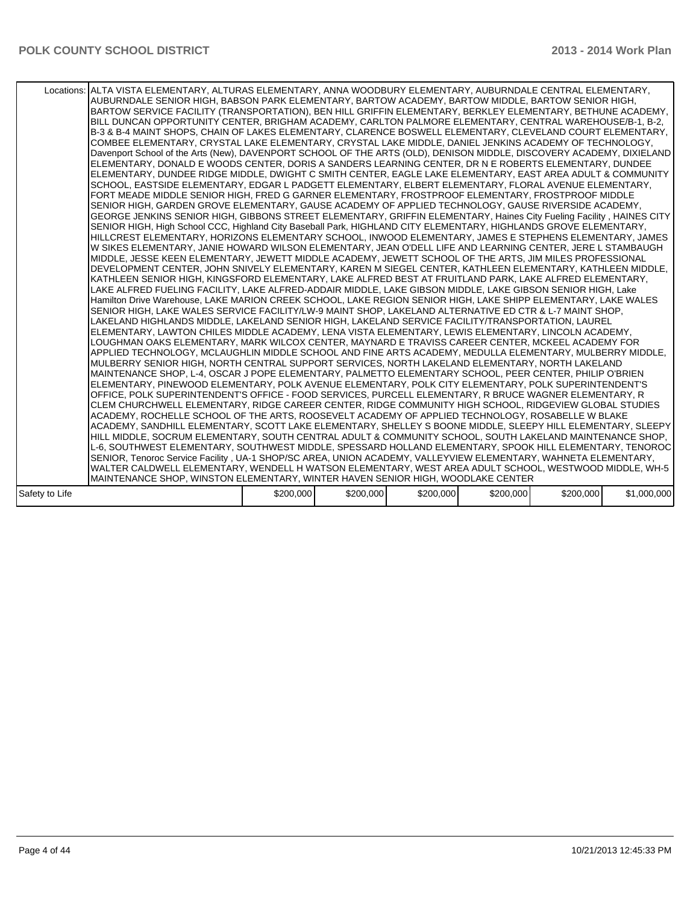|                | Locations: ALTA VISTA ELEMENTARY, ALTURAS ELEMENTARY, ANNA WOODBURY ELEMENTARY, AUBURNDALE CENTRAL ELEMENTARY,<br>AUBURNDALE SENIOR HIGH, BABSON PARK ELEMENTARY, BARTOW ACADEMY, BARTOW MIDDLE, BARTOW SENIOR HIGH,<br>BARTOW SERVICE FACILITY (TRANSPORTATION), BEN HILL GRIFFIN ELEMENTARY, BERKLEY ELEMENTARY, BETHUNE ACADEMY,<br>BILL DUNCAN OPPORTUNITY CENTER, BRIGHAM ACADEMY, CARLTON PALMORE ELEMENTARY, CENTRAL WAREHOUSE/B-1, B-2,<br>B-3 & B-4 MAINT SHOPS. CHAIN OF LAKES ELEMENTARY. CLARENCE BOSWELL ELEMENTARY. CLEVELAND COURT ELEMENTARY.<br>COMBEE ELEMENTARY, CRYSTAL LAKE ELEMENTARY, CRYSTAL LAKE MIDDLE, DANIEL JENKINS ACADEMY OF TECHNOLOGY,<br>Davenport School of the Arts (New), DAVENPORT SCHOOL OF THE ARTS (OLD), DENISON MIDDLE, DISCOVERY ACADEMY, DIXIELAND<br>ELEMENTARY, DONALD E WOODS CENTER, DORIS A SANDERS LEARNING CENTER, DR N E ROBERTS ELEMENTARY, DUNDEE<br>ELEMENTARY, DUNDEE RIDGE MIDDLE, DWIGHT C SMITH CENTER, EAGLE LAKE ELEMENTARY, EAST AREA ADULT & COMMUNITY<br>SCHOOL, EASTSIDE ELEMENTARY, EDGAR L PADGETT ELEMENTARY, ELBERT ELEMENTARY, FLORAL AVENUE ELEMENTARY,<br>FORT MEADE MIDDLE SENIOR HIGH, FRED G GARNER ELEMENTARY, FROSTPROOF ELEMENTARY, FROSTPROOF MIDDLE<br>SENIOR HIGH, GARDEN GROVE ELEMENTARY, GAUSE ACADEMY OF APPLIED TECHNOLOGY, GAUSE RIVERSIDE ACADEMY,<br>GEORGE JENKINS SENIOR HIGH, GIBBONS STREET ELEMENTARY, GRIFFIN ELEMENTARY, Haines City Fueling Facility, HAINES CITY<br>SENIOR HIGH, High School CCC, Highland City Baseball Park, HIGHLAND CITY ELEMENTARY, HIGHLANDS GROVE ELEMENTARY,<br>HILLCREST ELEMENTARY, HORIZONS ELEMENTARY SCHOOL, INWOOD ELEMENTARY, JAMES E STEPHENS ELEMENTARY, JAMES<br>W SIKES ELEMENTARY. JANIE HOWARD WILSON ELEMENTARY. JEAN O'DELL LIFE AND LEARNING CENTER. JERE L STAMBAUGH.<br>MIDDLE, JESSE KEEN ELEMENTARY, JEWETT MIDDLE ACADEMY, JEWETT SCHOOL OF THE ARTS, JIM MILES PROFESSIONAL<br>DEVELOPMENT CENTER, JOHN SNIVELY ELEMENTARY, KAREN M SIEGEL CENTER, KATHLEEN ELEMENTARY, KATHLEEN MIDDLE,<br>KATHLEEN SENIOR HIGH. KINGSFORD ELEMENTARY. LAKE ALFRED BEST AT FRUITLAND PARK. LAKE ALFRED ELEMENTARY.<br>LAKE ALFRED FUELING FACILITY, LAKE ALFRED-ADDAIR MIDDLE, LAKE GIBSON MIDDLE, LAKE GIBSON SENIOR HIGH, Lake<br>Hamilton Drive Warehouse, LAKE MARION CREEK SCHOOL, LAKE REGION SENIOR HIGH, LAKE SHIPP ELEMENTARY, LAKE WALES<br>SENIOR HIGH, LAKE WALES SERVICE FACILITY/LW-9 MAINT SHOP, LAKELAND ALTERNATIVE ED CTR & L-7 MAINT SHOP,<br>LAKELAND HIGHLANDS MIDDLE, LAKELAND SENIOR HIGH, LAKELAND SERVICE FACILITY/TRANSPORTATION, LAUREL<br>ELEMENTARY, LAWTON CHILES MIDDLE ACADEMY, LENA VISTA ELEMENTARY, LEWIS ELEMENTARY, LINCOLN ACADEMY,<br>LOUGHMAN OAKS ELEMENTARY, MARK WILCOX CENTER, MAYNARD E TRAVISS CAREER CENTER, MCKEEL ACADEMY FOR<br>APPLIED TECHNOLOGY, MCLAUGHLIN MIDDLE SCHOOL AND FINE ARTS ACADEMY, MEDULLA ELEMENTARY, MULBERRY MIDDLE,<br>MULBERRY SENIOR HIGH. NORTH CENTRAL SUPPORT SERVICES. NORTH LAKELAND ELEMENTARY. NORTH LAKELAND<br>MAINTENANCE SHOP, L-4, OSCAR J POPE ELEMENTARY, PALMETTO ELEMENTARY SCHOOL, PEER CENTER, PHILIP O'BRIEN<br>ELEMENTARY, PINEWOOD ELEMENTARY, POLK AVENUE ELEMENTARY, POLK CITY ELEMENTARY, POLK SUPERINTENDENT'S<br>OFFICE, POLK SUPERINTENDENT'S OFFICE - FOOD SERVICES, PURCELL ELEMENTARY, R BRUCE WAGNER ELEMENTARY, R<br>CLEM CHURCHWELL ELEMENTARY, RIDGE CAREER CENTER, RIDGE COMMUNITY HIGH SCHOOL, RIDGEVIEW GLOBAL STUDIES<br>ACADEMY. ROCHELLE SCHOOL OF THE ARTS. ROOSEVELT ACADEMY OF APPLIED TECHNOLOGY. ROSABELLE W BLAKE<br>ACADEMY, SANDHILL ELEMENTARY, SCOTT LAKE ELEMENTARY, SHELLEY S BOONE MIDDLE, SLEEPY HILL ELEMENTARY, SLEEPY  <br>HILL MIDDLE, SOCRUM ELEMENTARY, SOUTH CENTRAL ADULT & COMMUNITY SCHOOL, SOUTH LAKELAND MAINTENANCE SHOP,<br>L-6, SOUTHWEST ELEMENTARY, SOUTHWEST MIDDLE, SPESSARD HOLLAND ELEMENTARY, SPOOK HILL ELEMENTARY, TENOROC<br>SENIOR, Tenoroc Service Facility, UA-1 SHOP/SC AREA, UNION ACADEMY, VALLEYVIEW ELEMENTARY, WAHNETA ELEMENTARY, |           |           |           |           |           |             |
|----------------|---------------------------------------------------------------------------------------------------------------------------------------------------------------------------------------------------------------------------------------------------------------------------------------------------------------------------------------------------------------------------------------------------------------------------------------------------------------------------------------------------------------------------------------------------------------------------------------------------------------------------------------------------------------------------------------------------------------------------------------------------------------------------------------------------------------------------------------------------------------------------------------------------------------------------------------------------------------------------------------------------------------------------------------------------------------------------------------------------------------------------------------------------------------------------------------------------------------------------------------------------------------------------------------------------------------------------------------------------------------------------------------------------------------------------------------------------------------------------------------------------------------------------------------------------------------------------------------------------------------------------------------------------------------------------------------------------------------------------------------------------------------------------------------------------------------------------------------------------------------------------------------------------------------------------------------------------------------------------------------------------------------------------------------------------------------------------------------------------------------------------------------------------------------------------------------------------------------------------------------------------------------------------------------------------------------------------------------------------------------------------------------------------------------------------------------------------------------------------------------------------------------------------------------------------------------------------------------------------------------------------------------------------------------------------------------------------------------------------------------------------------------------------------------------------------------------------------------------------------------------------------------------------------------------------------------------------------------------------------------------------------------------------------------------------------------------------------------------------------------------------------------------------------------------------------------------------------------------------------------------------------------------------------------------------------------------------------------------------------------------------------------------------------------------------------------------------------------------------------------------------------------------------------------------------------------------------------------------------------------------------------------------------------------------------------------------------------------------------------------------------------------------------------------------------------------------------------------------------------------------------------------------------------------------------------------------------------------------------------------------------------------------------------------|-----------|-----------|-----------|-----------|-----------|-------------|
|                |                                                                                                                                                                                                                                                                                                                                                                                                                                                                                                                                                                                                                                                                                                                                                                                                                                                                                                                                                                                                                                                                                                                                                                                                                                                                                                                                                                                                                                                                                                                                                                                                                                                                                                                                                                                                                                                                                                                                                                                                                                                                                                                                                                                                                                                                                                                                                                                                                                                                                                                                                                                                                                                                                                                                                                                                                                                                                                                                                                                                                                                                                                                                                                                                                                                                                                                                                                                                                                                                                                                                                                                                                                                                                                                                                                                                                                                                                                                                                                                                                                       |           |           |           |           |           |             |
|                |                                                                                                                                                                                                                                                                                                                                                                                                                                                                                                                                                                                                                                                                                                                                                                                                                                                                                                                                                                                                                                                                                                                                                                                                                                                                                                                                                                                                                                                                                                                                                                                                                                                                                                                                                                                                                                                                                                                                                                                                                                                                                                                                                                                                                                                                                                                                                                                                                                                                                                                                                                                                                                                                                                                                                                                                                                                                                                                                                                                                                                                                                                                                                                                                                                                                                                                                                                                                                                                                                                                                                                                                                                                                                                                                                                                                                                                                                                                                                                                                                                       |           |           |           |           |           |             |
|                | WALTER CALDWELL ELEMENTARY, WENDELL H WATSON ELEMENTARY, WEST AREA ADULT SCHOOL, WESTWOOD MIDDLE, WH-5                                                                                                                                                                                                                                                                                                                                                                                                                                                                                                                                                                                                                                                                                                                                                                                                                                                                                                                                                                                                                                                                                                                                                                                                                                                                                                                                                                                                                                                                                                                                                                                                                                                                                                                                                                                                                                                                                                                                                                                                                                                                                                                                                                                                                                                                                                                                                                                                                                                                                                                                                                                                                                                                                                                                                                                                                                                                                                                                                                                                                                                                                                                                                                                                                                                                                                                                                                                                                                                                                                                                                                                                                                                                                                                                                                                                                                                                                                                                |           |           |           |           |           |             |
|                | MAINTENANCE SHOP, WINSTON ELEMENTARY, WINTER HAVEN SENIOR HIGH, WOODLAKE CENTER                                                                                                                                                                                                                                                                                                                                                                                                                                                                                                                                                                                                                                                                                                                                                                                                                                                                                                                                                                                                                                                                                                                                                                                                                                                                                                                                                                                                                                                                                                                                                                                                                                                                                                                                                                                                                                                                                                                                                                                                                                                                                                                                                                                                                                                                                                                                                                                                                                                                                                                                                                                                                                                                                                                                                                                                                                                                                                                                                                                                                                                                                                                                                                                                                                                                                                                                                                                                                                                                                                                                                                                                                                                                                                                                                                                                                                                                                                                                                       |           |           |           |           |           |             |
| Safety to Life |                                                                                                                                                                                                                                                                                                                                                                                                                                                                                                                                                                                                                                                                                                                                                                                                                                                                                                                                                                                                                                                                                                                                                                                                                                                                                                                                                                                                                                                                                                                                                                                                                                                                                                                                                                                                                                                                                                                                                                                                                                                                                                                                                                                                                                                                                                                                                                                                                                                                                                                                                                                                                                                                                                                                                                                                                                                                                                                                                                                                                                                                                                                                                                                                                                                                                                                                                                                                                                                                                                                                                                                                                                                                                                                                                                                                                                                                                                                                                                                                                                       | \$200,000 | \$200,000 | \$200,000 | \$200,000 | \$200,000 | \$1,000,000 |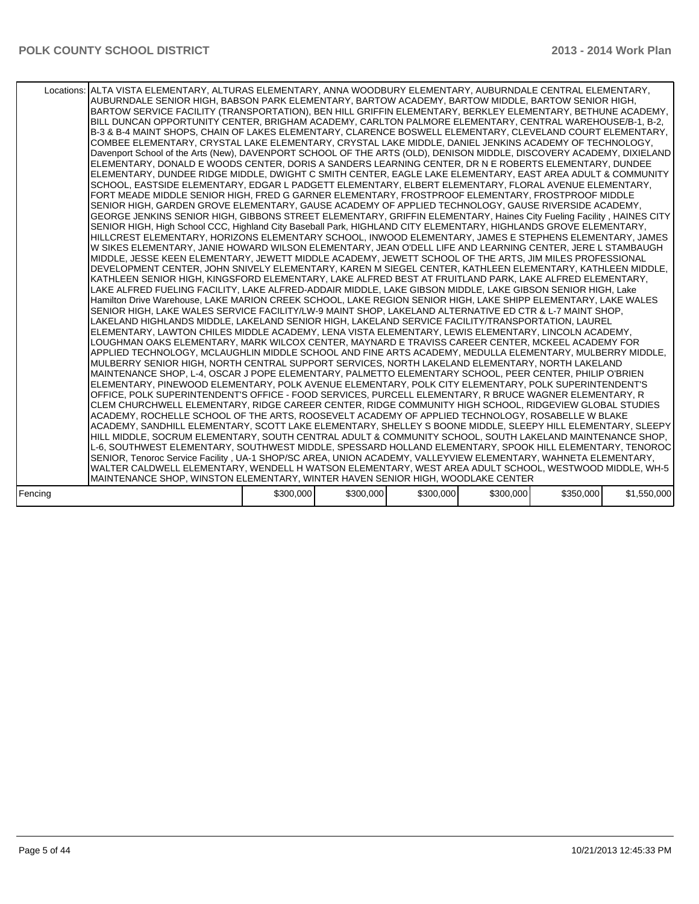|         | Locations: ALTA VISTA ELEMENTARY, ALTURAS ELEMENTARY, ANNA WOODBURY ELEMENTARY, AUBURNDALE CENTRAL ELEMENTARY,<br>AUBURNDALE SENIOR HIGH, BABSON PARK ELEMENTARY, BARTOW ACADEMY, BARTOW MIDDLE, BARTOW SENIOR HIGH,<br>BARTOW SERVICE FACILITY (TRANSPORTATION), BEN HILL GRIFFIN ELEMENTARY, BERKLEY ELEMENTARY, BETHUNE ACADEMY, I<br>BILL DUNCAN OPPORTUNITY CENTER, BRIGHAM ACADEMY, CARLTON PALMORE ELEMENTARY, CENTRAL WAREHOUSE/B-1, B-2,<br>B-3 & B-4 MAINT SHOPS, CHAIN OF LAKES ELEMENTARY, CLARENCE BOSWELL ELEMENTARY, CLEVELAND COURT ELEMENTARY,<br>COMBEE ELEMENTARY, CRYSTAL LAKE ELEMENTARY, CRYSTAL LAKE MIDDLE, DANIEL JENKINS ACADEMY OF TECHNOLOGY,<br>Davenport School of the Arts (New), DAVENPORT SCHOOL OF THE ARTS (OLD), DENISON MIDDLE, DISCOVERY ACADEMY, DIXIELAND<br>ELEMENTARY, DONALD E WOODS CENTER, DORIS A SANDERS LEARNING CENTER, DR N E ROBERTS ELEMENTARY, DUNDEE<br>ELEMENTARY, DUNDEE RIDGE MIDDLE, DWIGHT C SMITH CENTER, EAGLE LAKE ELEMENTARY, EAST AREA ADULT & COMMUNITY<br>SCHOOL, EASTSIDE ELEMENTARY, EDGAR L PADGETT ELEMENTARY, ELBERT ELEMENTARY, FLORAL AVENUE ELEMENTARY,<br>FORT MEADE MIDDLE SENIOR HIGH, FRED G GARNER ELEMENTARY, FROSTPROOF ELEMENTARY, FROSTPROOF MIDDLE<br>SENIOR HIGH, GARDEN GROVE ELEMENTARY, GAUSE ACADEMY OF APPLIED TECHNOLOGY, GAUSE RIVERSIDE ACADEMY,<br>GEORGE JENKINS SENIOR HIGH, GIBBONS STREET ELEMENTARY, GRIFFIN ELEMENTARY, Haines City Fueling Facility, HAINES CITY<br>SENIOR HIGH, High School CCC, Highland City Baseball Park, HIGHLAND CITY ELEMENTARY, HIGHLANDS GROVE ELEMENTARY,<br>HILLCREST ELEMENTARY, HORIZONS ELEMENTARY SCHOOL, INWOOD ELEMENTARY, JAMES E STEPHENS ELEMENTARY, JAMES<br>W SIKES ELEMENTARY, JANIE HOWARD WILSON ELEMENTARY, JEAN O'DELL LIFE AND LEARNING CENTER, JERE L STAMBAUGH<br>MIDDLE, JESSE KEEN ELEMENTARY, JEWETT MIDDLE ACADEMY, JEWETT SCHOOL OF THE ARTS, JIM MILES PROFESSIONAL<br>DEVELOPMENT CENTER, JOHN SNIVELY ELEMENTARY, KAREN M SIEGEL CENTER, KATHLEEN ELEMENTARY, KATHLEEN MIDDLE,<br>KATHLEEN SENIOR HIGH. KINGSFORD ELEMENTARY. LAKE ALFRED BEST AT FRUITLAND PARK. LAKE ALFRED ELEMENTARY.<br>LAKE ALFRED FUELING FACILITY, LAKE ALFRED-ADDAIR MIDDLE, LAKE GIBSON MIDDLE, LAKE GIBSON SENIOR HIGH, Lake<br>Hamilton Drive Warehouse, LAKE MARION CREEK SCHOOL, LAKE REGION SENIOR HIGH, LAKE SHIPP ELEMENTARY, LAKE WALES<br>SENIOR HIGH, LAKE WALES SERVICE FACILITY/LW-9 MAINT SHOP, LAKELAND ALTERNATIVE ED CTR & L-7 MAINT SHOP,<br>LAKELAND HIGHLANDS MIDDLE, LAKELAND SENIOR HIGH, LAKELAND SERVICE FACILITY/TRANSPORTATION, LAUREL<br>ELEMENTARY, LAWTON CHILES MIDDLE ACADEMY, LENA VISTA ELEMENTARY, LEWIS ELEMENTARY, LINCOLN ACADEMY,<br>LOUGHMAN OAKS ELEMENTARY, MARK WILCOX CENTER, MAYNARD E TRAVISS CAREER CENTER, MCKEEL ACADEMY FOR<br>APPLIED TECHNOLOGY, MCLAUGHLIN MIDDLE SCHOOL AND FINE ARTS ACADEMY, MEDULLA ELEMENTARY, MULBERRY MIDDLE,<br>MULBERRY SENIOR HIGH, NORTH CENTRAL SUPPORT SERVICES, NORTH LAKELAND ELEMENTARY, NORTH LAKELAND<br>MAINTENANCE SHOP, L-4, OSCAR J POPE ELEMENTARY, PALMETTO ELEMENTARY SCHOOL, PEER CENTER, PHILIP O'BRIEN<br>ELEMENTARY, PINEWOOD ELEMENTARY, POLK AVENUE ELEMENTARY, POLK CITY ELEMENTARY, POLK SUPERINTENDENT'S<br>OFFICE, POLK SUPERINTENDENT'S OFFICE - FOOD SERVICES, PURCELL ELEMENTARY, R BRUCE WAGNER ELEMENTARY, R<br>CLEM CHURCHWELL ELEMENTARY, RIDGE CAREER CENTER, RIDGE COMMUNITY HIGH SCHOOL, RIDGEVIEW GLOBAL STUDIES<br>ACADEMY, ROCHELLE SCHOOL OF THE ARTS, ROOSEVELT ACADEMY OF APPLIED TECHNOLOGY, ROSABELLE W BLAKE<br>ACADEMY, SANDHILL ELEMENTARY, SCOTT LAKE ELEMENTARY, SHELLEY S BOONE MIDDLE, SLEEPY HILL ELEMENTARY, SLEEPY  <br>HILL MIDDLE, SOCRUM ELEMENTARY, SOUTH CENTRAL ADULT & COMMUNITY SCHOOL, SOUTH LAKELAND MAINTENANCE SHOP,<br>L-6, SOUTHWEST ELEMENTARY, SOUTHWEST MIDDLE, SPESSARD HOLLAND ELEMENTARY, SPOOK HILL ELEMENTARY, TENOROC<br>SENIOR, Tenoroc Service Facility, UA-1 SHOP/SC AREA, UNION ACADEMY, VALLEYVIEW ELEMENTARY, WAHNETA ELEMENTARY,<br>WALTER CALDWELL ELEMENTARY, WENDELL H WATSON ELEMENTARY, WEST AREA ADULT SCHOOL, WESTWOOD MIDDLE, WH-5 |           |           |           |           |           |             |
|---------|--------------------------------------------------------------------------------------------------------------------------------------------------------------------------------------------------------------------------------------------------------------------------------------------------------------------------------------------------------------------------------------------------------------------------------------------------------------------------------------------------------------------------------------------------------------------------------------------------------------------------------------------------------------------------------------------------------------------------------------------------------------------------------------------------------------------------------------------------------------------------------------------------------------------------------------------------------------------------------------------------------------------------------------------------------------------------------------------------------------------------------------------------------------------------------------------------------------------------------------------------------------------------------------------------------------------------------------------------------------------------------------------------------------------------------------------------------------------------------------------------------------------------------------------------------------------------------------------------------------------------------------------------------------------------------------------------------------------------------------------------------------------------------------------------------------------------------------------------------------------------------------------------------------------------------------------------------------------------------------------------------------------------------------------------------------------------------------------------------------------------------------------------------------------------------------------------------------------------------------------------------------------------------------------------------------------------------------------------------------------------------------------------------------------------------------------------------------------------------------------------------------------------------------------------------------------------------------------------------------------------------------------------------------------------------------------------------------------------------------------------------------------------------------------------------------------------------------------------------------------------------------------------------------------------------------------------------------------------------------------------------------------------------------------------------------------------------------------------------------------------------------------------------------------------------------------------------------------------------------------------------------------------------------------------------------------------------------------------------------------------------------------------------------------------------------------------------------------------------------------------------------------------------------------------------------------------------------------------------------------------------------------------------------------------------------------------------------------------------------------------------------------------------------------------------------------------------------------------------------------------------------------------------------------------------------------------------------------------------------------------------------------------------------------------------------------------------------------------------------------------------------------------|-----------|-----------|-----------|-----------|-----------|-------------|
|         | MAINTENANCE SHOP, WINSTON ELEMENTARY, WINTER HAVEN SENIOR HIGH, WOODLAKE CENTER                                                                                                                                                                                                                                                                                                                                                                                                                                                                                                                                                                                                                                                                                                                                                                                                                                                                                                                                                                                                                                                                                                                                                                                                                                                                                                                                                                                                                                                                                                                                                                                                                                                                                                                                                                                                                                                                                                                                                                                                                                                                                                                                                                                                                                                                                                                                                                                                                                                                                                                                                                                                                                                                                                                                                                                                                                                                                                                                                                                                                                                                                                                                                                                                                                                                                                                                                                                                                                                                                                                                                                                                                                                                                                                                                                                                                                                                                                                                                                                                                                                                  |           |           |           |           |           |             |
| Fencing |                                                                                                                                                                                                                                                                                                                                                                                                                                                                                                                                                                                                                                                                                                                                                                                                                                                                                                                                                                                                                                                                                                                                                                                                                                                                                                                                                                                                                                                                                                                                                                                                                                                                                                                                                                                                                                                                                                                                                                                                                                                                                                                                                                                                                                                                                                                                                                                                                                                                                                                                                                                                                                                                                                                                                                                                                                                                                                                                                                                                                                                                                                                                                                                                                                                                                                                                                                                                                                                                                                                                                                                                                                                                                                                                                                                                                                                                                                                                                                                                                                                                                                                                                  | \$300,000 | \$300,000 | \$300,000 | \$300,000 | \$350,000 | \$1,550,000 |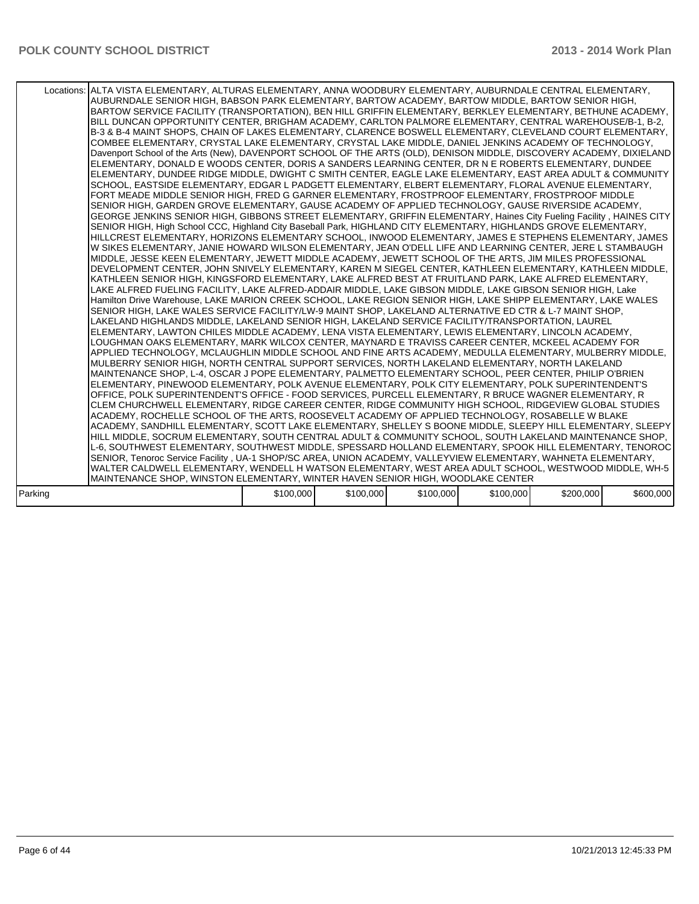|         | Locations: ALTA VISTA ELEMENTARY, ALTURAS ELEMENTARY, ANNA WOODBURY ELEMENTARY, AUBURNDALE CENTRAL ELEMENTARY,<br>AUBURNDALE SENIOR HIGH, BABSON PARK ELEMENTARY, BARTOW ACADEMY, BARTOW MIDDLE, BARTOW SENIOR HIGH,<br>BARTOW SERVICE FACILITY (TRANSPORTATION), BEN HILL GRIFFIN ELEMENTARY, BERKLEY ELEMENTARY, BETHUNE ACADEMY,<br>BILL DUNCAN OPPORTUNITY CENTER, BRIGHAM ACADEMY, CARLTON PALMORE ELEMENTARY, CENTRAL WAREHOUSE/B-1, B-2,<br>B-3 & B-4 MAINT SHOPS, CHAIN OF LAKES ELEMENTARY, CLARENCE BOSWELL ELEMENTARY, CLEVELAND COURT ELEMENTARY,<br>COMBEE ELEMENTARY, CRYSTAL LAKE ELEMENTARY, CRYSTAL LAKE MIDDLE, DANIEL JENKINS ACADEMY OF TECHNOLOGY,<br>Davenport School of the Arts (New), DAVENPORT SCHOOL OF THE ARTS (OLD), DENISON MIDDLE, DISCOVERY ACADEMY, DIXIELAND<br>ELEMENTARY, DONALD E WOODS CENTER, DORIS A SANDERS LEARNING CENTER, DR N E ROBERTS ELEMENTARY, DUNDEE<br>ELEMENTARY, DUNDEE RIDGE MIDDLE, DWIGHT C SMITH CENTER, EAGLE LAKE ELEMENTARY, EAST AREA ADULT & COMMUNITY<br>SCHOOL, EASTSIDE ELEMENTARY, EDGAR L PADGETT ELEMENTARY, ELBERT ELEMENTARY, FLORAL AVENUE ELEMENTARY,<br>FORT MEADE MIDDLE SENIOR HIGH, FRED G GARNER ELEMENTARY, FROSTPROOF ELEMENTARY, FROSTPROOF MIDDLE<br>SENIOR HIGH, GARDEN GROVE ELEMENTARY, GAUSE ACADEMY OF APPLIED TECHNOLOGY, GAUSE RIVERSIDE ACADEMY,<br>GEORGE JENKINS SENIOR HIGH, GIBBONS STREET ELEMENTARY, GRIFFIN ELEMENTARY, Haines City Fueling Facility, HAINES CITY<br>SENIOR HIGH, High School CCC, Highland City Baseball Park, HIGHLAND CITY ELEMENTARY, HIGHLANDS GROVE ELEMENTARY,<br>HILLCREST ELEMENTARY, HORIZONS ELEMENTARY SCHOOL, INWOOD ELEMENTARY, JAMES E STEPHENS ELEMENTARY, JAMES<br>W SIKES ELEMENTARY, JANIE HOWARD WILSON ELEMENTARY, JEAN O'DELL LIFE AND LEARNING CENTER, JERE L STAMBAUGH<br>MIDDLE, JESSE KEEN ELEMENTARY, JEWETT MIDDLE ACADEMY, JEWETT SCHOOL OF THE ARTS, JIM MILES PROFESSIONAL<br>DEVELOPMENT CENTER, JOHN SNIVELY ELEMENTARY, KAREN M SIEGEL CENTER, KATHLEEN ELEMENTARY, KATHLEEN MIDDLE,<br>KATHLEEN SENIOR HIGH, KINGSFORD ELEMENTARY, LAKE ALFRED BEST AT FRUITLAND PARK, LAKE ALFRED ELEMENTARY,<br>LAKE ALFRED FUELING FACILITY, LAKE ALFRED-ADDAIR MIDDLE, LAKE GIBSON MIDDLE, LAKE GIBSON SENIOR HIGH, Lake<br>Hamilton Drive Warehouse, LAKE MARION CREEK SCHOOL, LAKE REGION SENIOR HIGH, LAKE SHIPP ELEMENTARY, LAKE WALES<br>SENIOR HIGH, LAKE WALES SERVICE FACILITY/LW-9 MAINT SHOP, LAKELAND ALTERNATIVE ED CTR & L-7 MAINT SHOP,<br>LAKELAND HIGHLANDS MIDDLE. LAKELAND SENIOR HIGH. LAKELAND SERVICE FACILITY/TRANSPORTATION. LAUREL<br>ELEMENTARY, LAWTON CHILES MIDDLE ACADEMY, LENA VISTA ELEMENTARY, LEWIS ELEMENTARY, LINCOLN ACADEMY,<br>LOUGHMAN OAKS ELEMENTARY, MARK WILCOX CENTER, MAYNARD E TRAVISS CAREER CENTER, MCKEEL ACADEMY FOR<br>APPLIED TECHNOLOGY, MCLAUGHLIN MIDDLE SCHOOL AND FINE ARTS ACADEMY, MEDULLA ELEMENTARY, MULBERRY MIDDLE,<br>MULBERRY SENIOR HIGH, NORTH CENTRAL SUPPORT SERVICES, NORTH LAKELAND ELEMENTARY, NORTH LAKELAND<br>MAINTENANCE SHOP, L-4, OSCAR J POPE ELEMENTARY, PALMETTO ELEMENTARY SCHOOL, PEER CENTER, PHILIP O'BRIEN<br>ELEMENTARY, PINEWOOD ELEMENTARY, POLK AVENUE ELEMENTARY, POLK CITY ELEMENTARY, POLK SUPERINTENDENT'S<br>OFFICE, POLK SUPERINTENDENT'S OFFICE - FOOD SERVICES, PURCELL ELEMENTARY, R BRUCE WAGNER ELEMENTARY, R<br>CLEM CHURCHWELL ELEMENTARY, RIDGE CAREER CENTER, RIDGE COMMUNITY HIGH SCHOOL, RIDGEVIEW GLOBAL STUDIES<br>ACADEMY, ROCHELLE SCHOOL OF THE ARTS, ROOSEVELT ACADEMY OF APPLIED TECHNOLOGY, ROSABELLE W BLAKE<br>ACADEMY, SANDHILL ELEMENTARY, SCOTT LAKE ELEMENTARY, SHELLEY S BOONE MIDDLE, SLEEPY HILL ELEMENTARY, SLEEPY  <br>HILL MIDDLE, SOCRUM ELEMENTARY, SOUTH CENTRAL ADULT & COMMUNITY SCHOOL, SOUTH LAKELAND MAINTENANCE SHOP,<br>L-6, SOUTHWEST ELEMENTARY, SOUTHWEST MIDDLE, SPESSARD HOLLAND ELEMENTARY, SPOOK HILL ELEMENTARY, TENOROC<br>SENIOR, Tenoroc Service Facility, UA-1 SHOP/SC AREA, UNION ACADEMY, VALLEYVIEW ELEMENTARY, WAHNETA ELEMENTARY,<br>WALTER CALDWELL ELEMENTARY, WENDELL H WATSON ELEMENTARY, WEST AREA ADULT SCHOOL, WESTWOOD MIDDLE, WH-5 |           |           |           |           |           |           |
|---------|------------------------------------------------------------------------------------------------------------------------------------------------------------------------------------------------------------------------------------------------------------------------------------------------------------------------------------------------------------------------------------------------------------------------------------------------------------------------------------------------------------------------------------------------------------------------------------------------------------------------------------------------------------------------------------------------------------------------------------------------------------------------------------------------------------------------------------------------------------------------------------------------------------------------------------------------------------------------------------------------------------------------------------------------------------------------------------------------------------------------------------------------------------------------------------------------------------------------------------------------------------------------------------------------------------------------------------------------------------------------------------------------------------------------------------------------------------------------------------------------------------------------------------------------------------------------------------------------------------------------------------------------------------------------------------------------------------------------------------------------------------------------------------------------------------------------------------------------------------------------------------------------------------------------------------------------------------------------------------------------------------------------------------------------------------------------------------------------------------------------------------------------------------------------------------------------------------------------------------------------------------------------------------------------------------------------------------------------------------------------------------------------------------------------------------------------------------------------------------------------------------------------------------------------------------------------------------------------------------------------------------------------------------------------------------------------------------------------------------------------------------------------------------------------------------------------------------------------------------------------------------------------------------------------------------------------------------------------------------------------------------------------------------------------------------------------------------------------------------------------------------------------------------------------------------------------------------------------------------------------------------------------------------------------------------------------------------------------------------------------------------------------------------------------------------------------------------------------------------------------------------------------------------------------------------------------------------------------------------------------------------------------------------------------------------------------------------------------------------------------------------------------------------------------------------------------------------------------------------------------------------------------------------------------------------------------------------------------------------------------------------------------------------------------------------------------------------------------------------------------------------------------|-----------|-----------|-----------|-----------|-----------|-----------|
|         | MAINTENANCE SHOP, WINSTON ELEMENTARY, WINTER HAVEN SENIOR HIGH, WOODLAKE CENTER                                                                                                                                                                                                                                                                                                                                                                                                                                                                                                                                                                                                                                                                                                                                                                                                                                                                                                                                                                                                                                                                                                                                                                                                                                                                                                                                                                                                                                                                                                                                                                                                                                                                                                                                                                                                                                                                                                                                                                                                                                                                                                                                                                                                                                                                                                                                                                                                                                                                                                                                                                                                                                                                                                                                                                                                                                                                                                                                                                                                                                                                                                                                                                                                                                                                                                                                                                                                                                                                                                                                                                                                                                                                                                                                                                                                                                                                                                                                                                                                                                                                |           |           |           |           |           |           |
|         |                                                                                                                                                                                                                                                                                                                                                                                                                                                                                                                                                                                                                                                                                                                                                                                                                                                                                                                                                                                                                                                                                                                                                                                                                                                                                                                                                                                                                                                                                                                                                                                                                                                                                                                                                                                                                                                                                                                                                                                                                                                                                                                                                                                                                                                                                                                                                                                                                                                                                                                                                                                                                                                                                                                                                                                                                                                                                                                                                                                                                                                                                                                                                                                                                                                                                                                                                                                                                                                                                                                                                                                                                                                                                                                                                                                                                                                                                                                                                                                                                                                                                                                                                |           |           |           |           |           |           |
| Parking |                                                                                                                                                                                                                                                                                                                                                                                                                                                                                                                                                                                                                                                                                                                                                                                                                                                                                                                                                                                                                                                                                                                                                                                                                                                                                                                                                                                                                                                                                                                                                                                                                                                                                                                                                                                                                                                                                                                                                                                                                                                                                                                                                                                                                                                                                                                                                                                                                                                                                                                                                                                                                                                                                                                                                                                                                                                                                                                                                                                                                                                                                                                                                                                                                                                                                                                                                                                                                                                                                                                                                                                                                                                                                                                                                                                                                                                                                                                                                                                                                                                                                                                                                | \$100,000 | \$100,000 | \$100,000 | \$100,000 | \$200,000 | \$600,000 |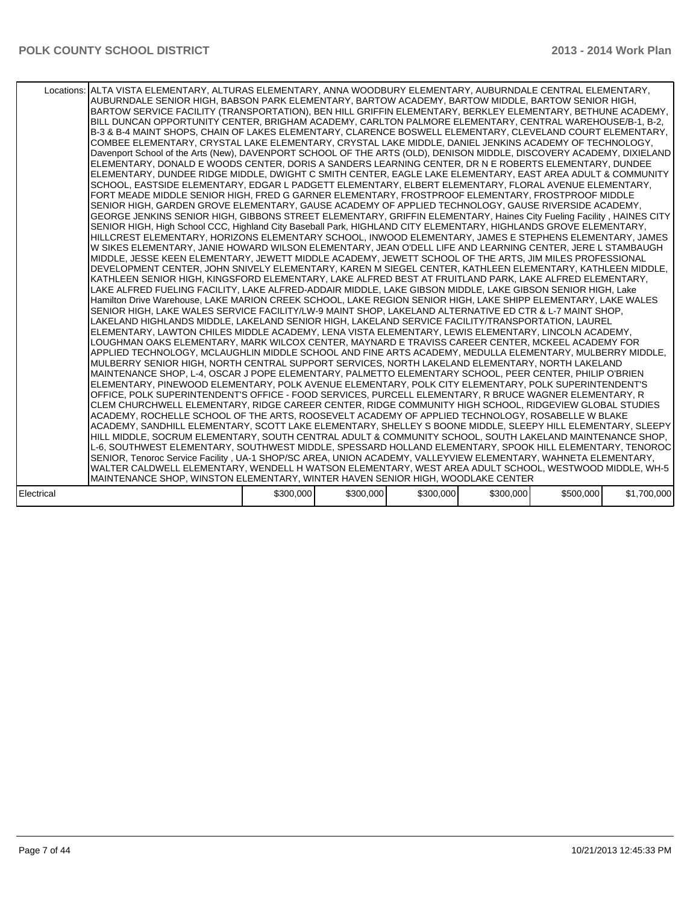|            | Locations: ALTA VISTA ELEMENTARY, ALTURAS ELEMENTARY, ANNA WOODBURY ELEMENTARY, AUBURNDALE CENTRAL ELEMENTARY,<br>AUBURNDALE SENIOR HIGH, BABSON PARK ELEMENTARY, BARTOW ACADEMY, BARTOW MIDDLE, BARTOW SENIOR HIGH,<br>BARTOW SERVICE FACILITY (TRANSPORTATION), BEN HILL GRIFFIN ELEMENTARY, BERKLEY ELEMENTARY, BETHUNE ACADEMY, I<br>BILL DUNCAN OPPORTUNITY CENTER, BRIGHAM ACADEMY, CARLTON PALMORE ELEMENTARY, CENTRAL WAREHOUSE/B-1, B-2,<br>B-3 & B-4 MAINT SHOPS, CHAIN OF LAKES ELEMENTARY, CLARENCE BOSWELL ELEMENTARY, CLEVELAND COURT ELEMENTARY,<br>COMBEE ELEMENTARY, CRYSTAL LAKE ELEMENTARY, CRYSTAL LAKE MIDDLE, DANIEL JENKINS ACADEMY OF TECHNOLOGY,<br>Davenport School of the Arts (New), DAVENPORT SCHOOL OF THE ARTS (OLD), DENISON MIDDLE, DISCOVERY ACADEMY, DIXIELAND<br>ELEMENTARY, DONALD E WOODS CENTER, DORIS A SANDERS LEARNING CENTER, DR N E ROBERTS ELEMENTARY, DUNDEE<br>ELEMENTARY, DUNDEE RIDGE MIDDLE, DWIGHT C SMITH CENTER, EAGLE LAKE ELEMENTARY, EAST AREA ADULT & COMMUNITY<br>SCHOOL, EASTSIDE ELEMENTARY, EDGAR L PADGETT ELEMENTARY, ELBERT ELEMENTARY, FLORAL AVENUE ELEMENTARY,<br>FORT MEADE MIDDLE SENIOR HIGH, FRED G GARNER ELEMENTARY, FROSTPROOF ELEMENTARY, FROSTPROOF MIDDLE<br>SENIOR HIGH, GARDEN GROVE ELEMENTARY, GAUSE ACADEMY OF APPLIED TECHNOLOGY, GAUSE RIVERSIDE ACADEMY,<br>GEORGE JENKINS SENIOR HIGH, GIBBONS STREET ELEMENTARY, GRIFFIN ELEMENTARY, Haines City Fueling Facility, HAINES CITY<br>SENIOR HIGH, High School CCC, Highland City Baseball Park, HIGHLAND CITY ELEMENTARY, HIGHLANDS GROVE ELEMENTARY,<br>HILLCREST ELEMENTARY, HORIZONS ELEMENTARY SCHOOL, INWOOD ELEMENTARY, JAMES E STEPHENS ELEMENTARY, JAMES<br>W SIKES ELEMENTARY, JANIE HOWARD WILSON ELEMENTARY, JEAN O'DELL LIFE AND LEARNING CENTER, JERE L STAMBAUGH<br>MIDDLE, JESSE KEEN ELEMENTARY, JEWETT MIDDLE ACADEMY, JEWETT SCHOOL OF THE ARTS, JIM MILES PROFESSIONAL<br>DEVELOPMENT CENTER, JOHN SNIVELY ELEMENTARY, KAREN M SIEGEL CENTER, KATHLEEN ELEMENTARY, KATHLEEN MIDDLE,<br>KATHLEEN SENIOR HIGH. KINGSFORD ELEMENTARY. LAKE ALFRED BEST AT FRUITLAND PARK. LAKE ALFRED ELEMENTARY.<br>LAKE ALFRED FUELING FACILITY, LAKE ALFRED-ADDAIR MIDDLE, LAKE GIBSON MIDDLE, LAKE GIBSON SENIOR HIGH, Lake<br>Hamilton Drive Warehouse, LAKE MARION CREEK SCHOOL, LAKE REGION SENIOR HIGH, LAKE SHIPP ELEMENTARY, LAKE WALES<br>SENIOR HIGH, LAKE WALES SERVICE FACILITY/LW-9 MAINT SHOP, LAKELAND ALTERNATIVE ED CTR & L-7 MAINT SHOP,<br>LAKELAND HIGHLANDS MIDDLE, LAKELAND SENIOR HIGH, LAKELAND SERVICE FACILITY/TRANSPORTATION, LAUREL<br>ELEMENTARY, LAWTON CHILES MIDDLE ACADEMY, LENA VISTA ELEMENTARY, LEWIS ELEMENTARY, LINCOLN ACADEMY,<br>LOUGHMAN OAKS ELEMENTARY, MARK WILCOX CENTER, MAYNARD E TRAVISS CAREER CENTER, MCKEEL ACADEMY FOR<br>APPLIED TECHNOLOGY, MCLAUGHLIN MIDDLE SCHOOL AND FINE ARTS ACADEMY, MEDULLA ELEMENTARY, MULBERRY MIDDLE,<br>MULBERRY SENIOR HIGH, NORTH CENTRAL SUPPORT SERVICES, NORTH LAKELAND ELEMENTARY, NORTH LAKELAND<br>MAINTENANCE SHOP, L-4, OSCAR J POPE ELEMENTARY, PALMETTO ELEMENTARY SCHOOL, PEER CENTER, PHILIP O'BRIEN<br>ELEMENTARY, PINEWOOD ELEMENTARY, POLK AVENUE ELEMENTARY, POLK CITY ELEMENTARY, POLK SUPERINTENDENT'S<br>OFFICE, POLK SUPERINTENDENT'S OFFICE - FOOD SERVICES, PURCELL ELEMENTARY, R BRUCE WAGNER ELEMENTARY, R<br>CLEM CHURCHWELL ELEMENTARY, RIDGE CAREER CENTER, RIDGE COMMUNITY HIGH SCHOOL, RIDGEVIEW GLOBAL STUDIES<br>ACADEMY, ROCHELLE SCHOOL OF THE ARTS, ROOSEVELT ACADEMY OF APPLIED TECHNOLOGY, ROSABELLE W BLAKE<br>ACADEMY, SANDHILL ELEMENTARY, SCOTT LAKE ELEMENTARY, SHELLEY S BOONE MIDDLE, SLEEPY HILL ELEMENTARY, SLEEPY  <br>HILL MIDDLE, SOCRUM ELEMENTARY, SOUTH CENTRAL ADULT & COMMUNITY SCHOOL, SOUTH LAKELAND MAINTENANCE SHOP,<br>L-6, SOUTHWEST ELEMENTARY, SOUTHWEST MIDDLE, SPESSARD HOLLAND ELEMENTARY, SPOOK HILL ELEMENTARY, TENOROC<br>SENIOR, Tenoroc Service Facility, UA-1 SHOP/SC AREA, UNION ACADEMY, VALLEYVIEW ELEMENTARY, WAHNETA ELEMENTARY,<br>WALTER CALDWELL ELEMENTARY, WENDELL H WATSON ELEMENTARY, WEST AREA ADULT SCHOOL, WESTWOOD MIDDLE, WH-5 |           |           |           |           |           |             |
|------------|--------------------------------------------------------------------------------------------------------------------------------------------------------------------------------------------------------------------------------------------------------------------------------------------------------------------------------------------------------------------------------------------------------------------------------------------------------------------------------------------------------------------------------------------------------------------------------------------------------------------------------------------------------------------------------------------------------------------------------------------------------------------------------------------------------------------------------------------------------------------------------------------------------------------------------------------------------------------------------------------------------------------------------------------------------------------------------------------------------------------------------------------------------------------------------------------------------------------------------------------------------------------------------------------------------------------------------------------------------------------------------------------------------------------------------------------------------------------------------------------------------------------------------------------------------------------------------------------------------------------------------------------------------------------------------------------------------------------------------------------------------------------------------------------------------------------------------------------------------------------------------------------------------------------------------------------------------------------------------------------------------------------------------------------------------------------------------------------------------------------------------------------------------------------------------------------------------------------------------------------------------------------------------------------------------------------------------------------------------------------------------------------------------------------------------------------------------------------------------------------------------------------------------------------------------------------------------------------------------------------------------------------------------------------------------------------------------------------------------------------------------------------------------------------------------------------------------------------------------------------------------------------------------------------------------------------------------------------------------------------------------------------------------------------------------------------------------------------------------------------------------------------------------------------------------------------------------------------------------------------------------------------------------------------------------------------------------------------------------------------------------------------------------------------------------------------------------------------------------------------------------------------------------------------------------------------------------------------------------------------------------------------------------------------------------------------------------------------------------------------------------------------------------------------------------------------------------------------------------------------------------------------------------------------------------------------------------------------------------------------------------------------------------------------------------------------------------------------------------------------------------------------------|-----------|-----------|-----------|-----------|-----------|-------------|
|            | MAINTENANCE SHOP, WINSTON ELEMENTARY, WINTER HAVEN SENIOR HIGH, WOODLAKE CENTER                                                                                                                                                                                                                                                                                                                                                                                                                                                                                                                                                                                                                                                                                                                                                                                                                                                                                                                                                                                                                                                                                                                                                                                                                                                                                                                                                                                                                                                                                                                                                                                                                                                                                                                                                                                                                                                                                                                                                                                                                                                                                                                                                                                                                                                                                                                                                                                                                                                                                                                                                                                                                                                                                                                                                                                                                                                                                                                                                                                                                                                                                                                                                                                                                                                                                                                                                                                                                                                                                                                                                                                                                                                                                                                                                                                                                                                                                                                                                                                                                                                                  |           |           |           |           |           |             |
|            |                                                                                                                                                                                                                                                                                                                                                                                                                                                                                                                                                                                                                                                                                                                                                                                                                                                                                                                                                                                                                                                                                                                                                                                                                                                                                                                                                                                                                                                                                                                                                                                                                                                                                                                                                                                                                                                                                                                                                                                                                                                                                                                                                                                                                                                                                                                                                                                                                                                                                                                                                                                                                                                                                                                                                                                                                                                                                                                                                                                                                                                                                                                                                                                                                                                                                                                                                                                                                                                                                                                                                                                                                                                                                                                                                                                                                                                                                                                                                                                                                                                                                                                                                  |           |           |           |           |           |             |
| Electrical |                                                                                                                                                                                                                                                                                                                                                                                                                                                                                                                                                                                                                                                                                                                                                                                                                                                                                                                                                                                                                                                                                                                                                                                                                                                                                                                                                                                                                                                                                                                                                                                                                                                                                                                                                                                                                                                                                                                                                                                                                                                                                                                                                                                                                                                                                                                                                                                                                                                                                                                                                                                                                                                                                                                                                                                                                                                                                                                                                                                                                                                                                                                                                                                                                                                                                                                                                                                                                                                                                                                                                                                                                                                                                                                                                                                                                                                                                                                                                                                                                                                                                                                                                  | \$300,000 | \$300,000 | \$300,000 | \$300,000 | \$500,000 | \$1,700,000 |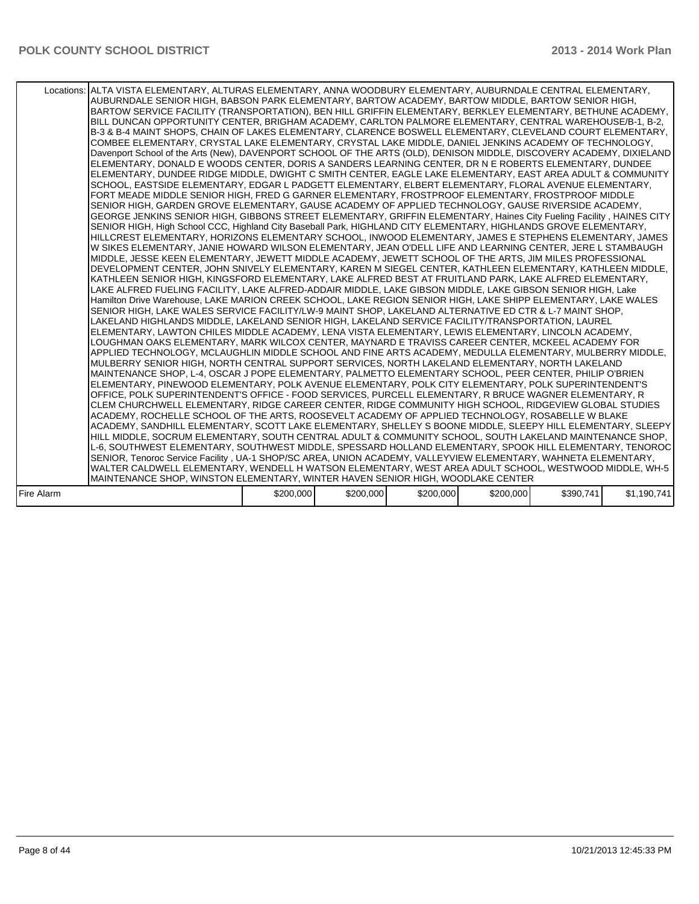|            | Locations: ALTA VISTA ELEMENTARY, ALTURAS ELEMENTARY, ANNA WOODBURY ELEMENTARY, AUBURNDALE CENTRAL ELEMENTARY,<br>AUBURNDALE SENIOR HIGH, BABSON PARK ELEMENTARY, BARTOW ACADEMY, BARTOW MIDDLE, BARTOW SENIOR HIGH,<br>BARTOW SERVICE FACILITY (TRANSPORTATION), BEN HILL GRIFFIN ELEMENTARY, BERKLEY ELEMENTARY, BETHUNE ACADEMY,<br>BILL DUNCAN OPPORTUNITY CENTER, BRIGHAM ACADEMY, CARLTON PALMORE ELEMENTARY, CENTRAL WAREHOUSE/B-1, B-2,<br>B-3 & B-4 MAINT SHOPS. CHAIN OF LAKES ELEMENTARY. CLARENCE BOSWELL ELEMENTARY. CLEVELAND COURT ELEMENTARY.<br>COMBEE ELEMENTARY, CRYSTAL LAKE ELEMENTARY, CRYSTAL LAKE MIDDLE, DANIEL JENKINS ACADEMY OF TECHNOLOGY,<br>Davenport School of the Arts (New), DAVENPORT SCHOOL OF THE ARTS (OLD), DENISON MIDDLE, DISCOVERY ACADEMY, DIXIELAND<br>ELEMENTARY, DONALD E WOODS CENTER, DORIS A SANDERS LEARNING CENTER, DR N E ROBERTS ELEMENTARY, DUNDEE<br>ELEMENTARY, DUNDEE RIDGE MIDDLE, DWIGHT C SMITH CENTER, EAGLE LAKE ELEMENTARY, EAST AREA ADULT & COMMUNITY<br>SCHOOL, EASTSIDE ELEMENTARY, EDGAR L PADGETT ELEMENTARY, ELBERT ELEMENTARY, FLORAL AVENUE ELEMENTARY,<br>FORT MEADE MIDDLE SENIOR HIGH, FRED G GARNER ELEMENTARY, FROSTPROOF ELEMENTARY, FROSTPROOF MIDDLE<br>SENIOR HIGH. GARDEN GROVE ELEMENTARY. GAUSE ACADEMY OF APPLIED TECHNOLOGY. GAUSE RIVERSIDE ACADEMY.<br>GEORGE JENKINS SENIOR HIGH, GIBBONS STREET ELEMENTARY, GRIFFIN ELEMENTARY, Haines City Fueling Facility, HAINES CITY<br>SENIOR HIGH, High School CCC, Highland City Baseball Park, HIGHLAND CITY ELEMENTARY, HIGHLANDS GROVE ELEMENTARY,<br>HILLCREST ELEMENTARY, HORIZONS ELEMENTARY SCHOOL, INWOOD ELEMENTARY, JAMES E STEPHENS ELEMENTARY, JAMES<br>W SIKES ELEMENTARY. JANIE HOWARD WILSON ELEMENTARY. JEAN O'DELL LIFE AND LEARNING CENTER. JERE L STAMBAUGH.<br>MIDDLE, JESSE KEEN ELEMENTARY, JEWETT MIDDLE ACADEMY, JEWETT SCHOOL OF THE ARTS, JIM MILES PROFESSIONAL<br>DEVELOPMENT CENTER, JOHN SNIVELY ELEMENTARY, KAREN M SIEGEL CENTER, KATHLEEN ELEMENTARY, KATHLEEN MIDDLE,<br>KATHLEEN SENIOR HIGH. KINGSFORD ELEMENTARY. LAKE ALFRED BEST AT FRUITLAND PARK. LAKE ALFRED ELEMENTARY.<br>LAKE ALFRED FUELING FACILITY, LAKE ALFRED-ADDAIR MIDDLE, LAKE GIBSON MIDDLE, LAKE GIBSON SENIOR HIGH, Lake<br>Hamilton Drive Warehouse, LAKE MARION CREEK SCHOOL, LAKE REGION SENIOR HIGH, LAKE SHIPP ELEMENTARY, LAKE WALES<br>SENIOR HIGH, LAKE WALES SERVICE FACILITY/LW-9 MAINT SHOP, LAKELAND ALTERNATIVE ED CTR & L-7 MAINT SHOP,<br>LAKELAND HIGHLANDS MIDDLE, LAKELAND SENIOR HIGH, LAKELAND SERVICE FACILITY/TRANSPORTATION, LAUREL<br>ELEMENTARY, LAWTON CHILES MIDDLE ACADEMY, LENA VISTA ELEMENTARY, LEWIS ELEMENTARY, LINCOLN ACADEMY,<br>LOUGHMAN OAKS ELEMENTARY, MARK WILCOX CENTER, MAYNARD E TRAVISS CAREER CENTER, MCKEEL ACADEMY FOR<br>APPLIED TECHNOLOGY, MCLAUGHLIN MIDDLE SCHOOL AND FINE ARTS ACADEMY, MEDULLA ELEMENTARY, MULBERRY MIDDLE,<br>MULBERRY SENIOR HIGH. NORTH CENTRAL SUPPORT SERVICES. NORTH LAKELAND ELEMENTARY. NORTH LAKELAND<br>MAINTENANCE SHOP, L-4, OSCAR J POPE ELEMENTARY, PALMETTO ELEMENTARY SCHOOL, PEER CENTER, PHILIP O'BRIEN<br>ELEMENTARY, PINEWOOD ELEMENTARY, POLK AVENUE ELEMENTARY, POLK CITY ELEMENTARY, POLK SUPERINTENDENT'S<br>OFFICE, POLK SUPERINTENDENT'S OFFICE - FOOD SERVICES, PURCELL ELEMENTARY, R BRUCE WAGNER ELEMENTARY, R<br>CLEM CHURCHWELL ELEMENTARY, RIDGE CAREER CENTER, RIDGE COMMUNITY HIGH SCHOOL, RIDGEVIEW GLOBAL STUDIES<br>ACADEMY. ROCHELLE SCHOOL OF THE ARTS. ROOSEVELT ACADEMY OF APPLIED TECHNOLOGY. ROSABELLE W BLAKE<br>ACADEMY, SANDHILL ELEMENTARY, SCOTT LAKE ELEMENTARY, SHELLEY S BOONE MIDDLE, SLEEPY HILL ELEMENTARY, SLEEPY  <br>HILL MIDDLE, SOCRUM ELEMENTARY, SOUTH CENTRAL ADULT & COMMUNITY SCHOOL, SOUTH LAKELAND MAINTENANCE SHOP,<br>L-6, SOUTHWEST ELEMENTARY, SOUTHWEST MIDDLE, SPESSARD HOLLAND ELEMENTARY, SPOOK HILL ELEMENTARY, TENOROC<br>SENIOR, Tenoroc Service Facility, UA-1 SHOP/SC AREA, UNION ACADEMY, VALLEYVIEW ELEMENTARY, WAHNETA ELEMENTARY, |           |           |           |           |           |             |
|------------|---------------------------------------------------------------------------------------------------------------------------------------------------------------------------------------------------------------------------------------------------------------------------------------------------------------------------------------------------------------------------------------------------------------------------------------------------------------------------------------------------------------------------------------------------------------------------------------------------------------------------------------------------------------------------------------------------------------------------------------------------------------------------------------------------------------------------------------------------------------------------------------------------------------------------------------------------------------------------------------------------------------------------------------------------------------------------------------------------------------------------------------------------------------------------------------------------------------------------------------------------------------------------------------------------------------------------------------------------------------------------------------------------------------------------------------------------------------------------------------------------------------------------------------------------------------------------------------------------------------------------------------------------------------------------------------------------------------------------------------------------------------------------------------------------------------------------------------------------------------------------------------------------------------------------------------------------------------------------------------------------------------------------------------------------------------------------------------------------------------------------------------------------------------------------------------------------------------------------------------------------------------------------------------------------------------------------------------------------------------------------------------------------------------------------------------------------------------------------------------------------------------------------------------------------------------------------------------------------------------------------------------------------------------------------------------------------------------------------------------------------------------------------------------------------------------------------------------------------------------------------------------------------------------------------------------------------------------------------------------------------------------------------------------------------------------------------------------------------------------------------------------------------------------------------------------------------------------------------------------------------------------------------------------------------------------------------------------------------------------------------------------------------------------------------------------------------------------------------------------------------------------------------------------------------------------------------------------------------------------------------------------------------------------------------------------------------------------------------------------------------------------------------------------------------------------------------------------------------------------------------------------------------------------------------------------------------------------------------------------------------------------------------------------|-----------|-----------|-----------|-----------|-----------|-------------|
|            |                                                                                                                                                                                                                                                                                                                                                                                                                                                                                                                                                                                                                                                                                                                                                                                                                                                                                                                                                                                                                                                                                                                                                                                                                                                                                                                                                                                                                                                                                                                                                                                                                                                                                                                                                                                                                                                                                                                                                                                                                                                                                                                                                                                                                                                                                                                                                                                                                                                                                                                                                                                                                                                                                                                                                                                                                                                                                                                                                                                                                                                                                                                                                                                                                                                                                                                                                                                                                                                                                                                                                                                                                                                                                                                                                                                                                                                                                                                                                                                                                                       |           |           |           |           |           |             |
|            |                                                                                                                                                                                                                                                                                                                                                                                                                                                                                                                                                                                                                                                                                                                                                                                                                                                                                                                                                                                                                                                                                                                                                                                                                                                                                                                                                                                                                                                                                                                                                                                                                                                                                                                                                                                                                                                                                                                                                                                                                                                                                                                                                                                                                                                                                                                                                                                                                                                                                                                                                                                                                                                                                                                                                                                                                                                                                                                                                                                                                                                                                                                                                                                                                                                                                                                                                                                                                                                                                                                                                                                                                                                                                                                                                                                                                                                                                                                                                                                                                                       |           |           |           |           |           |             |
|            | WALTER CALDWELL ELEMENTARY, WENDELL H WATSON ELEMENTARY, WEST AREA ADULT SCHOOL, WESTWOOD MIDDLE, WH-5                                                                                                                                                                                                                                                                                                                                                                                                                                                                                                                                                                                                                                                                                                                                                                                                                                                                                                                                                                                                                                                                                                                                                                                                                                                                                                                                                                                                                                                                                                                                                                                                                                                                                                                                                                                                                                                                                                                                                                                                                                                                                                                                                                                                                                                                                                                                                                                                                                                                                                                                                                                                                                                                                                                                                                                                                                                                                                                                                                                                                                                                                                                                                                                                                                                                                                                                                                                                                                                                                                                                                                                                                                                                                                                                                                                                                                                                                                                                |           |           |           |           |           |             |
|            | MAINTENANCE SHOP, WINSTON ELEMENTARY, WINTER HAVEN SENIOR HIGH, WOODLAKE CENTER                                                                                                                                                                                                                                                                                                                                                                                                                                                                                                                                                                                                                                                                                                                                                                                                                                                                                                                                                                                                                                                                                                                                                                                                                                                                                                                                                                                                                                                                                                                                                                                                                                                                                                                                                                                                                                                                                                                                                                                                                                                                                                                                                                                                                                                                                                                                                                                                                                                                                                                                                                                                                                                                                                                                                                                                                                                                                                                                                                                                                                                                                                                                                                                                                                                                                                                                                                                                                                                                                                                                                                                                                                                                                                                                                                                                                                                                                                                                                       |           |           |           |           |           |             |
| Fire Alarm |                                                                                                                                                                                                                                                                                                                                                                                                                                                                                                                                                                                                                                                                                                                                                                                                                                                                                                                                                                                                                                                                                                                                                                                                                                                                                                                                                                                                                                                                                                                                                                                                                                                                                                                                                                                                                                                                                                                                                                                                                                                                                                                                                                                                                                                                                                                                                                                                                                                                                                                                                                                                                                                                                                                                                                                                                                                                                                                                                                                                                                                                                                                                                                                                                                                                                                                                                                                                                                                                                                                                                                                                                                                                                                                                                                                                                                                                                                                                                                                                                                       | \$200,000 | \$200,000 | \$200,000 | \$200,000 | \$390,741 | \$1,190,741 |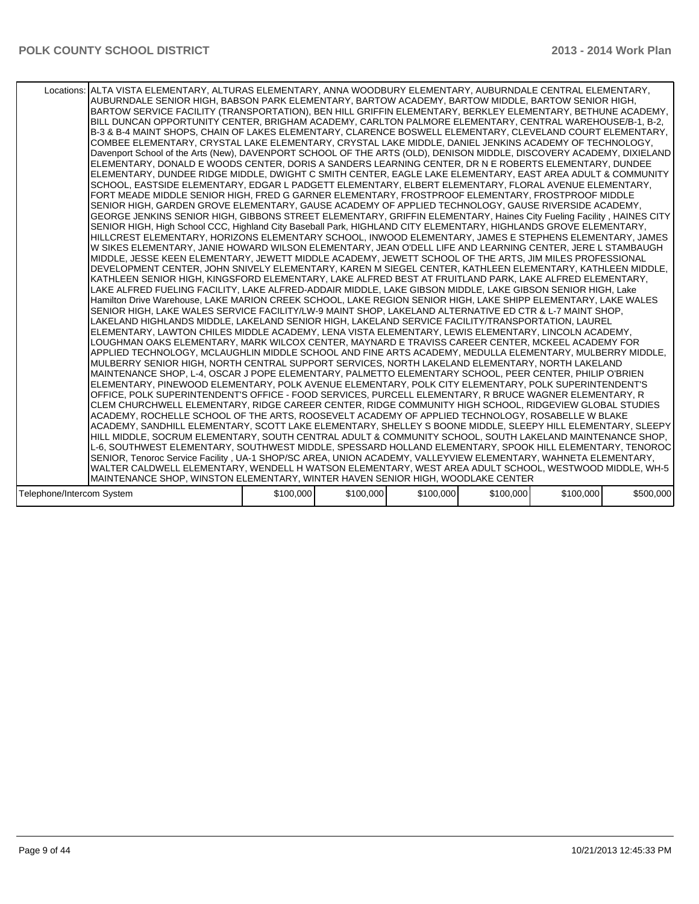|                           | Locations: ALTA VISTA ELEMENTARY, ALTURAS ELEMENTARY, ANNA WOODBURY ELEMENTARY, AUBURNDALE CENTRAL ELEMENTARY,<br>AUBURNDALE SENIOR HIGH, BABSON PARK ELEMENTARY, BARTOW ACADEMY, BARTOW MIDDLE, BARTOW SENIOR HIGH,<br>BARTOW SERVICE FACILITY (TRANSPORTATION), BEN HILL GRIFFIN ELEMENTARY, BERKLEY ELEMENTARY, BETHUNE ACADEMY,<br>BILL DUNCAN OPPORTUNITY CENTER, BRIGHAM ACADEMY, CARLTON PALMORE ELEMENTARY, CENTRAL WAREHOUSE/B-1, B-2,<br>B-3 & B-4 MAINT SHOPS, CHAIN OF LAKES ELEMENTARY, CLARENCE BOSWELL ELEMENTARY, CLEVELAND COURT ELEMENTARY,<br>COMBEE ELEMENTARY, CRYSTAL LAKE ELEMENTARY, CRYSTAL LAKE MIDDLE, DANIEL JENKINS ACADEMY OF TECHNOLOGY,<br>Davenport School of the Arts (New), DAVENPORT SCHOOL OF THE ARTS (OLD), DENISON MIDDLE, DISCOVERY ACADEMY, DIXIELAND<br>ELEMENTARY, DONALD E WOODS CENTER, DORIS A SANDERS LEARNING CENTER, DR N E ROBERTS ELEMENTARY, DUNDEE<br>ELEMENTARY, DUNDEE RIDGE MIDDLE, DWIGHT C SMITH CENTER, EAGLE LAKE ELEMENTARY, EAST AREA ADULT & COMMUNITY <br>SCHOOL, EASTSIDE ELEMENTARY, EDGAR L PADGETT ELEMENTARY, ELBERT ELEMENTARY, FLORAL AVENUE ELEMENTARY,<br>FORT MEADE MIDDLE SENIOR HIGH, FRED G GARNER ELEMENTARY, FROSTPROOF ELEMENTARY, FROSTPROOF MIDDLE<br>SENIOR HIGH, GARDEN GROVE ELEMENTARY, GAUSE ACADEMY OF APPLIED TECHNOLOGY, GAUSE RIVERSIDE ACADEMY,<br>GEORGE JENKINS SENIOR HIGH, GIBBONS STREET ELEMENTARY, GRIFFIN ELEMENTARY, Haines City Fueling Facility, HAINES CITY<br>SENIOR HIGH, High School CCC, Highland City Baseball Park, HIGHLAND CITY ELEMENTARY, HIGHLANDS GROVE ELEMENTARY,<br>HILLCREST ELEMENTARY, HORIZONS ELEMENTARY SCHOOL, INWOOD ELEMENTARY, JAMES E STEPHENS ELEMENTARY, JAMES<br>W SIKES ELEMENTARY, JANIE HOWARD WILSON ELEMENTARY, JEAN O'DELL LIFE AND LEARNING CENTER, JERE L STAMBAUGH<br>MIDDLE, JESSE KEEN ELEMENTARY, JEWETT MIDDLE ACADEMY, JEWETT SCHOOL OF THE ARTS, JIM MILES PROFESSIONAL<br>DEVELOPMENT CENTER. JOHN SNIVELY ELEMENTARY, KAREN M SIEGEL CENTER, KATHLEEN ELEMENTARY, KATHLEEN MIDDLE.<br>KATHLEEN SENIOR HIGH, KINGSFORD ELEMENTARY, LAKE ALFRED BEST AT FRUITLAND PARK, LAKE ALFRED ELEMENTARY,<br>LAKE ALFRED FUELING FACILITY, LAKE ALFRED-ADDAIR MIDDLE, LAKE GIBSON MIDDLE, LAKE GIBSON SENIOR HIGH, Lake<br>Hamilton Drive Warehouse, LAKE MARION CREEK SCHOOL, LAKE REGION SENIOR HIGH, LAKE SHIPP ELEMENTARY, LAKE WALES<br>SENIOR HIGH, LAKE WALES SERVICE FACILITY/LW-9 MAINT SHOP, LAKELAND ALTERNATIVE ED CTR & L-7 MAINT SHOP,<br>LAKELAND HIGHLANDS MIDDLE, LAKELAND SENIOR HIGH, LAKELAND SERVICE FACILITY/TRANSPORTATION, LAUREL<br>ELEMENTARY, LAWTON CHILES MIDDLE ACADEMY, LENA VISTA ELEMENTARY, LEWIS ELEMENTARY, LINCOLN ACADEMY,<br>LOUGHMAN OAKS ELEMENTARY, MARK WILCOX CENTER, MAYNARD E TRAVISS CAREER CENTER, MCKEEL ACADEMY FOR<br>APPLIED TECHNOLOGY, MCLAUGHLIN MIDDLE SCHOOL AND FINE ARTS ACADEMY, MEDULLA ELEMENTARY, MULBERRY MIDDLE,<br>MULBERRY SENIOR HIGH, NORTH CENTRAL SUPPORT SERVICES, NORTH LAKELAND ELEMENTARY, NORTH LAKELAND<br>MAINTENANCE SHOP, L-4, OSCAR J POPE ELEMENTARY, PALMETTO ELEMENTARY SCHOOL, PEER CENTER, PHILIP O'BRIEN<br>ELEMENTARY, PINEWOOD ELEMENTARY, POLK AVENUE ELEMENTARY, POLK CITY ELEMENTARY, POLK SUPERINTENDENT'S<br>OFFICE, POLK SUPERINTENDENT'S OFFICE - FOOD SERVICES, PURCELL ELEMENTARY, R BRUCE WAGNER ELEMENTARY, R<br>ICLEM CHURCHWELL ELEMENTARY. RIDGE CAREER CENTER. RIDGE COMMUNITY HIGH SCHOOL. RIDGEVIEW GLOBAL STUDIES<br>ACADEMY. ROCHELLE SCHOOL OF THE ARTS. ROOSEVELT ACADEMY OF APPLIED TECHNOLOGY. ROSABELLE W BLAKE<br>ACADEMY, SANDHILL ELEMENTARY, SCOTT LAKE ELEMENTARY, SHELLEY S BOONE MIDDLE, SLEEPY HILL ELEMENTARY, SLEEPY  <br>HILL MIDDLE, SOCRUM ELEMENTARY, SOUTH CENTRAL ADULT & COMMUNITY SCHOOL, SOUTH LAKELAND MAINTENANCE SHOP,<br>L-6, SOUTHWEST ELEMENTARY, SOUTHWEST MIDDLE, SPESSARD HOLLAND ELEMENTARY, SPOOK HILL ELEMENTARY, TENOROC<br>SENIOR, Tenoroc Service Facility, UA-1 SHOP/SC AREA, UNION ACADEMY, VALLEYVIEW ELEMENTARY, WAHNETA ELEMENTARY,<br>WALTER CALDWELL ELEMENTARY, WENDELL H WATSON ELEMENTARY, WEST AREA ADULT SCHOOL, WESTWOOD MIDDLE, WH-5 |           |           |           |           |           |           |
|---------------------------|--------------------------------------------------------------------------------------------------------------------------------------------------------------------------------------------------------------------------------------------------------------------------------------------------------------------------------------------------------------------------------------------------------------------------------------------------------------------------------------------------------------------------------------------------------------------------------------------------------------------------------------------------------------------------------------------------------------------------------------------------------------------------------------------------------------------------------------------------------------------------------------------------------------------------------------------------------------------------------------------------------------------------------------------------------------------------------------------------------------------------------------------------------------------------------------------------------------------------------------------------------------------------------------------------------------------------------------------------------------------------------------------------------------------------------------------------------------------------------------------------------------------------------------------------------------------------------------------------------------------------------------------------------------------------------------------------------------------------------------------------------------------------------------------------------------------------------------------------------------------------------------------------------------------------------------------------------------------------------------------------------------------------------------------------------------------------------------------------------------------------------------------------------------------------------------------------------------------------------------------------------------------------------------------------------------------------------------------------------------------------------------------------------------------------------------------------------------------------------------------------------------------------------------------------------------------------------------------------------------------------------------------------------------------------------------------------------------------------------------------------------------------------------------------------------------------------------------------------------------------------------------------------------------------------------------------------------------------------------------------------------------------------------------------------------------------------------------------------------------------------------------------------------------------------------------------------------------------------------------------------------------------------------------------------------------------------------------------------------------------------------------------------------------------------------------------------------------------------------------------------------------------------------------------------------------------------------------------------------------------------------------------------------------------------------------------------------------------------------------------------------------------------------------------------------------------------------------------------------------------------------------------------------------------------------------------------------------------------------------------------------------------------------------------------------------------------------------------------------------------------------------------------|-----------|-----------|-----------|-----------|-----------|-----------|
|                           |                                                                                                                                                                                                                                                                                                                                                                                                                                                                                                                                                                                                                                                                                                                                                                                                                                                                                                                                                                                                                                                                                                                                                                                                                                                                                                                                                                                                                                                                                                                                                                                                                                                                                                                                                                                                                                                                                                                                                                                                                                                                                                                                                                                                                                                                                                                                                                                                                                                                                                                                                                                                                                                                                                                                                                                                                                                                                                                                                                                                                                                                                                                                                                                                                                                                                                                                                                                                                                                                                                                                                                                                                                                                                                                                                                                                                                                                                                                                                                                                                                                                                                                                                  |           |           |           |           |           |           |
|                           | MAINTENANCE SHOP, WINSTON ELEMENTARY, WINTER HAVEN SENIOR HIGH, WOODLAKE CENTER                                                                                                                                                                                                                                                                                                                                                                                                                                                                                                                                                                                                                                                                                                                                                                                                                                                                                                                                                                                                                                                                                                                                                                                                                                                                                                                                                                                                                                                                                                                                                                                                                                                                                                                                                                                                                                                                                                                                                                                                                                                                                                                                                                                                                                                                                                                                                                                                                                                                                                                                                                                                                                                                                                                                                                                                                                                                                                                                                                                                                                                                                                                                                                                                                                                                                                                                                                                                                                                                                                                                                                                                                                                                                                                                                                                                                                                                                                                                                                                                                                                                  |           |           |           |           |           |           |
|                           |                                                                                                                                                                                                                                                                                                                                                                                                                                                                                                                                                                                                                                                                                                                                                                                                                                                                                                                                                                                                                                                                                                                                                                                                                                                                                                                                                                                                                                                                                                                                                                                                                                                                                                                                                                                                                                                                                                                                                                                                                                                                                                                                                                                                                                                                                                                                                                                                                                                                                                                                                                                                                                                                                                                                                                                                                                                                                                                                                                                                                                                                                                                                                                                                                                                                                                                                                                                                                                                                                                                                                                                                                                                                                                                                                                                                                                                                                                                                                                                                                                                                                                                                                  |           |           |           |           |           |           |
| Telephone/Intercom System |                                                                                                                                                                                                                                                                                                                                                                                                                                                                                                                                                                                                                                                                                                                                                                                                                                                                                                                                                                                                                                                                                                                                                                                                                                                                                                                                                                                                                                                                                                                                                                                                                                                                                                                                                                                                                                                                                                                                                                                                                                                                                                                                                                                                                                                                                                                                                                                                                                                                                                                                                                                                                                                                                                                                                                                                                                                                                                                                                                                                                                                                                                                                                                                                                                                                                                                                                                                                                                                                                                                                                                                                                                                                                                                                                                                                                                                                                                                                                                                                                                                                                                                                                  | \$100,000 | \$100,000 | \$100,000 | \$100,000 | \$100,000 | \$500,000 |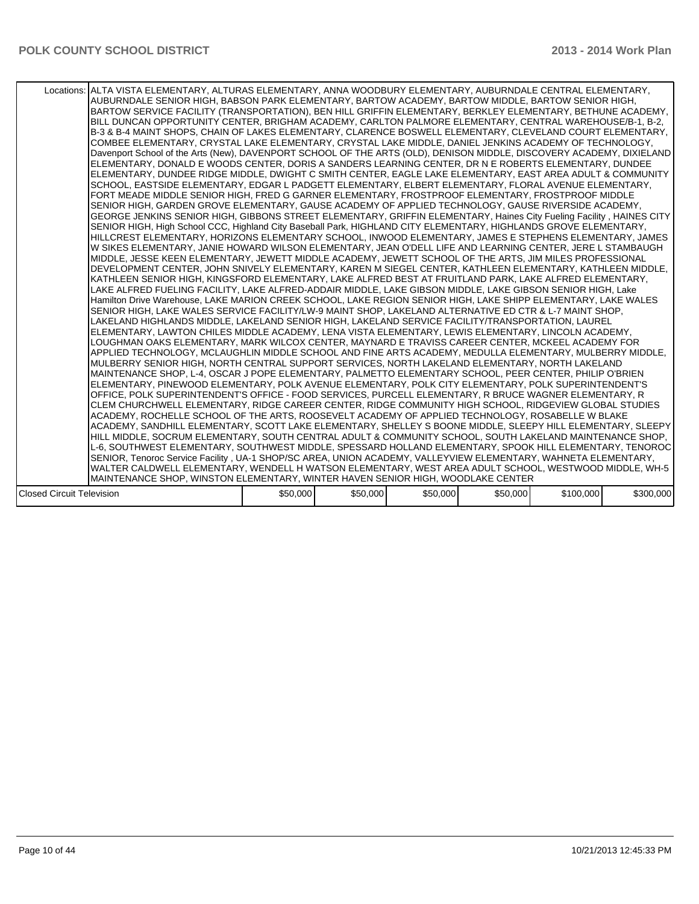|                                  | Locations: ALTA VISTA ELEMENTARY, ALTURAS ELEMENTARY, ANNA WOODBURY ELEMENTARY, AUBURNDALE CENTRAL ELEMENTARY,<br>AUBURNDALE SENIOR HIGH, BABSON PARK ELEMENTARY, BARTOW ACADEMY, BARTOW MIDDLE, BARTOW SENIOR HIGH,<br>BARTOW SERVICE FACILITY (TRANSPORTATION), BEN HILL GRIFFIN ELEMENTARY, BERKLEY ELEMENTARY, BETHUNE ACADEMY,<br>BILL DUNCAN OPPORTUNITY CENTER, BRIGHAM ACADEMY, CARLTON PALMORE ELEMENTARY, CENTRAL WAREHOUSE/B-1, B-2,<br>B-3 & B-4 MAINT SHOPS, CHAIN OF LAKES ELEMENTARY, CLARENCE BOSWELL ELEMENTARY, CLEVELAND COURT ELEMENTARY,<br>COMBEE ELEMENTARY, CRYSTAL LAKE ELEMENTARY, CRYSTAL LAKE MIDDLE, DANIEL JENKINS ACADEMY OF TECHNOLOGY,<br>Davenport School of the Arts (New), DAVENPORT SCHOOL OF THE ARTS (OLD), DENISON MIDDLE, DISCOVERY ACADEMY, DIXIELAND<br>ELEMENTARY, DONALD E WOODS CENTER, DORIS A SANDERS LEARNING CENTER, DR N E ROBERTS ELEMENTARY, DUNDEE<br>ELEMENTARY, DUNDEE RIDGE MIDDLE, DWIGHT C SMITH CENTER, EAGLE LAKE ELEMENTARY, EAST AREA ADULT & COMMUNITY<br>SCHOOL, EASTSIDE ELEMENTARY, EDGAR L PADGETT ELEMENTARY, ELBERT ELEMENTARY, FLORAL AVENUE ELEMENTARY,<br>FORT MEADE MIDDLE SENIOR HIGH, FRED G GARNER ELEMENTARY, FROSTPROOF ELEMENTARY, FROSTPROOF MIDDLE<br>SENIOR HIGH, GARDEN GROVE ELEMENTARY, GAUSE ACADEMY OF APPLIED TECHNOLOGY, GAUSE RIVERSIDE ACADEMY,<br>GEORGE JENKINS SENIOR HIGH, GIBBONS STREET ELEMENTARY, GRIFFIN ELEMENTARY, Haines City Fueling Facility, HAINES CITY<br>SENIOR HIGH, High School CCC, Highland City Baseball Park, HIGHLAND CITY ELEMENTARY, HIGHLANDS GROVE ELEMENTARY,<br>HILLCREST ELEMENTARY, HORIZONS ELEMENTARY SCHOOL, INWOOD ELEMENTARY, JAMES E STEPHENS ELEMENTARY, JAMES<br>W SIKES ELEMENTARY, JANIE HOWARD WILSON ELEMENTARY, JEAN O'DELL LIFE AND LEARNING CENTER, JERE L STAMBAUGH<br>MIDDLE, JESSE KEEN ELEMENTARY, JEWETT MIDDLE ACADEMY, JEWETT SCHOOL OF THE ARTS, JIM MILES PROFESSIONAL<br>DEVELOPMENT CENTER. JOHN SNIVELY ELEMENTARY, KAREN M SIEGEL CENTER, KATHLEEN ELEMENTARY, KATHLEEN MIDDLE.<br>KATHLEEN SENIOR HIGH, KINGSFORD ELEMENTARY, LAKE ALFRED BEST AT FRUITLAND PARK, LAKE ALFRED ELEMENTARY,<br>LAKE ALFRED FUELING FACILITY, LAKE ALFRED-ADDAIR MIDDLE, LAKE GIBSON MIDDLE, LAKE GIBSON SENIOR HIGH, Lake<br>Hamilton Drive Warehouse, LAKE MARION CREEK SCHOOL, LAKE REGION SENIOR HIGH, LAKE SHIPP ELEMENTARY, LAKE WALES<br>SENIOR HIGH, LAKE WALES SERVICE FACILITY/LW-9 MAINT SHOP, LAKELAND ALTERNATIVE ED CTR & L-7 MAINT SHOP,<br>LAKELAND HIGHLANDS MIDDLE, LAKELAND SENIOR HIGH, LAKELAND SERVICE FACILITY/TRANSPORTATION, LAUREL<br>ELEMENTARY, LAWTON CHILES MIDDLE ACADEMY, LENA VISTA ELEMENTARY, LEWIS ELEMENTARY, LINCOLN ACADEMY,<br>ILOUGHMAN OAKS ELEMENTARY. MARK WILCOX CENTER. MAYNARD E TRAVISS CAREER CENTER. MCKEEL ACADEMY FOR<br>APPLIED TECHNOLOGY, MCLAUGHLIN MIDDLE SCHOOL AND FINE ARTS ACADEMY, MEDULLA ELEMENTARY, MULBERRY MIDDLE,<br>MULBERRY SENIOR HIGH, NORTH CENTRAL SUPPORT SERVICES, NORTH LAKELAND ELEMENTARY, NORTH LAKELAND<br>MAINTENANCE SHOP, L-4, OSCAR J POPE ELEMENTARY, PALMETTO ELEMENTARY SCHOOL, PEER CENTER, PHILIP O'BRIEN<br>ELEMENTARY, PINEWOOD ELEMENTARY, POLK AVENUE ELEMENTARY, POLK CITY ELEMENTARY, POLK SUPERINTENDENT'S<br>OFFICE, POLK SUPERINTENDENT'S OFFICE - FOOD SERVICES, PURCELL ELEMENTARY, R BRUCE WAGNER ELEMENTARY, R<br>ICLEM CHURCHWELL ELEMENTARY. RIDGE CAREER CENTER. RIDGE COMMUNITY HIGH SCHOOL. RIDGEVIEW GLOBAL STUDIES<br>ACADEMY. ROCHELLE SCHOOL OF THE ARTS. ROOSEVELT ACADEMY OF APPLIED TECHNOLOGY. ROSABELLE W BLAKE<br>ACADEMY, SANDHILL ELEMENTARY, SCOTT LAKE ELEMENTARY, SHELLEY S BOONE MIDDLE, SLEEPY HILL ELEMENTARY, SLEEPY  <br>HILL MIDDLE, SOCRUM ELEMENTARY, SOUTH CENTRAL ADULT & COMMUNITY SCHOOL, SOUTH LAKELAND MAINTENANCE SHOP,<br>L-6, SOUTHWEST ELEMENTARY, SOUTHWEST MIDDLE, SPESSARD HOLLAND ELEMENTARY, SPOOK HILL ELEMENTARY, TENOROC<br>SENIOR, Tenoroc Service Facility, UA-1 SHOP/SC AREA, UNION ACADEMY, VALLEYVIEW ELEMENTARY, WAHNETA ELEMENTARY,<br>WALTER CALDWELL ELEMENTARY, WENDELL H WATSON ELEMENTARY, WEST AREA ADULT SCHOOL, WESTWOOD MIDDLE, WH-5 |          |          |          |          |           |           |
|----------------------------------|--------------------------------------------------------------------------------------------------------------------------------------------------------------------------------------------------------------------------------------------------------------------------------------------------------------------------------------------------------------------------------------------------------------------------------------------------------------------------------------------------------------------------------------------------------------------------------------------------------------------------------------------------------------------------------------------------------------------------------------------------------------------------------------------------------------------------------------------------------------------------------------------------------------------------------------------------------------------------------------------------------------------------------------------------------------------------------------------------------------------------------------------------------------------------------------------------------------------------------------------------------------------------------------------------------------------------------------------------------------------------------------------------------------------------------------------------------------------------------------------------------------------------------------------------------------------------------------------------------------------------------------------------------------------------------------------------------------------------------------------------------------------------------------------------------------------------------------------------------------------------------------------------------------------------------------------------------------------------------------------------------------------------------------------------------------------------------------------------------------------------------------------------------------------------------------------------------------------------------------------------------------------------------------------------------------------------------------------------------------------------------------------------------------------------------------------------------------------------------------------------------------------------------------------------------------------------------------------------------------------------------------------------------------------------------------------------------------------------------------------------------------------------------------------------------------------------------------------------------------------------------------------------------------------------------------------------------------------------------------------------------------------------------------------------------------------------------------------------------------------------------------------------------------------------------------------------------------------------------------------------------------------------------------------------------------------------------------------------------------------------------------------------------------------------------------------------------------------------------------------------------------------------------------------------------------------------------------------------------------------------------------------------------------------------------------------------------------------------------------------------------------------------------------------------------------------------------------------------------------------------------------------------------------------------------------------------------------------------------------------------------------------------------------------------------------------------------------------------------------------------------------------------|----------|----------|----------|----------|-----------|-----------|
|                                  |                                                                                                                                                                                                                                                                                                                                                                                                                                                                                                                                                                                                                                                                                                                                                                                                                                                                                                                                                                                                                                                                                                                                                                                                                                                                                                                                                                                                                                                                                                                                                                                                                                                                                                                                                                                                                                                                                                                                                                                                                                                                                                                                                                                                                                                                                                                                                                                                                                                                                                                                                                                                                                                                                                                                                                                                                                                                                                                                                                                                                                                                                                                                                                                                                                                                                                                                                                                                                                                                                                                                                                                                                                                                                                                                                                                                                                                                                                                                                                                                                                                                                                                                                  |          |          |          |          |           |           |
|                                  | MAINTENANCE SHOP, WINSTON ELEMENTARY, WINTER HAVEN SENIOR HIGH, WOODLAKE CENTER                                                                                                                                                                                                                                                                                                                                                                                                                                                                                                                                                                                                                                                                                                                                                                                                                                                                                                                                                                                                                                                                                                                                                                                                                                                                                                                                                                                                                                                                                                                                                                                                                                                                                                                                                                                                                                                                                                                                                                                                                                                                                                                                                                                                                                                                                                                                                                                                                                                                                                                                                                                                                                                                                                                                                                                                                                                                                                                                                                                                                                                                                                                                                                                                                                                                                                                                                                                                                                                                                                                                                                                                                                                                                                                                                                                                                                                                                                                                                                                                                                                                  |          |          |          |          |           |           |
|                                  |                                                                                                                                                                                                                                                                                                                                                                                                                                                                                                                                                                                                                                                                                                                                                                                                                                                                                                                                                                                                                                                                                                                                                                                                                                                                                                                                                                                                                                                                                                                                                                                                                                                                                                                                                                                                                                                                                                                                                                                                                                                                                                                                                                                                                                                                                                                                                                                                                                                                                                                                                                                                                                                                                                                                                                                                                                                                                                                                                                                                                                                                                                                                                                                                                                                                                                                                                                                                                                                                                                                                                                                                                                                                                                                                                                                                                                                                                                                                                                                                                                                                                                                                                  |          |          |          |          |           |           |
| <b>Closed Circuit Television</b> |                                                                                                                                                                                                                                                                                                                                                                                                                                                                                                                                                                                                                                                                                                                                                                                                                                                                                                                                                                                                                                                                                                                                                                                                                                                                                                                                                                                                                                                                                                                                                                                                                                                                                                                                                                                                                                                                                                                                                                                                                                                                                                                                                                                                                                                                                                                                                                                                                                                                                                                                                                                                                                                                                                                                                                                                                                                                                                                                                                                                                                                                                                                                                                                                                                                                                                                                                                                                                                                                                                                                                                                                                                                                                                                                                                                                                                                                                                                                                                                                                                                                                                                                                  | \$50,000 | \$50,000 | \$50,000 | \$50,000 | \$100,000 | \$300,000 |
|                                  |                                                                                                                                                                                                                                                                                                                                                                                                                                                                                                                                                                                                                                                                                                                                                                                                                                                                                                                                                                                                                                                                                                                                                                                                                                                                                                                                                                                                                                                                                                                                                                                                                                                                                                                                                                                                                                                                                                                                                                                                                                                                                                                                                                                                                                                                                                                                                                                                                                                                                                                                                                                                                                                                                                                                                                                                                                                                                                                                                                                                                                                                                                                                                                                                                                                                                                                                                                                                                                                                                                                                                                                                                                                                                                                                                                                                                                                                                                                                                                                                                                                                                                                                                  |          |          |          |          |           |           |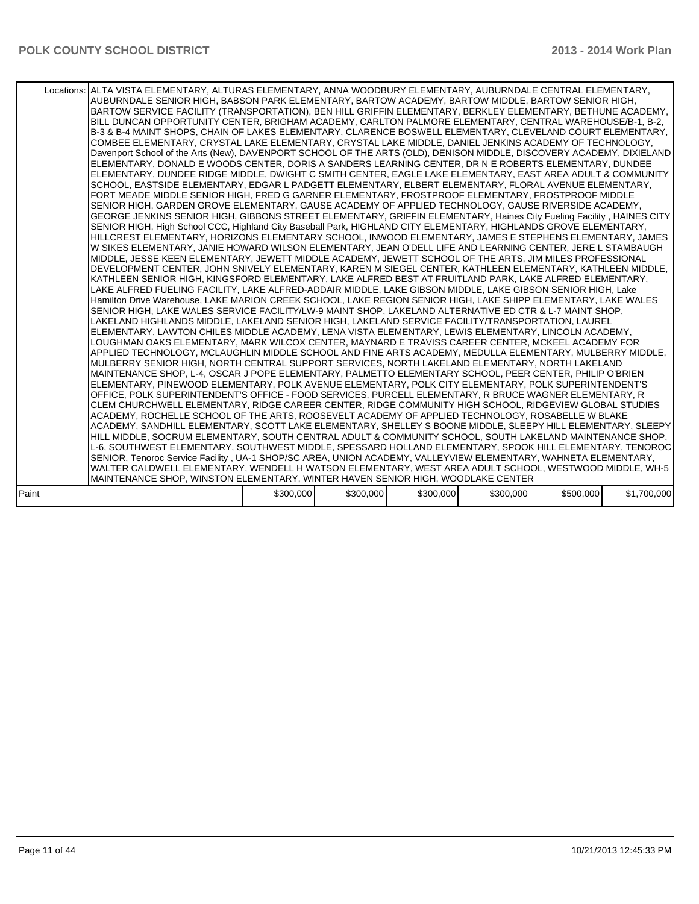|       | Locations: ALTA VISTA ELEMENTARY, ALTURAS ELEMENTARY, ANNA WOODBURY ELEMENTARY, AUBURNDALE CENTRAL ELEMENTARY,<br>AUBURNDALE SENIOR HIGH, BABSON PARK ELEMENTARY, BARTOW ACADEMY, BARTOW MIDDLE, BARTOW SENIOR HIGH,<br>BARTOW SERVICE FACILITY (TRANSPORTATION), BEN HILL GRIFFIN ELEMENTARY, BERKLEY ELEMENTARY, BETHUNE ACADEMY, I<br>BILL DUNCAN OPPORTUNITY CENTER, BRIGHAM ACADEMY, CARLTON PALMORE ELEMENTARY, CENTRAL WAREHOUSE/B-1, B-2,<br>B-3 & B-4 MAINT SHOPS. CHAIN OF LAKES ELEMENTARY. CLARENCE BOSWELL ELEMENTARY. CLEVELAND COURT ELEMENTARY.<br>COMBEE ELEMENTARY, CRYSTAL LAKE ELEMENTARY, CRYSTAL LAKE MIDDLE, DANIEL JENKINS ACADEMY OF TECHNOLOGY,<br>Davenport School of the Arts (New), DAVENPORT SCHOOL OF THE ARTS (OLD), DENISON MIDDLE, DISCOVERY ACADEMY, DIXIELAND<br>ELEMENTARY, DONALD E WOODS CENTER, DORIS A SANDERS LEARNING CENTER, DR N E ROBERTS ELEMENTARY, DUNDEE<br>ELEMENTARY, DUNDEE RIDGE MIDDLE, DWIGHT C SMITH CENTER, EAGLE LAKE ELEMENTARY, EAST AREA ADULT & COMMUNITY<br>SCHOOL, EASTSIDE ELEMENTARY, EDGAR L PADGETT ELEMENTARY, ELBERT ELEMENTARY, FLORAL AVENUE ELEMENTARY,<br>FORT MEADE MIDDLE SENIOR HIGH, FRED G GARNER ELEMENTARY, FROSTPROOF ELEMENTARY, FROSTPROOF MIDDLE<br>SENIOR HIGH, GARDEN GROVE ELEMENTARY, GAUSE ACADEMY OF APPLIED TECHNOLOGY, GAUSE RIVERSIDE ACADEMY,<br>GEORGE JENKINS SENIOR HIGH, GIBBONS STREET ELEMENTARY, GRIFFIN ELEMENTARY, Haines City Fueling Facility, HAINES CITY<br>SENIOR HIGH, High School CCC, Highland City Baseball Park, HIGHLAND CITY ELEMENTARY, HIGHLANDS GROVE ELEMENTARY,<br>HILLCREST ELEMENTARY, HORIZONS ELEMENTARY SCHOOL, INWOOD ELEMENTARY, JAMES E STEPHENS ELEMENTARY, JAMES<br>W SIKES ELEMENTARY, JANIE HOWARD WILSON ELEMENTARY, JEAN O'DELL LIFE AND LEARNING CENTER, JERE L STAMBAUGH<br>MIDDLE, JESSE KEEN ELEMENTARY, JEWETT MIDDLE ACADEMY, JEWETT SCHOOL OF THE ARTS, JIM MILES PROFESSIONAL<br>DEVELOPMENT CENTER, JOHN SNIVELY ELEMENTARY, KAREN M SIEGEL CENTER, KATHLEEN ELEMENTARY, KATHLEEN MIDDLE,<br>KATHLEEN SENIOR HIGH, KINGSFORD ELEMENTARY, LAKE ALFRED BEST AT FRUITLAND PARK, LAKE ALFRED ELEMENTARY,<br>LAKE ALFRED FUELING FACILITY, LAKE ALFRED-ADDAIR MIDDLE, LAKE GIBSON MIDDLE, LAKE GIBSON SENIOR HIGH, Lake<br>Hamilton Drive Warehouse, LAKE MARION CREEK SCHOOL, LAKE REGION SENIOR HIGH, LAKE SHIPP ELEMENTARY, LAKE WALES<br>SENIOR HIGH, LAKE WALES SERVICE FACILITY/LW-9 MAINT SHOP, LAKELAND ALTERNATIVE ED CTR & L-7 MAINT SHOP,<br>LAKELAND HIGHLANDS MIDDLE, LAKELAND SENIOR HIGH, LAKELAND SERVICE FACILITY/TRANSPORTATION, LAUREL<br>ELEMENTARY, LAWTON CHILES MIDDLE ACADEMY, LENA VISTA ELEMENTARY, LEWIS ELEMENTARY, LINCOLN ACADEMY,<br>LOUGHMAN OAKS ELEMENTARY, MARK WILCOX CENTER, MAYNARD E TRAVISS CAREER CENTER, MCKEEL ACADEMY FOR<br>APPLIED TECHNOLOGY, MCLAUGHLIN MIDDLE SCHOOL AND FINE ARTS ACADEMY, MEDULLA ELEMENTARY, MULBERRY MIDDLE,<br>MULBERRY SENIOR HIGH, NORTH CENTRAL SUPPORT SERVICES, NORTH LAKELAND ELEMENTARY, NORTH LAKELAND<br>MAINTENANCE SHOP, L-4, OSCAR J POPE ELEMENTARY, PALMETTO ELEMENTARY SCHOOL, PEER CENTER, PHILIP O'BRIEN<br>ELEMENTARY, PINEWOOD ELEMENTARY, POLK AVENUE ELEMENTARY, POLK CITY ELEMENTARY, POLK SUPERINTENDENT'S<br>OFFICE. POLK SUPERINTENDENT'S OFFICE - FOOD SERVICES. PURCELL ELEMENTARY. R BRUCE WAGNER ELEMENTARY. R<br>CLEM CHURCHWELL ELEMENTARY, RIDGE CAREER CENTER, RIDGE COMMUNITY HIGH SCHOOL, RIDGEVIEW GLOBAL STUDIES<br>ACADEMY, ROCHELLE SCHOOL OF THE ARTS, ROOSEVELT ACADEMY OF APPLIED TECHNOLOGY, ROSABELLE W BLAKE<br>ACADEMY, SANDHILL ELEMENTARY, SCOTT LAKE ELEMENTARY, SHELLEY S BOONE MIDDLE, SLEEPY HILL ELEMENTARY, SLEEPY  <br>HILL MIDDLE, SOCRUM ELEMENTARY, SOUTH CENTRAL ADULT & COMMUNITY SCHOOL, SOUTH LAKELAND MAINTENANCE SHOP,<br>L-6, SOUTHWEST ELEMENTARY, SOUTHWEST MIDDLE, SPESSARD HOLLAND ELEMENTARY, SPOOK HILL ELEMENTARY, TENOROC<br>SENIOR, Tenoroc Service Facility, UA-1 SHOP/SC AREA, UNION ACADEMY, VALLEYVIEW ELEMENTARY, WAHNETA ELEMENTARY,<br>WALTER CALDWELL ELEMENTARY, WENDELL H WATSON ELEMENTARY, WEST AREA ADULT SCHOOL, WESTWOOD MIDDLE, WH-5 |           |           |           |           |           |             |
|-------|--------------------------------------------------------------------------------------------------------------------------------------------------------------------------------------------------------------------------------------------------------------------------------------------------------------------------------------------------------------------------------------------------------------------------------------------------------------------------------------------------------------------------------------------------------------------------------------------------------------------------------------------------------------------------------------------------------------------------------------------------------------------------------------------------------------------------------------------------------------------------------------------------------------------------------------------------------------------------------------------------------------------------------------------------------------------------------------------------------------------------------------------------------------------------------------------------------------------------------------------------------------------------------------------------------------------------------------------------------------------------------------------------------------------------------------------------------------------------------------------------------------------------------------------------------------------------------------------------------------------------------------------------------------------------------------------------------------------------------------------------------------------------------------------------------------------------------------------------------------------------------------------------------------------------------------------------------------------------------------------------------------------------------------------------------------------------------------------------------------------------------------------------------------------------------------------------------------------------------------------------------------------------------------------------------------------------------------------------------------------------------------------------------------------------------------------------------------------------------------------------------------------------------------------------------------------------------------------------------------------------------------------------------------------------------------------------------------------------------------------------------------------------------------------------------------------------------------------------------------------------------------------------------------------------------------------------------------------------------------------------------------------------------------------------------------------------------------------------------------------------------------------------------------------------------------------------------------------------------------------------------------------------------------------------------------------------------------------------------------------------------------------------------------------------------------------------------------------------------------------------------------------------------------------------------------------------------------------------------------------------------------------------------------------------------------------------------------------------------------------------------------------------------------------------------------------------------------------------------------------------------------------------------------------------------------------------------------------------------------------------------------------------------------------------------------------------------------------------------------------------------------------------|-----------|-----------|-----------|-----------|-----------|-------------|
|       |                                                                                                                                                                                                                                                                                                                                                                                                                                                                                                                                                                                                                                                                                                                                                                                                                                                                                                                                                                                                                                                                                                                                                                                                                                                                                                                                                                                                                                                                                                                                                                                                                                                                                                                                                                                                                                                                                                                                                                                                                                                                                                                                                                                                                                                                                                                                                                                                                                                                                                                                                                                                                                                                                                                                                                                                                                                                                                                                                                                                                                                                                                                                                                                                                                                                                                                                                                                                                                                                                                                                                                                                                                                                                                                                                                                                                                                                                                                                                                                                                                                                                                                                                  |           |           |           |           |           |             |
|       | MAINTENANCE SHOP, WINSTON ELEMENTARY, WINTER HAVEN SENIOR HIGH, WOODLAKE CENTER                                                                                                                                                                                                                                                                                                                                                                                                                                                                                                                                                                                                                                                                                                                                                                                                                                                                                                                                                                                                                                                                                                                                                                                                                                                                                                                                                                                                                                                                                                                                                                                                                                                                                                                                                                                                                                                                                                                                                                                                                                                                                                                                                                                                                                                                                                                                                                                                                                                                                                                                                                                                                                                                                                                                                                                                                                                                                                                                                                                                                                                                                                                                                                                                                                                                                                                                                                                                                                                                                                                                                                                                                                                                                                                                                                                                                                                                                                                                                                                                                                                                  |           |           |           |           |           |             |
|       |                                                                                                                                                                                                                                                                                                                                                                                                                                                                                                                                                                                                                                                                                                                                                                                                                                                                                                                                                                                                                                                                                                                                                                                                                                                                                                                                                                                                                                                                                                                                                                                                                                                                                                                                                                                                                                                                                                                                                                                                                                                                                                                                                                                                                                                                                                                                                                                                                                                                                                                                                                                                                                                                                                                                                                                                                                                                                                                                                                                                                                                                                                                                                                                                                                                                                                                                                                                                                                                                                                                                                                                                                                                                                                                                                                                                                                                                                                                                                                                                                                                                                                                                                  |           |           |           |           |           |             |
| Paint |                                                                                                                                                                                                                                                                                                                                                                                                                                                                                                                                                                                                                                                                                                                                                                                                                                                                                                                                                                                                                                                                                                                                                                                                                                                                                                                                                                                                                                                                                                                                                                                                                                                                                                                                                                                                                                                                                                                                                                                                                                                                                                                                                                                                                                                                                                                                                                                                                                                                                                                                                                                                                                                                                                                                                                                                                                                                                                                                                                                                                                                                                                                                                                                                                                                                                                                                                                                                                                                                                                                                                                                                                                                                                                                                                                                                                                                                                                                                                                                                                                                                                                                                                  | \$300,000 | \$300,000 | \$300,000 | \$300,000 | \$500,000 | \$1,700,000 |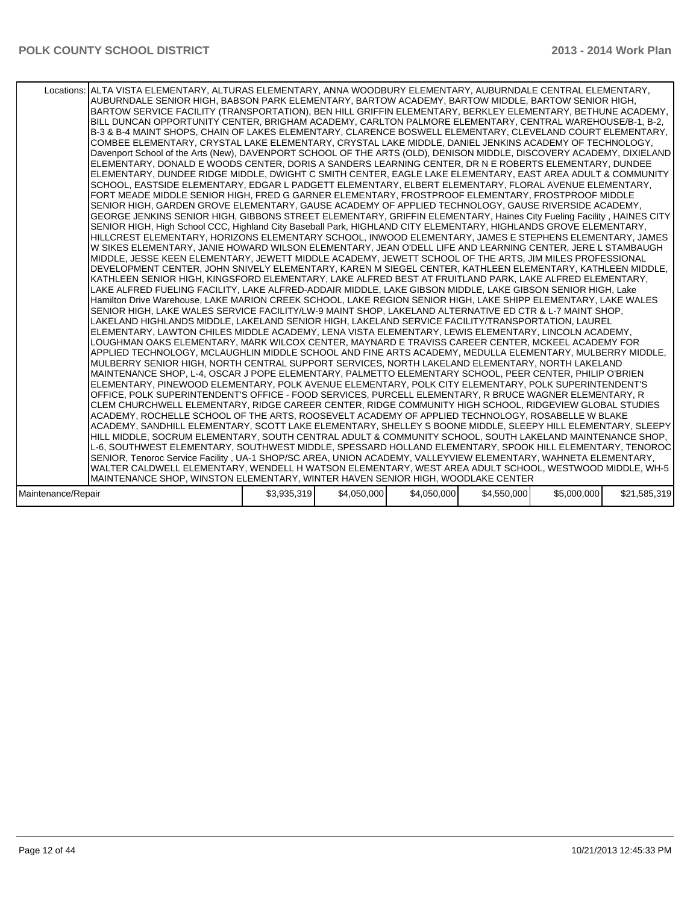|                    | Locations: ALTA VISTA ELEMENTARY, ALTURAS ELEMENTARY, ANNA WOODBURY ELEMENTARY, AUBURNDALE CENTRAL ELEMENTARY,<br>AUBURNDALE SENIOR HIGH, BABSON PARK ELEMENTARY, BARTOW ACADEMY, BARTOW MIDDLE, BARTOW SENIOR HIGH,<br>BARTOW SERVICE FACILITY (TRANSPORTATION), BEN HILL GRIFFIN ELEMENTARY, BERKLEY ELEMENTARY, BETHUNE ACADEMY,<br>BILL DUNCAN OPPORTUNITY CENTER, BRIGHAM ACADEMY, CARLTON PALMORE ELEMENTARY, CENTRAL WAREHOUSE/B-1, B-2,<br>B-3 & B-4 MAINT SHOPS, CHAIN OF LAKES ELEMENTARY, CLARENCE BOSWELL ELEMENTARY, CLEVELAND COURT ELEMENTARY,<br>COMBEE ELEMENTARY, CRYSTAL LAKE ELEMENTARY, CRYSTAL LAKE MIDDLE, DANIEL JENKINS ACADEMY OF TECHNOLOGY,<br>Davenport School of the Arts (New), DAVENPORT SCHOOL OF THE ARTS (OLD), DENISON MIDDLE, DISCOVERY ACADEMY, DIXIELAND<br>ELEMENTARY, DONALD E WOODS CENTER, DORIS A SANDERS LEARNING CENTER, DR N E ROBERTS ELEMENTARY, DUNDEE<br>ELEMENTARY, DUNDEE RIDGE MIDDLE, DWIGHT C SMITH CENTER, EAGLE LAKE ELEMENTARY, EAST AREA ADULT & COMMUNITY<br>SCHOOL, EASTSIDE ELEMENTARY, EDGAR L PADGETT ELEMENTARY, ELBERT ELEMENTARY, FLORAL AVENUE ELEMENTARY,<br>FORT MEADE MIDDLE SENIOR HIGH, FRED G GARNER ELEMENTARY, FROSTPROOF ELEMENTARY, FROSTPROOF MIDDLE<br>SENIOR HIGH, GARDEN GROVE ELEMENTARY, GAUSE ACADEMY OF APPLIED TECHNOLOGY, GAUSE RIVERSIDE ACADEMY,<br>GEORGE JENKINS SENIOR HIGH, GIBBONS STREET ELEMENTARY, GRIFFIN ELEMENTARY, Haines City Fueling Facility, HAINES CITY<br>SENIOR HIGH, High School CCC, Highland City Baseball Park, HIGHLAND CITY ELEMENTARY, HIGHLANDS GROVE ELEMENTARY,<br>HILLCREST ELEMENTARY, HORIZONS ELEMENTARY SCHOOL, INWOOD ELEMENTARY, JAMES E STEPHENS ELEMENTARY, JAMES<br>W SIKES ELEMENTARY, JANIE HOWARD WILSON ELEMENTARY, JEAN O'DELL LIFE AND LEARNING CENTER, JERE L STAMBAUGH<br>MIDDLE, JESSE KEEN ELEMENTARY, JEWETT MIDDLE ACADEMY, JEWETT SCHOOL OF THE ARTS, JIM MILES PROFESSIONAL<br>DEVELOPMENT CENTER, JOHN SNIVELY ELEMENTARY, KAREN M SIEGEL CENTER, KATHLEEN ELEMENTARY, KATHLEEN MIDDLE,<br>KATHLEEN SENIOR HIGH, KINGSFORD ELEMENTARY, LAKE ALFRED BEST AT FRUITLAND PARK, LAKE ALFRED ELEMENTARY,<br>LAKE ALFRED FUELING FACILITY, LAKE ALFRED-ADDAIR MIDDLE, LAKE GIBSON MIDDLE, LAKE GIBSON SENIOR HIGH, Lake<br>Hamilton Drive Warehouse, LAKE MARION CREEK SCHOOL, LAKE REGION SENIOR HIGH, LAKE SHIPP ELEMENTARY, LAKE WALES<br>SENIOR HIGH, LAKE WALES SERVICE FACILITY/LW-9 MAINT SHOP, LAKELAND ALTERNATIVE ED CTR & L-7 MAINT SHOP,<br>LAKELAND HIGHLANDS MIDDLE, LAKELAND SENIOR HIGH, LAKELAND SERVICE FACILITY/TRANSPORTATION, LAUREL<br>ELEMENTARY, LAWTON CHILES MIDDLE ACADEMY, LENA VISTA ELEMENTARY, LEWIS ELEMENTARY, LINCOLN ACADEMY,<br>LOUGHMAN OAKS ELEMENTARY. MARK WILCOX CENTER. MAYNARD E TRAVISS CAREER CENTER. MCKEEL ACADEMY FOR<br>APPLIED TECHNOLOGY, MCLAUGHLIN MIDDLE SCHOOL AND FINE ARTS ACADEMY, MEDULLA ELEMENTARY, MULBERRY MIDDLE,<br>MULBERRY SENIOR HIGH, NORTH CENTRAL SUPPORT SERVICES, NORTH LAKELAND ELEMENTARY, NORTH LAKELAND<br>MAINTENANCE SHOP, L-4, OSCAR J POPE ELEMENTARY, PALMETTO ELEMENTARY SCHOOL, PEER CENTER, PHILIP O'BRIEN<br>ELEMENTARY, PINEWOOD ELEMENTARY, POLK AVENUE ELEMENTARY, POLK CITY ELEMENTARY, POLK SUPERINTENDENT'S<br>OFFICE, POLK SUPERINTENDENT'S OFFICE - FOOD SERVICES, PURCELL ELEMENTARY, R BRUCE WAGNER ELEMENTARY, R<br>CLEM CHURCHWELL ELEMENTARY, RIDGE CAREER CENTER, RIDGE COMMUNITY HIGH SCHOOL, RIDGEVIEW GLOBAL STUDIES<br>ACADEMY, ROCHELLE SCHOOL OF THE ARTS, ROOSEVELT ACADEMY OF APPLIED TECHNOLOGY, ROSABELLE W BLAKE<br>ACADEMY, SANDHILL ELEMENTARY, SCOTT LAKE ELEMENTARY, SHELLEY S BOONE MIDDLE, SLEEPY HILL ELEMENTARY, SLEEPY  <br>HILL MIDDLE, SOCRUM ELEMENTARY, SOUTH CENTRAL ADULT & COMMUNITY SCHOOL, SOUTH LAKELAND MAINTENANCE SHOP,<br>L-6, SOUTHWEST ELEMENTARY, SOUTHWEST MIDDLE, SPESSARD HOLLAND ELEMENTARY, SPOOK HILL ELEMENTARY, TENOROC<br>SENIOR, Tenoroc Service Facility, UA-1 SHOP/SC AREA, UNION ACADEMY, VALLEYVIEW ELEMENTARY, WAHNETA ELEMENTARY,<br>WALTER CALDWELL ELEMENTARY, WENDELL H WATSON ELEMENTARY, WEST AREA ADULT SCHOOL, WESTWOOD MIDDLE, WH-5  <br>MAINTENANCE SHOP, WINSTON ELEMENTARY, WINTER HAVEN SENIOR HIGH, WOODLAKE CENTER |             |             |             |             |             |              |
|--------------------|-------------------------------------------------------------------------------------------------------------------------------------------------------------------------------------------------------------------------------------------------------------------------------------------------------------------------------------------------------------------------------------------------------------------------------------------------------------------------------------------------------------------------------------------------------------------------------------------------------------------------------------------------------------------------------------------------------------------------------------------------------------------------------------------------------------------------------------------------------------------------------------------------------------------------------------------------------------------------------------------------------------------------------------------------------------------------------------------------------------------------------------------------------------------------------------------------------------------------------------------------------------------------------------------------------------------------------------------------------------------------------------------------------------------------------------------------------------------------------------------------------------------------------------------------------------------------------------------------------------------------------------------------------------------------------------------------------------------------------------------------------------------------------------------------------------------------------------------------------------------------------------------------------------------------------------------------------------------------------------------------------------------------------------------------------------------------------------------------------------------------------------------------------------------------------------------------------------------------------------------------------------------------------------------------------------------------------------------------------------------------------------------------------------------------------------------------------------------------------------------------------------------------------------------------------------------------------------------------------------------------------------------------------------------------------------------------------------------------------------------------------------------------------------------------------------------------------------------------------------------------------------------------------------------------------------------------------------------------------------------------------------------------------------------------------------------------------------------------------------------------------------------------------------------------------------------------------------------------------------------------------------------------------------------------------------------------------------------------------------------------------------------------------------------------------------------------------------------------------------------------------------------------------------------------------------------------------------------------------------------------------------------------------------------------------------------------------------------------------------------------------------------------------------------------------------------------------------------------------------------------------------------------------------------------------------------------------------------------------------------------------------------------------------------------------------------------------------------------------------------------------------------------------------------------------------------------------------------------------------|-------------|-------------|-------------|-------------|-------------|--------------|
|                    |                                                                                                                                                                                                                                                                                                                                                                                                                                                                                                                                                                                                                                                                                                                                                                                                                                                                                                                                                                                                                                                                                                                                                                                                                                                                                                                                                                                                                                                                                                                                                                                                                                                                                                                                                                                                                                                                                                                                                                                                                                                                                                                                                                                                                                                                                                                                                                                                                                                                                                                                                                                                                                                                                                                                                                                                                                                                                                                                                                                                                                                                                                                                                                                                                                                                                                                                                                                                                                                                                                                                                                                                                                                                                                                                                                                                                                                                                                                                                                                                                                                                                                                                                                                                                                     |             |             |             |             |             |              |
| Maintenance/Repair |                                                                                                                                                                                                                                                                                                                                                                                                                                                                                                                                                                                                                                                                                                                                                                                                                                                                                                                                                                                                                                                                                                                                                                                                                                                                                                                                                                                                                                                                                                                                                                                                                                                                                                                                                                                                                                                                                                                                                                                                                                                                                                                                                                                                                                                                                                                                                                                                                                                                                                                                                                                                                                                                                                                                                                                                                                                                                                                                                                                                                                                                                                                                                                                                                                                                                                                                                                                                                                                                                                                                                                                                                                                                                                                                                                                                                                                                                                                                                                                                                                                                                                                                                                                                                                     | \$3,935,319 | \$4,050,000 | \$4,050,000 | \$4,550,000 | \$5,000,000 | \$21,585,319 |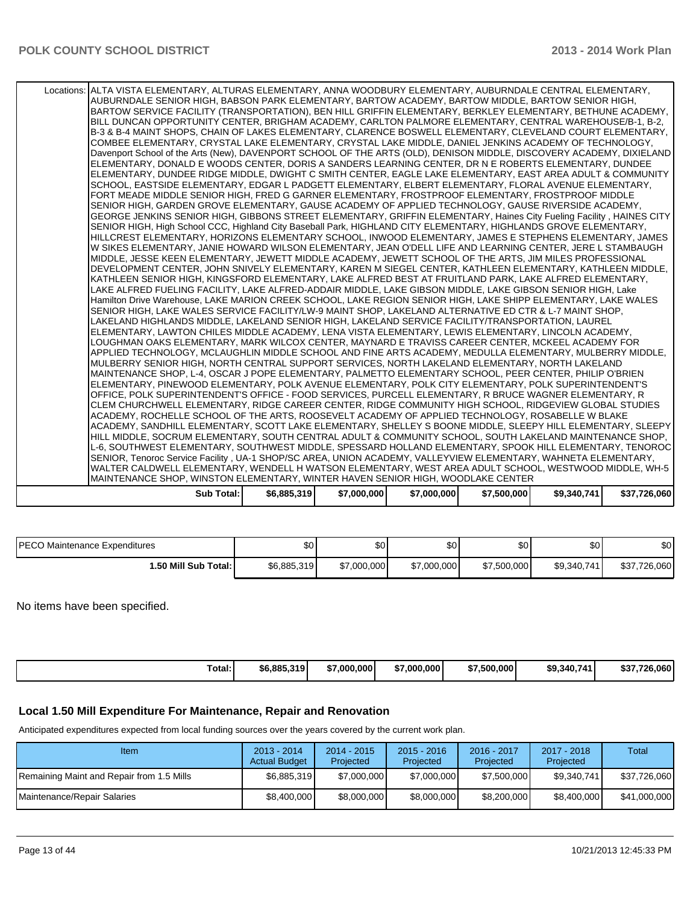| Locations: ALTA VISTA ELEMENTARY, ALTURAS ELEMENTARY, ANNA WOODBURY ELEMENTARY, AUBURNDALE CENTRAL ELEMENTARY,<br>AUBURNDALE SENIOR HIGH, BABSON PARK ELEMENTARY, BARTOW ACADEMY, BARTOW MIDDLE, BARTOW SENIOR HIGH,           |             |             |             |             |             |              |
|--------------------------------------------------------------------------------------------------------------------------------------------------------------------------------------------------------------------------------|-------------|-------------|-------------|-------------|-------------|--------------|
| BARTOW SERVICE FACILITY (TRANSPORTATION), BEN HILL GRIFFIN ELEMENTARY, BERKLEY ELEMENTARY, BETHUNE ACADEMY,                                                                                                                    |             |             |             |             |             |              |
| BILL DUNCAN OPPORTUNITY CENTER, BRIGHAM ACADEMY, CARLTON PALMORE ELEMENTARY, CENTRAL WAREHOUSE/B-1, B-2,                                                                                                                       |             |             |             |             |             |              |
| B-3 & B-4 MAINT SHOPS, CHAIN OF LAKES ELEMENTARY, CLARENCE BOSWELL ELEMENTARY, CLEVELAND COURT ELEMENTARY,                                                                                                                     |             |             |             |             |             |              |
| COMBEE ELEMENTARY, CRYSTAL LAKE ELEMENTARY, CRYSTAL LAKE MIDDLE, DANIEL JENKINS ACADEMY OF TECHNOLOGY,<br>Davenport School of the Arts (New), DAVENPORT SCHOOL OF THE ARTS (OLD), DENISON MIDDLE, DISCOVERY ACADEMY, DIXIELAND |             |             |             |             |             |              |
| ELEMENTARY, DONALD E WOODS CENTER, DORIS A SANDERS LEARNING CENTER, DR N E ROBERTS ELEMENTARY, DUNDEE                                                                                                                          |             |             |             |             |             |              |
| ELEMENTARY, DUNDEE RIDGE MIDDLE, DWIGHT C SMITH CENTER, EAGLE LAKE ELEMENTARY, EAST AREA ADULT & COMMUNITY                                                                                                                     |             |             |             |             |             |              |
| SCHOOL, EASTSIDE ELEMENTARY, EDGAR L PADGETT ELEMENTARY, ELBERT ELEMENTARY, FLORAL AVENUE ELEMENTARY,                                                                                                                          |             |             |             |             |             |              |
| FORT MEADE MIDDLE SENIOR HIGH, FRED G GARNER ELEMENTARY, FROSTPROOF ELEMENTARY, FROSTPROOF MIDDLE                                                                                                                              |             |             |             |             |             |              |
| SENIOR HIGH, GARDEN GROVE ELEMENTARY, GAUSE ACADEMY OF APPLIED TECHNOLOGY, GAUSE RIVERSIDE ACADEMY,                                                                                                                            |             |             |             |             |             |              |
| GEORGE JENKINS SENIOR HIGH, GIBBONS STREET ELEMENTARY, GRIFFIN ELEMENTARY, Haines City Fueling Facility, HAINES CITY                                                                                                           |             |             |             |             |             |              |
| SENIOR HIGH, High School CCC, Highland City Baseball Park, HIGHLAND CITY ELEMENTARY, HIGHLANDS GROVE ELEMENTARY,                                                                                                               |             |             |             |             |             |              |
| HILLCREST ELEMENTARY, HORIZONS ELEMENTARY SCHOOL, INWOOD ELEMENTARY, JAMES E STEPHENS ELEMENTARY, JAMES<br>W SIKES ELEMENTARY, JANIE HOWARD WILSON ELEMENTARY, JEAN O'DELL LIFE AND LEARNING CENTER, JERE L STAMBAUGH          |             |             |             |             |             |              |
| MIDDLE, JESSE KEEN ELEMENTARY, JEWETT MIDDLE ACADEMY, JEWETT SCHOOL OF THE ARTS, JIM MILES PROFESSIONAL                                                                                                                        |             |             |             |             |             |              |
| DEVELOPMENT CENTER, JOHN SNIVELY ELEMENTARY, KAREN M SIEGEL CENTER, KATHLEEN ELEMENTARY, KATHLEEN MIDDLE,                                                                                                                      |             |             |             |             |             |              |
| KATHLEEN SENIOR HIGH, KINGSFORD ELEMENTARY, LAKE ALFRED BEST AT FRUITLAND PARK, LAKE ALFRED ELEMENTARY,                                                                                                                        |             |             |             |             |             |              |
| LAKE ALFRED FUELING FACILITY, LAKE ALFRED-ADDAIR MIDDLE, LAKE GIBSON MIDDLE, LAKE GIBSON SENIOR HIGH, Lake                                                                                                                     |             |             |             |             |             |              |
| Hamilton Drive Warehouse, LAKE MARION CREEK SCHOOL, LAKE REGION SENIOR HIGH, LAKE SHIPP ELEMENTARY, LAKE WALES                                                                                                                 |             |             |             |             |             |              |
| SENIOR HIGH, LAKE WALES SERVICE FACILITY/LW-9 MAINT SHOP, LAKELAND ALTERNATIVE ED CTR & L-7 MAINT SHOP,<br>LAKELAND HIGHLANDS MIDDLE, LAKELAND SENIOR HIGH, LAKELAND SERVICE FACILITY/TRANSPORTATION, LAUREL                   |             |             |             |             |             |              |
| ELEMENTARY, LAWTON CHILES MIDDLE ACADEMY, LENA VISTA ELEMENTARY, LEWIS ELEMENTARY, LINCOLN ACADEMY,                                                                                                                            |             |             |             |             |             |              |
| LOUGHMAN OAKS ELEMENTARY, MARK WILCOX CENTER, MAYNARD E TRAVISS CAREER CENTER, MCKEEL ACADEMY FOR                                                                                                                              |             |             |             |             |             |              |
| APPLIED TECHNOLOGY, MCLAUGHLIN MIDDLE SCHOOL AND FINE ARTS ACADEMY, MEDULLA ELEMENTARY, MULBERRY MIDDLE,                                                                                                                       |             |             |             |             |             |              |
| MULBERRY SENIOR HIGH, NORTH CENTRAL SUPPORT SERVICES, NORTH LAKELAND ELEMENTARY, NORTH LAKELAND                                                                                                                                |             |             |             |             |             |              |
| MAINTENANCE SHOP, L-4, OSCAR J POPE ELEMENTARY, PALMETTO ELEMENTARY SCHOOL, PEER CENTER, PHILIP O'BRIEN                                                                                                                        |             |             |             |             |             |              |
| ELEMENTARY, PINEWOOD ELEMENTARY, POLK AVENUE ELEMENTARY, POLK CITY ELEMENTARY, POLK SUPERINTENDENT'S                                                                                                                           |             |             |             |             |             |              |
| OFFICE, POLK SUPERINTENDENT'S OFFICE - FOOD SERVICES, PURCELL ELEMENTARY, R BRUCE WAGNER ELEMENTARY, R<br>CLEM CHURCHWELL ELEMENTARY, RIDGE CAREER CENTER, RIDGE COMMUNITY HIGH SCHOOL, RIDGEVIEW GLOBAL STUDIES               |             |             |             |             |             |              |
| ACADEMY, ROCHELLE SCHOOL OF THE ARTS, ROOSEVELT ACADEMY OF APPLIED TECHNOLOGY, ROSABELLE W BLAKE                                                                                                                               |             |             |             |             |             |              |
| ACADEMY, SANDHILL ELEMENTARY, SCOTT LAKE ELEMENTARY, SHELLEY S BOONE MIDDLE, SLEEPY HILL ELEMENTARY, SLEEPY                                                                                                                    |             |             |             |             |             |              |
| HILL MIDDLE, SOCRUM ELEMENTARY, SOUTH CENTRAL ADULT & COMMUNITY SCHOOL, SOUTH LAKELAND MAINTENANCE SHOP,                                                                                                                       |             |             |             |             |             |              |
| L-6, SOUTHWEST ELEMENTARY, SOUTHWEST MIDDLE, SPESSARD HOLLAND ELEMENTARY, SPOOK HILL ELEMENTARY, TENOROC                                                                                                                       |             |             |             |             |             |              |
| SENIOR, Tenoroc Service Facility, UA-1 SHOP/SC AREA, UNION ACADEMY, VALLEYVIEW ELEMENTARY, WAHNETA ELEMENTARY,                                                                                                                 |             |             |             |             |             |              |
| WALTER CALDWELL ELEMENTARY, WENDELL H WATSON ELEMENTARY, WEST AREA ADULT SCHOOL, WESTWOOD MIDDLE, WH-5                                                                                                                         |             |             |             |             |             |              |
| MAINTENANCE SHOP, WINSTON ELEMENTARY, WINTER HAVEN SENIOR HIGH, WOODLAKE CENTER                                                                                                                                                |             |             |             |             |             |              |
| <b>Sub Total:</b>                                                                                                                                                                                                              | \$6,885,319 | \$7,000,000 | \$7,000,000 | \$7,500,000 | \$9,340,741 | \$37,726,060 |

| <b>IPECO Maintenance Expenditures</b> | $\sim$<br>J∪ ⊺ | $\sim$<br>ъU | œ۵<br>υu    | \$0         | ሶሳ<br>υ∪    | ¢∩l<br>ו טפ  |
|---------------------------------------|----------------|--------------|-------------|-------------|-------------|--------------|
| 1.50 Mill Sub Total: İ                | \$6,885,319    | \$7,000,000  | \$7,000,000 | \$7,500,000 | \$9,340,741 | \$37,726,060 |

No items have been specified.

| \$6.885.319<br>\$7,500,000<br>\$9,340,741<br>7.000.000<br>\$7,000,000<br>otal:<br>э1<br>. | \$37.726.060 |
|-------------------------------------------------------------------------------------------|--------------|
|-------------------------------------------------------------------------------------------|--------------|

# **Local 1.50 Mill Expenditure For Maintenance, Repair and Renovation**

Anticipated expenditures expected from local funding sources over the years covered by the current work plan.

| Item                                      | $2013 - 2014$<br><b>Actual Budget</b> | $2014 - 2015$<br>Projected | $2015 - 2016$<br>Projected | 2016 - 2017<br>Projected | $2017 - 2018$<br>Projected | Total        |
|-------------------------------------------|---------------------------------------|----------------------------|----------------------------|--------------------------|----------------------------|--------------|
| Remaining Maint and Repair from 1.5 Mills | \$6,885,319                           | \$7,000,000                | \$7,000,000                | \$7,500,000              | \$9.340.741                | \$37,726,060 |
| Maintenance/Repair Salaries               | \$8,400,000                           | \$8,000,000                | \$8,000,000                | \$8,200,000              | \$8,400,000                | \$41,000,000 |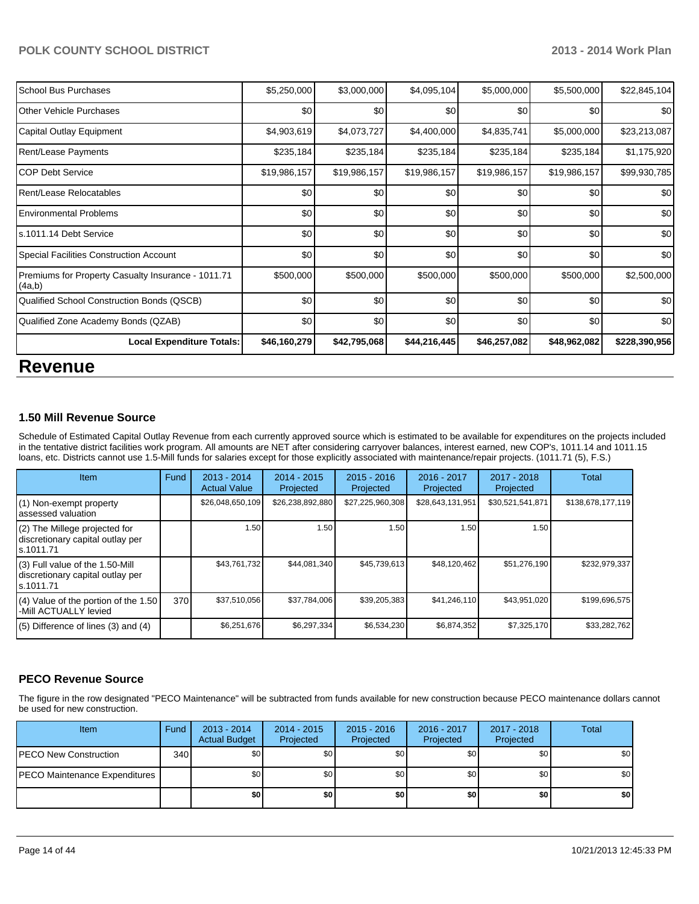| School Bus Purchases                                         | \$5,250,000  | \$3,000,000  | \$4,095,104  | \$5,000,000  | \$5,500,000  | \$22,845,104  |
|--------------------------------------------------------------|--------------|--------------|--------------|--------------|--------------|---------------|
| <b>IOther Vehicle Purchases</b>                              | \$0          | \$0          | \$0          | \$0          | \$0          | \$0           |
| Capital Outlay Equipment                                     | \$4,903,619  | \$4,073,727  | \$4,400,000  | \$4,835,741  | \$5,000,000  | \$23,213,087  |
| Rent/Lease Payments                                          | \$235,184    | \$235,184    | \$235,184    | \$235,184    | \$235,184    | \$1,175,920   |
| ICOP Debt Service                                            | \$19,986,157 | \$19,986,157 | \$19,986,157 | \$19,986,157 | \$19,986,157 | \$99,930,785  |
| Rent/Lease Relocatables                                      | \$0          | \$0          | \$0          | \$0          | \$0          | \$0           |
| <b>IEnvironmental Problems</b>                               | \$0          | \$0          | \$0          | \$0          | \$0          | \$0           |
| Is.1011.14 Debt Service                                      | \$0          | \$0          | \$0          | \$0          | \$0          | \$0           |
| Special Facilities Construction Account                      | \$0          | \$0          | \$0          | \$0          | \$0          | \$0           |
| Premiums for Property Casualty Insurance - 1011.71<br>(4a,b) | \$500,000    | \$500,000    | \$500,000    | \$500,000    | \$500,000    | \$2,500,000   |
| Qualified School Construction Bonds (QSCB)                   | \$0          | \$0          | \$0          | \$0          | \$0          | \$0           |
| Qualified Zone Academy Bonds (QZAB)                          | \$0          | \$0          | \$0          | \$0          | \$0          | \$0           |
| <b>Local Expenditure Totals:</b>                             | \$46,160,279 | \$42,795,068 | \$44,216,445 | \$46,257,082 | \$48,962,082 | \$228,390,956 |

# **Revenue**

## **1.50 Mill Revenue Source**

Schedule of Estimated Capital Outlay Revenue from each currently approved source which is estimated to be available for expenditures on the projects included in the tentative district facilities work program. All amounts are NET after considering carryover balances, interest earned, new COP's, 1011.14 and 1011.15 loans, etc. Districts cannot use 1.5-Mill funds for salaries except for those explicitly associated with maintenance/repair projects. (1011.71 (5), F.S.)

| Item                                                                              | Fund | 2013 - 2014<br><b>Actual Value</b> | $2014 - 2015$<br>Projected | $2015 - 2016$<br>Projected | $2016 - 2017$<br>Projected | 2017 - 2018<br>Projected | Total             |
|-----------------------------------------------------------------------------------|------|------------------------------------|----------------------------|----------------------------|----------------------------|--------------------------|-------------------|
| (1) Non-exempt property<br>lassessed valuation                                    |      | \$26,048,650,109                   | \$26,238,892,880           | \$27,225,960,308           | \$28,643,131,951           | \$30,521,541,871         | \$138,678,177,119 |
| $(2)$ The Millege projected for<br>discretionary capital outlay per<br>ls.1011.71 |      | 1.50                               | 1.50                       | 1.50                       | 1.50                       | 1.50 l                   |                   |
| (3) Full value of the 1.50-Mill<br>discretionary capital outlay per<br>ls.1011.71 |      | \$43,761,732                       | \$44,081,340               | \$45,739,613               | \$48,120,462               | \$51,276,190             | \$232,979,337     |
| (4) Value of the portion of the 1.50<br>-Mill ACTUALLY levied                     | 370  | \$37,510,056                       | \$37,784,006               | \$39,205,383               | \$41,246,110               | \$43,951,020             | \$199,696,575     |
| $(5)$ Difference of lines (3) and (4)                                             |      | \$6,251,676                        | \$6,297,334                | \$6,534,230                | \$6,874,352                | \$7,325,170              | \$33,282,762      |

## **PECO Revenue Source**

The figure in the row designated "PECO Maintenance" will be subtracted from funds available for new construction because PECO maintenance dollars cannot be used for new construction.

| <b>Item</b>                   | Fund | $2013 - 2014$<br><b>Actual Budget</b> | $2014 - 2015$<br>Projected | $2015 - 2016$<br>Projected | 2016 - 2017<br>Projected | 2017 - 2018<br>Projected | <b>Total</b> |
|-------------------------------|------|---------------------------------------|----------------------------|----------------------------|--------------------------|--------------------------|--------------|
| IPECO New Construction        | 340  | \$0                                   | \$0 <sub>1</sub>           | \$0                        | \$0                      | \$0                      | \$0          |
| PECO Maintenance Expenditures |      | \$0                                   | \$0                        | \$0                        | \$0                      | \$0                      | \$0          |
|                               |      | \$0 I                                 | \$0                        | \$0                        | \$0                      | \$0                      | \$0          |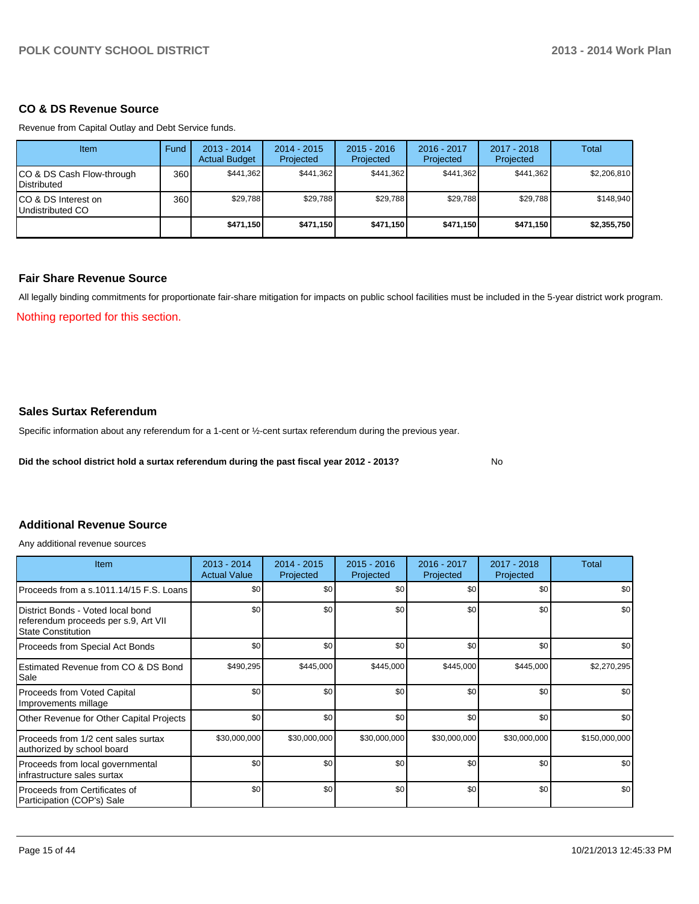### **CO & DS Revenue Source**

Revenue from Capital Outlay and Debt Service funds.

| Item                                            | Fund | 2013 - 2014<br><b>Actual Budget</b> | $2014 - 2015$<br>Projected | $2015 - 2016$<br>Projected | $2016 - 2017$<br>Projected | $2017 - 2018$<br>Projected | Total       |
|-------------------------------------------------|------|-------------------------------------|----------------------------|----------------------------|----------------------------|----------------------------|-------------|
| CO & DS Cash Flow-through<br><b>Distributed</b> | 360  | \$441.362                           | \$441.362                  | \$441.362                  | \$441.362                  | \$441.362                  | \$2,206,810 |
| CO & DS Interest on<br>Undistributed CO         | 360  | \$29.788                            | \$29.788                   | \$29.788                   | \$29.788                   | \$29.788                   | \$148.940   |
|                                                 |      | \$471.150                           | \$471,150                  | \$471.150                  | \$471.150                  | \$471,150                  | \$2,355,750 |

## **Fair Share Revenue Source**

Nothing reported for this section. All legally binding commitments for proportionate fair-share mitigation for impacts on public school facilities must be included in the 5-year district work program.

### **Sales Surtax Referendum**

Specific information about any referendum for a 1-cent or ½-cent surtax referendum during the previous year.

**Did the school district hold a surtax referendum during the past fiscal year 2012 - 2013?**

No

### **Additional Revenue Source**

Any additional revenue sources

| Item                                                                                                   | 2013 - 2014<br><b>Actual Value</b> | 2014 - 2015<br>Projected | $2015 - 2016$<br>Projected | 2016 - 2017<br>Projected | 2017 - 2018<br>Projected | Total         |
|--------------------------------------------------------------------------------------------------------|------------------------------------|--------------------------|----------------------------|--------------------------|--------------------------|---------------|
| Proceeds from a s.1011.14/15 F.S. Loans                                                                | \$0                                | \$0                      | \$0                        | \$0                      | \$0                      | \$0           |
| District Bonds - Voted local bond<br>referendum proceeds per s.9, Art VII<br><b>State Constitution</b> | \$0                                | \$0                      | \$0                        | \$0                      | \$0                      | \$0           |
| Proceeds from Special Act Bonds                                                                        | \$0                                | \$0                      | \$0                        | \$0                      | \$0                      | \$0           |
| Estimated Revenue from CO & DS Bond<br>Sale                                                            | \$490,295                          | \$445,000                | \$445,000                  | \$445,000                | \$445,000                | \$2,270,295   |
| Proceeds from Voted Capital<br>Improvements millage                                                    | \$0                                | \$0                      | \$0                        | \$0                      | \$0                      | \$0           |
| Other Revenue for Other Capital Projects                                                               | \$0                                | \$0                      | \$0                        | \$0                      | \$0                      | \$0           |
| Proceeds from 1/2 cent sales surtax<br>authorized by school board                                      | \$30,000,000                       | \$30,000,000             | \$30,000,000               | \$30,000,000             | \$30,000,000             | \$150,000,000 |
| Proceeds from local governmental<br>infrastructure sales surtax                                        | \$0                                | \$0                      | \$0                        | \$0                      | \$0                      | \$0           |
| Proceeds from Certificates of<br>Participation (COP's) Sale                                            | \$0                                | \$0                      | \$0                        | \$0                      | \$0                      | \$0           |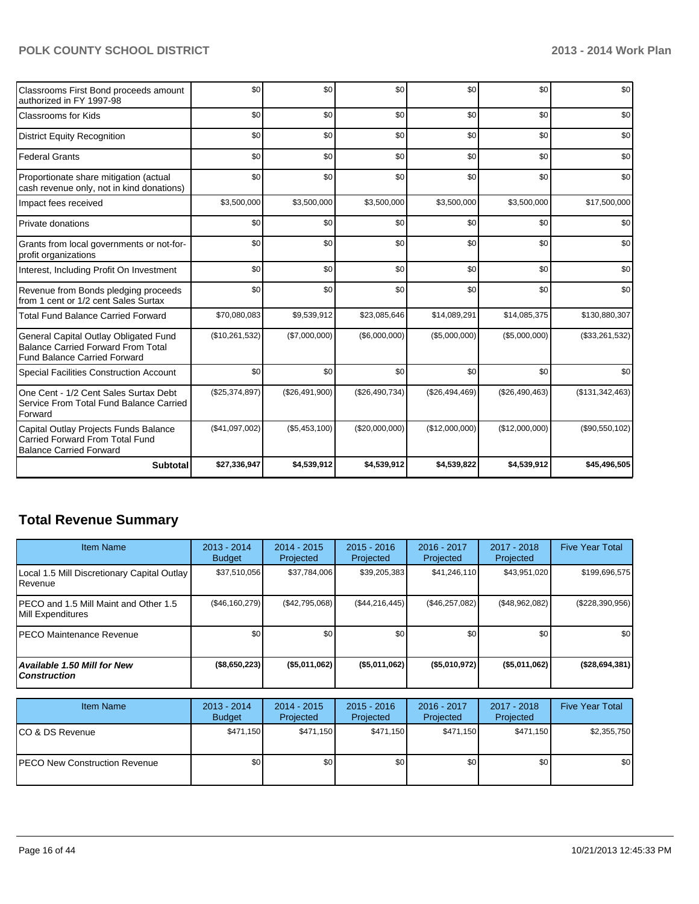| Classrooms First Bond proceeds amount<br>authorized in FY 1997-98                                                         | \$0            | \$0            | \$0            | \$0            | \$0            | \$0             |
|---------------------------------------------------------------------------------------------------------------------------|----------------|----------------|----------------|----------------|----------------|-----------------|
| <b>Classrooms for Kids</b>                                                                                                | \$0            | \$0            | \$0            | \$0            | \$0            | \$0             |
| <b>District Equity Recognition</b>                                                                                        | \$0            | \$0            | \$0            | \$0            | \$0            | \$0             |
| <b>Federal Grants</b>                                                                                                     | \$0            | \$0            | \$0            | \$0            | \$0            | \$0             |
| Proportionate share mitigation (actual<br>cash revenue only, not in kind donations)                                       | \$0            | \$0            | \$0            | \$0            | \$0            | \$0             |
| Impact fees received                                                                                                      | \$3,500,000    | \$3,500,000    | \$3,500,000    | \$3,500,000    | \$3,500,000    | \$17,500,000    |
| Private donations                                                                                                         | \$0            | \$0            | \$0            | \$0            | \$0            | \$0             |
| Grants from local governments or not-for-<br>profit organizations                                                         | \$0            | \$0            | \$0            | \$0            | \$0            | \$0             |
| Interest, Including Profit On Investment                                                                                  | \$0            | \$0            | \$0            | \$0            | \$0            | \$0             |
| Revenue from Bonds pledging proceeds<br>from 1 cent or 1/2 cent Sales Surtax                                              | \$0            | \$0            | \$0            | \$0            | \$0            | \$0             |
| <b>Total Fund Balance Carried Forward</b>                                                                                 | \$70,080,083   | \$9,539,912    | \$23,085,646   | \$14,089,291   | \$14,085,375   | \$130,880,307   |
| General Capital Outlay Obligated Fund<br><b>Balance Carried Forward From Total</b><br><b>Fund Balance Carried Forward</b> | (\$10,261,532) | (\$7,000,000)  | (\$6,000,000)  | (\$5,000,000)  | (\$5,000,000)  | (\$33,261,532)  |
| <b>Special Facilities Construction Account</b>                                                                            | \$0            | \$0            | \$0            | \$0            | \$0            | \$0             |
| One Cent - 1/2 Cent Sales Surtax Debt<br>Service From Total Fund Balance Carried<br>Forward                               | (\$25,374,897) | (\$26,491,900) | (\$26,490,734) | (\$26,494,469) | (\$26,490,463) | (\$131,342,463) |
| Capital Outlay Projects Funds Balance<br>Carried Forward From Total Fund<br><b>Balance Carried Forward</b>                | (\$41,097,002) | (\$5,453,100)  | (\$20,000,000) | (\$12,000,000) | (\$12,000,000) | (\$90,550,102)  |
| <b>Subtotal</b>                                                                                                           | \$27,336,947   | \$4,539,912    | \$4,539,912    | \$4,539,822    | \$4,539,912    | \$45,496,505    |

# **Total Revenue Summary**

| Item Name                                                           | $2013 - 2014$<br><b>Budget</b> | $2014 - 2015$<br>Projected | $2015 - 2016$<br>Projected | $2016 - 2017$<br>Projected | $2017 - 2018$<br>Projected | <b>Five Year Total</b> |
|---------------------------------------------------------------------|--------------------------------|----------------------------|----------------------------|----------------------------|----------------------------|------------------------|
| Local 1.5 Mill Discretionary Capital Outlay  <br><b>I</b> Revenue   | \$37,510,056                   | \$37,784,006               | \$39,205,383               | \$41,246,110               | \$43,951,020               | \$199,696,575          |
| IPECO and 1.5 Mill Maint and Other 1.5<br><b>IMill Expenditures</b> | (S46, 160, 279)                | (S42.795.068)              | (\$44,216,445)             | (\$46,257,082)             | (\$48,962,082)             | $(\$228,390,956)$      |
| IPECO Maintenance Revenue                                           | \$0                            | \$0                        | \$0                        | \$0                        | \$0 <sub>1</sub>           | \$0 <sub>1</sub>       |
| Available 1.50 Mill for New l<br>l Construction                     | ( \$8,650,223)                 | ( \$5,011,062)             | (\$5,011,062)              | (S5,010,972)               | (\$5,011,062)              | (\$28,694,381)         |

| <b>Item Name</b>                      | $2013 - 2014$<br><b>Budget</b> | $2014 - 2015$<br>Projected | $2015 - 2016$<br>Projected | 2016 - 2017<br>Projected | 2017 - 2018<br>Projected | <b>Five Year Total</b> |
|---------------------------------------|--------------------------------|----------------------------|----------------------------|--------------------------|--------------------------|------------------------|
| ICO & DS Revenue                      | \$471.150                      | \$471.150                  | \$471.150                  | \$471.150                | \$471.150                | \$2,355,750            |
| <b>IPECO New Construction Revenue</b> | \$0                            | \$0                        | \$0                        | \$0                      | \$0                      | \$0                    |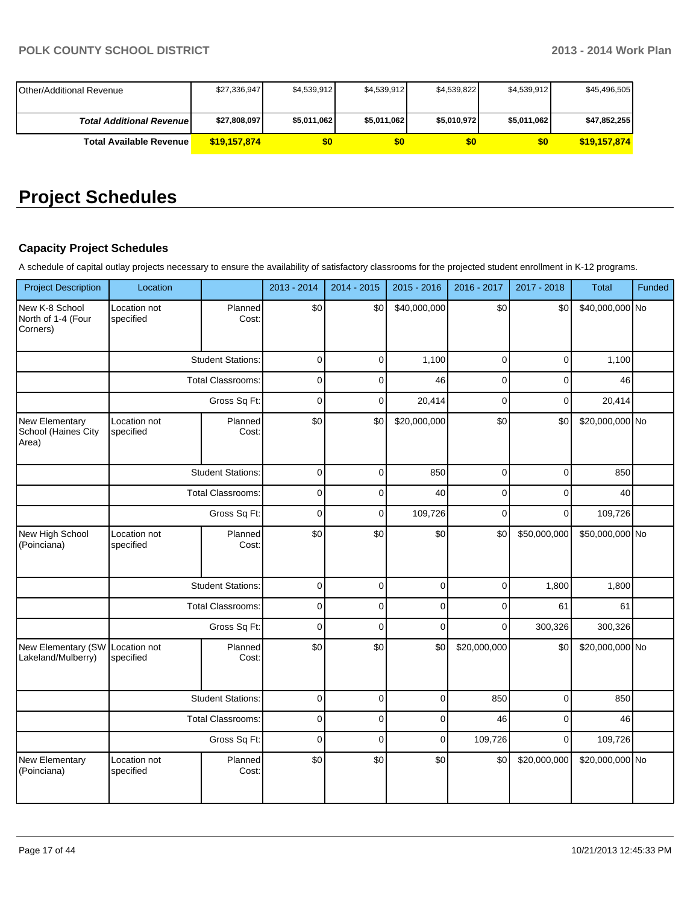| <b>I</b> Other/Additional Revenue | \$27.336.947 | \$4,539,912 | \$4.539.912 | \$4,539,822 | \$4.539.912 | \$45,496,505 |
|-----------------------------------|--------------|-------------|-------------|-------------|-------------|--------------|
| <b>Total Additional Revenuel</b>  | \$27,808,097 | \$5,011,062 | \$5,011,062 | \$5,010,972 | \$5,011,062 | \$47,852,255 |
| <b>Total Available Revenue</b>    | \$19.157.874 | \$0         | 50          | 50          | \$0         | \$19,157,874 |

# **Project Schedules**

# **Capacity Project Schedules**

A schedule of capital outlay projects necessary to ensure the availability of satisfactory classrooms for the projected student enrollment in K-12 programs.

| <b>Project Description</b>                       | Location                  |                          | 2013 - 2014    | 2014 - 2015    | 2015 - 2016  | 2016 - 2017    | 2017 - 2018    | <b>Total</b>    | Funded |
|--------------------------------------------------|---------------------------|--------------------------|----------------|----------------|--------------|----------------|----------------|-----------------|--------|
| New K-8 School<br>North of 1-4 (Four<br>Corners) | Location not<br>specified | Planned<br>Cost:         | \$0            | \$0            | \$40,000,000 | \$0            | \$0            | \$40,000,000 No |        |
|                                                  |                           | <b>Student Stations:</b> | $\mathbf 0$    | 0              | 1,100        | 0              | $\pmb{0}$      | 1,100           |        |
|                                                  |                           | <b>Total Classrooms:</b> | 0              | $\overline{0}$ | 46           | $\mathbf 0$    | $\mathbf 0$    | 46              |        |
|                                                  |                           | Gross Sq Ft:             | $\overline{0}$ | $\mathbf 0$    | 20,414       | $\overline{0}$ | $\mathbf 0$    | 20,414          |        |
| New Elementary<br>School (Haines City<br>Area)   | Location not<br>specified | Planned<br>Cost:         | \$0            | \$0            | \$20,000,000 | \$0            | \$0            | \$20,000,000 No |        |
|                                                  |                           | <b>Student Stations:</b> | $\mathbf 0$    | 0              | 850          | 0              | 0              | 850             |        |
|                                                  |                           | <b>Total Classrooms:</b> | 0              | 0              | 40           | $\mathbf 0$    | 0              | 40              |        |
|                                                  |                           | Gross Sq Ft:             | $\overline{0}$ | $\overline{0}$ | 109,726      | $\overline{0}$ | $\mathbf 0$    | 109,726         |        |
| New High School<br>(Poinciana)                   | Location not<br>specified | Planned<br>Cost:         | \$0            | \$0            | \$0          | \$0            | \$50,000,000   | \$50,000,000 No |        |
|                                                  |                           | <b>Student Stations:</b> | $\mathbf 0$    | $\mathsf 0$    | $\pmb{0}$    | $\overline{0}$ | 1,800          | 1,800           |        |
|                                                  |                           | <b>Total Classrooms:</b> | 0              | $\overline{0}$ | $\mathbf 0$  | 0              | 61             | 61              |        |
|                                                  |                           | Gross Sq Ft:             | $\mathbf 0$    | $\mathbf 0$    | $\mathbf 0$  | $\mathbf 0$    | 300,326        | 300,326         |        |
| New Elementary (SW<br>Lakeland/Mulberry)         | Location not<br>specified | Planned<br>Cost:         | \$0            | \$0            | \$0          | \$20,000,000   | \$0            | \$20,000,000 No |        |
|                                                  |                           | <b>Student Stations:</b> | $\mathbf 0$    | $\mathsf 0$    | $\mathbf 0$  | 850            | $\mathsf 0$    | 850             |        |
|                                                  |                           | <b>Total Classrooms:</b> | 0              | 0              | $\mathbf 0$  | 46             | 0              | 46              |        |
|                                                  |                           | Gross Sq Ft:             | $\mathbf 0$    | $\mathbf 0$    | $\mathbf 0$  | 109,726        | $\overline{0}$ | 109,726         |        |
| New Elementary<br>(Poinciana)                    | Location not<br>specified | Planned<br>Cost:         | \$0            | \$0            | \$0          | \$0            | \$20,000,000   | \$20,000,000 No |        |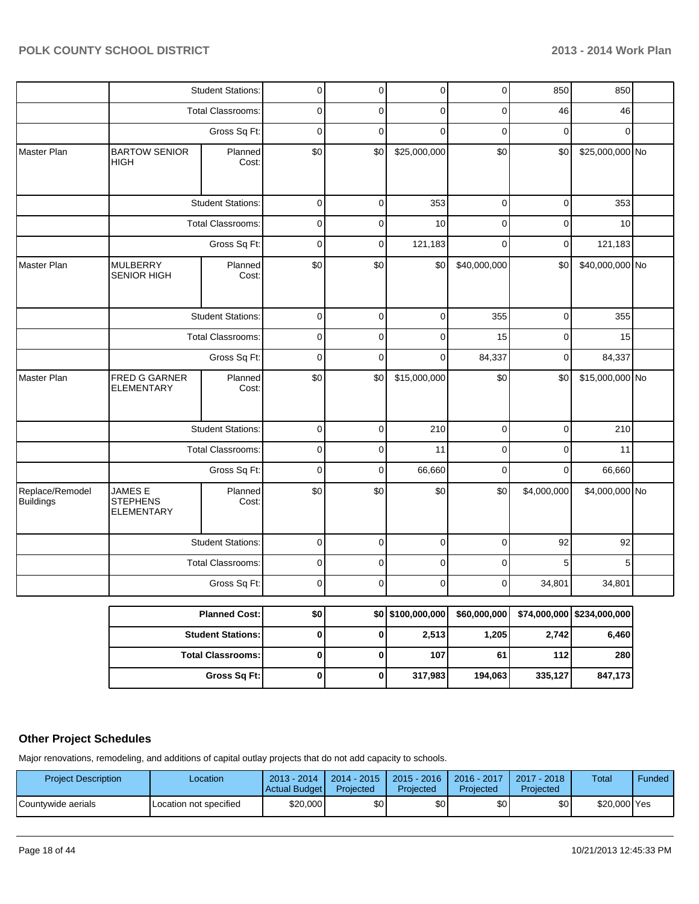|                                     |                                                 | <b>Student Stations:</b> | $\overline{0}$ | $\overline{0}$ | $\pmb{0}$            | 0            | 850          | 850             |  |
|-------------------------------------|-------------------------------------------------|--------------------------|----------------|----------------|----------------------|--------------|--------------|-----------------|--|
|                                     |                                                 | <b>Total Classrooms:</b> | 0              | 0              | $\mathbf 0$          | 0            | 46           | 46              |  |
|                                     |                                                 | Gross Sq Ft:             | $\mathbf 0$    | $\mathbf 0$    | $\mathbf 0$          | $\mathbf 0$  | $\mathbf 0$  | 0               |  |
| Master Plan                         | <b>BARTOW SENIOR</b><br><b>HIGH</b>             | Planned<br>Cost:         |                | \$0            | \$25,000,000         | \$0          | \$0          | \$25,000,000 No |  |
|                                     |                                                 | <b>Student Stations:</b> | $\mathbf 0$    | $\mathbf 0$    | 353                  | $\mathbf 0$  | 0            | 353             |  |
|                                     |                                                 | Total Classrooms:        | 0              | 0              | 10                   | 0            | 0            | 10              |  |
|                                     |                                                 | Gross Sq Ft:             | $\mathbf 0$    | 0              | 121,183              | 0            | $\mathbf 0$  | 121,183         |  |
| Master Plan                         | <b>MULBERRY</b><br>SENIOR HIGH                  | Planned<br>Cost:         | \$0            | \$0            | \$0                  | \$40,000,000 | \$0          | \$40,000,000 No |  |
|                                     |                                                 | <b>Student Stations:</b> |                | $\mathbf 0$    | $\mathbf 0$          | 355          | 0            | 355             |  |
|                                     |                                                 | <b>Total Classrooms:</b> |                | 0              | $\mathbf 0$          | 15           | 0            | 15              |  |
|                                     |                                                 | Gross Sq Ft:             |                | $\mathbf 0$    | $\mathbf 0$          | 84,337       | $\pmb{0}$    | 84,337          |  |
| Master Plan                         | FRED G GARNER<br><b>ELEMENTARY</b>              | Planned<br>Cost:         | \$0            | \$0            | \$15,000,000         | \$0          | \$0          | \$15,000,000 No |  |
|                                     |                                                 | <b>Student Stations:</b> | $\mathbf 0$    | $\mathbf 0$    | 210                  | $\mathbf 0$  | 0            | 210             |  |
|                                     |                                                 | Total Classrooms:        | 0              | 0              | 11                   | 0            | 0            | 11              |  |
|                                     |                                                 | Gross Sq Ft:             | $\mathbf 0$    | 0              | 66,660               | $\mathbf 0$  | $\mathbf 0$  | 66,660          |  |
| Replace/Remodel<br><b>Buildings</b> | JAMES E<br><b>STEPHENS</b><br><b>ELEMENTARY</b> | Planned<br>Cost:         | \$0            | \$0            | \$0                  | \$0          | \$4,000,000  | \$4,000,000 No  |  |
|                                     |                                                 | <b>Student Stations:</b> |                | $\mathbf 0$    | $\mathbf 0$          | $\mathbf 0$  | 92           | 92              |  |
|                                     |                                                 | <b>Total Classrooms:</b> |                | 0              | $\mathbf 0$          | 0            | 5            | 5               |  |
|                                     |                                                 | Gross Sq Ft:             |                | 0              | $\mathbf 0$          | 0            | 34,801       | 34,801          |  |
|                                     |                                                 | <b>Planned Cost:</b>     | \$0            |                | \$0 \$100,000,000    | \$60,000,000 | \$74,000,000 | \$234,000,000   |  |
|                                     |                                                 | <b>Student Stations:</b> |                |                | 2,513                | 1,205        | 2,742        | 6,460           |  |
|                                     |                                                 | <b>Total Classrooms:</b> | $\pmb{0}$      | 0              | 107                  | 61           | $112$        | 280             |  |
|                                     |                                                 | Gross Sq Ft:             |                |                | $\pmb{0}$<br>317,983 | 194,063      | 335,127      | 847,173         |  |

# **Other Project Schedules**

Major renovations, remodeling, and additions of capital outlay projects that do not add capacity to schools.

| <b>Project Description</b> | Location               | $2013 - 2014$<br>Actual Budget | $2014 - 2015$<br>Projected | $2015 - 2016$<br>Projected | 2016 - 2017<br>Projected | $2017 - 2018$<br>Projected | Total        | Funded |
|----------------------------|------------------------|--------------------------------|----------------------------|----------------------------|--------------------------|----------------------------|--------------|--------|
| <b>ICountvwide aerials</b> | Location not specified | \$20,000                       | ا30                        | \$0                        | \$OI                     | \$0                        | \$20,000 Yes |        |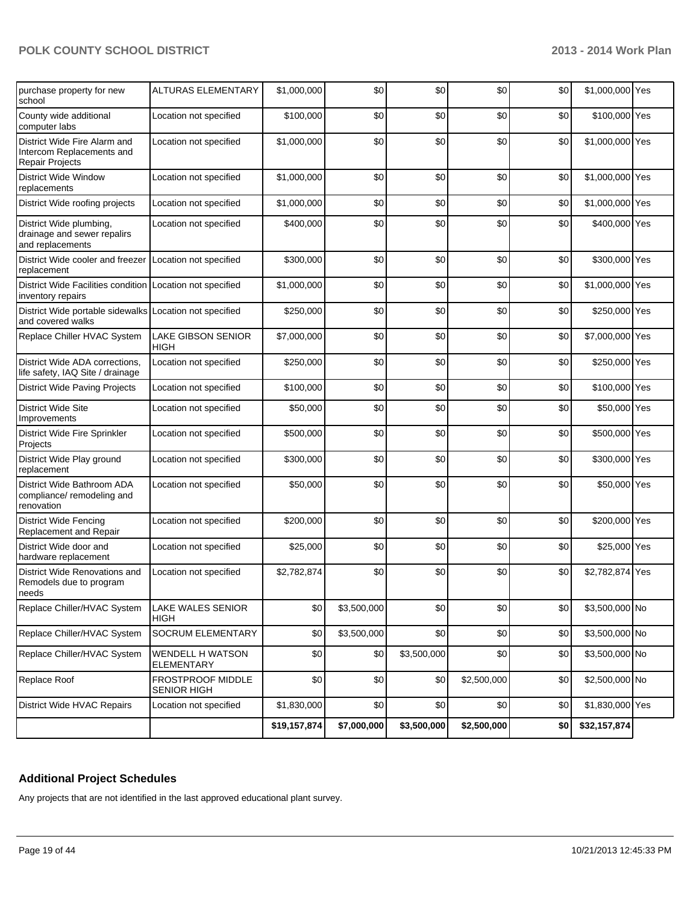| purchase property for new<br>school                                                 | <b>ALTURAS ELEMENTARY</b>                | \$1,000,000  | \$0         | \$0         | \$0         | \$0 | \$1,000,000 Yes |  |
|-------------------------------------------------------------------------------------|------------------------------------------|--------------|-------------|-------------|-------------|-----|-----------------|--|
| County wide additional<br>computer labs                                             | Location not specified                   | \$100,000    | \$0         | \$0         | \$0         | \$0 | \$100,000 Yes   |  |
| District Wide Fire Alarm and<br>Intercom Replacements and<br><b>Repair Projects</b> | Location not specified                   | \$1,000,000  | \$0         | \$0         | \$0         | \$0 | \$1,000,000 Yes |  |
| <b>District Wide Window</b><br>replacements                                         | Location not specified                   | \$1,000,000  | \$0         | \$0         | \$0         | \$0 | \$1,000,000 Yes |  |
| District Wide roofing projects                                                      | Location not specified                   | \$1,000,000  | \$0         | \$0         | \$0         | \$0 | \$1,000,000 Yes |  |
| District Wide plumbing,<br>drainage and sewer repalirs<br>and replacements          | Location not specified                   | \$400,000    | \$0         | \$0         | \$0         | \$0 | \$400,000 Yes   |  |
| District Wide cooler and freezer<br>replacement                                     | Location not specified                   | \$300,000    | \$0         | \$0         | \$0         | \$0 | \$300,000 Yes   |  |
| District Wide Facilities condition Location not specified<br>inventory repairs      |                                          | \$1,000,000  | \$0         | \$0         | \$0         | \$0 | \$1,000,000 Yes |  |
| District Wide portable sidewalks<br>and covered walks                               | Location not specified                   | \$250,000    | \$0         | \$0         | \$0         | \$0 | \$250,000 Yes   |  |
| Replace Chiller HVAC System                                                         | <b>LAKE GIBSON SENIOR</b><br><b>HIGH</b> | \$7,000,000  | \$0         | \$0         | \$0         | \$0 | \$7,000,000 Yes |  |
| District Wide ADA corrections,<br>life safety, IAQ Site / drainage                  | Location not specified                   | \$250,000    | \$0         | \$0         | \$0         | \$0 | \$250,000 Yes   |  |
| <b>District Wide Paving Projects</b>                                                | Location not specified                   | \$100,000    | \$0         | \$0         | \$0         | \$0 | \$100,000 Yes   |  |
| <b>District Wide Site</b><br>Improvements                                           | Location not specified                   | \$50,000     | \$0         | \$0         | \$0         | \$0 | \$50,000 Yes    |  |
| District Wide Fire Sprinkler<br>Projects                                            | Location not specified                   | \$500,000    | \$0         | \$0         | \$0         | \$0 | \$500,000 Yes   |  |
| District Wide Play ground<br>replacement                                            | Location not specified                   | \$300,000    | \$0         | \$0         | \$0         | \$0 | \$300,000 Yes   |  |
| District Wide Bathroom ADA<br>compliance/ remodeling and<br>renovation              | Location not specified                   | \$50,000     | \$0         | \$0         | \$0         | \$0 | \$50,000 Yes    |  |
| <b>District Wide Fencing</b><br>Replacement and Repair                              | Location not specified                   | \$200,000    | \$0         | \$0         | \$0         | \$0 | \$200,000 Yes   |  |
| District Wide door and<br>hardware replacement                                      | Location not specified                   | \$25,000     | \$0         | \$0         | \$0         | \$0 | \$25,000 Yes    |  |
| District Wide Renovations and<br>Remodels due to program<br>needs                   | Location not specified                   | \$2,782,874  | \$0         | \$0         | \$0         | \$0 | \$2,782,874 Yes |  |
| Replace Chiller/HVAC System                                                         | LAKE WALES SENIOR<br><b>HIGH</b>         | \$0          | \$3,500,000 | \$0         | \$0         | \$0 | \$3,500,000 No  |  |
| Replace Chiller/HVAC System                                                         | SOCRUM ELEMENTARY                        | \$0          | \$3,500,000 | \$0         | \$0         | \$0 | \$3,500,000 No  |  |
| Replace Chiller/HVAC System                                                         | WENDELL H WATSON<br>ELEMENTARY           | \$0          | \$0         | \$3,500,000 | \$0         | \$0 | \$3,500,000 No  |  |
| Replace Roof                                                                        | FROSTPROOF MIDDLE<br><b>SENIOR HIGH</b>  | \$0          | \$0         | \$0         | \$2,500,000 | \$0 | \$2,500,000 No  |  |
| District Wide HVAC Repairs                                                          | Location not specified                   | \$1,830,000  | \$0         | \$0         | \$0         | \$0 | \$1,830,000 Yes |  |
|                                                                                     |                                          | \$19,157,874 | \$7,000,000 | \$3,500,000 | \$2,500,000 | \$0 | \$32,157,874    |  |

# **Additional Project Schedules**

Any projects that are not identified in the last approved educational plant survey.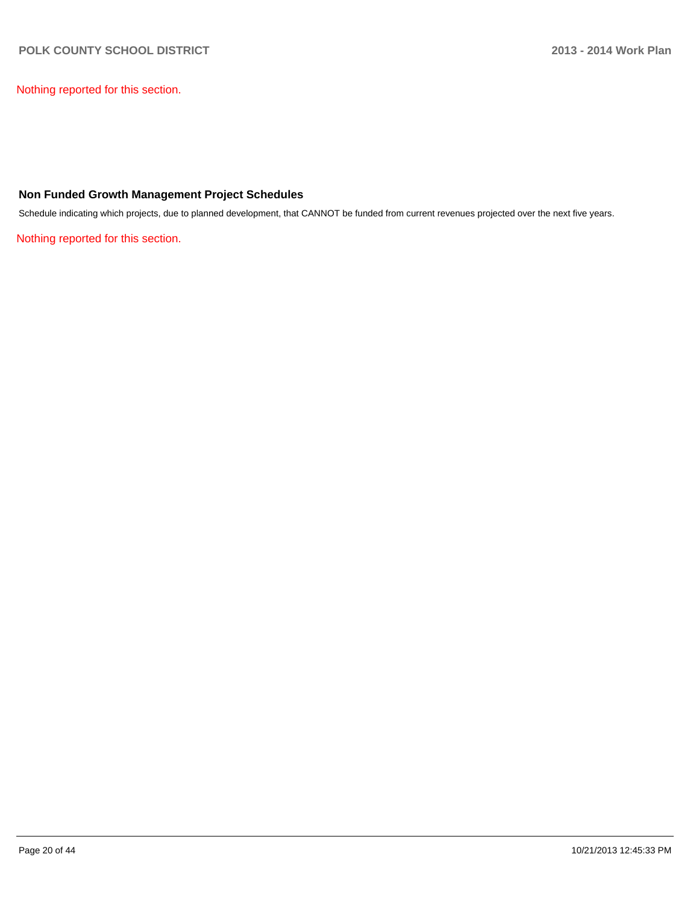Nothing reported for this section.

## **Non Funded Growth Management Project Schedules**

Schedule indicating which projects, due to planned development, that CANNOT be funded from current revenues projected over the next five years.

Nothing reported for this section.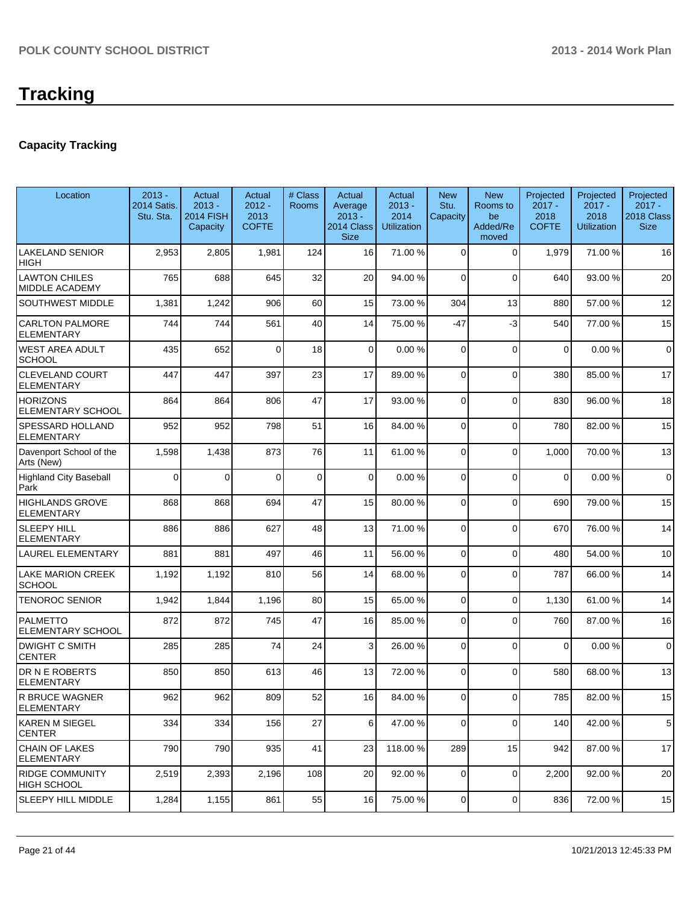# **Capacity Tracking**

| Location                                      | $2013 -$<br>2014 Satis.<br>Stu. Sta. | Actual<br>$2013 -$<br><b>2014 FISH</b><br>Capacity | Actual<br>$2012 -$<br>2013<br><b>COFTE</b> | # Class<br><b>Rooms</b> | Actual<br>Average<br>$2013 -$<br>2014 Class<br><b>Size</b> | Actual<br>$2013 -$<br>2014<br><b>Utilization</b> | <b>New</b><br>Stu.<br>Capacity | <b>New</b><br>Rooms to<br>be<br>Added/Re<br>moved | Projected<br>$2017 -$<br>2018<br><b>COFTE</b> | Projected<br>$2017 -$<br>2018<br><b>Utilization</b> | Projected<br>$2017 -$<br>2018 Class<br><b>Size</b> |
|-----------------------------------------------|--------------------------------------|----------------------------------------------------|--------------------------------------------|-------------------------|------------------------------------------------------------|--------------------------------------------------|--------------------------------|---------------------------------------------------|-----------------------------------------------|-----------------------------------------------------|----------------------------------------------------|
| <b>LAKELAND SENIOR</b><br>HIGH                | 2,953                                | 2,805                                              | 1,981                                      | 124                     | 16                                                         | 71.00 %                                          | $\Omega$                       | $\Omega$                                          | 1,979                                         | 71.00%                                              | 16                                                 |
| <b>LAWTON CHILES</b><br><b>MIDDLE ACADEMY</b> | 765                                  | 688                                                | 645                                        | 32                      | 20                                                         | 94.00 %                                          | 0                              | $\Omega$                                          | 640                                           | 93.00 %                                             | 20                                                 |
| <b>SOUTHWEST MIDDLE</b>                       | 1,381                                | 1,242                                              | 906                                        | 60                      | 15                                                         | 73.00 %                                          | 304                            | 13                                                | 880                                           | 57.00 %                                             | 12                                                 |
| <b>CARLTON PALMORE</b><br><b>ELEMENTARY</b>   | 744                                  | 744                                                | 561                                        | 40                      | 14                                                         | 75.00 %                                          | $-47$                          | $-3$                                              | 540                                           | 77.00 %                                             | 15                                                 |
| <b>WEST AREA ADULT</b><br><b>SCHOOL</b>       | 435                                  | 652                                                | $\Omega$                                   | 18                      | $\overline{0}$                                             | 0.00%                                            | 0                              | $\Omega$                                          | $\mathbf 0$                                   | 0.00%                                               | $\mathbf 0$                                        |
| <b>CLEVELAND COURT</b><br><b>ELEMENTARY</b>   | 447                                  | 447                                                | 397                                        | 23                      | 17                                                         | 89.00 %                                          | $\Omega$                       | $\Omega$                                          | 380                                           | 85.00 %                                             | 17                                                 |
| <b>HORIZONS</b><br><b>ELEMENTARY SCHOOL</b>   | 864                                  | 864                                                | 806                                        | 47                      | 17                                                         | 93.00 %                                          | $\Omega$                       | $\Omega$                                          | 830                                           | 96.00%                                              | 18                                                 |
| SPESSARD HOLLAND<br><b>ELEMENTARY</b>         | 952                                  | 952                                                | 798                                        | 51                      | 16                                                         | 84.00 %                                          | $\Omega$                       | $\Omega$                                          | 780                                           | 82.00%                                              | 15                                                 |
| Davenport School of the<br>Arts (New)         | 1,598                                | 1,438                                              | 873                                        | 76                      | 11                                                         | 61.00%                                           | 0                              | $\Omega$                                          | 1,000                                         | 70.00 %                                             | 13                                                 |
| <b>Highland City Baseball</b><br>Park         | $\mathbf 0$                          | $\Omega$                                           | $\Omega$                                   | $\mathbf 0$             | $\overline{0}$                                             | 0.00%                                            | 0                              | $\Omega$                                          | $\Omega$                                      | 0.00%                                               | $\mathbf 0$                                        |
| <b>HIGHLANDS GROVE</b><br><b>ELEMENTARY</b>   | 868                                  | 868                                                | 694                                        | 47                      | 15                                                         | 80.00 %                                          | 0                              | $\Omega$                                          | 690                                           | 79.00 %                                             | 15                                                 |
| <b>SLEEPY HILL</b><br><b>ELEMENTARY</b>       | 886                                  | 886                                                | 627                                        | 48                      | 13                                                         | 71.00 %                                          | $\Omega$                       | $\Omega$                                          | 670                                           | 76.00%                                              | 14                                                 |
| <b>LAUREL ELEMENTARY</b>                      | 881                                  | 881                                                | 497                                        | 46                      | 11                                                         | 56.00 %                                          | 0                              | $\Omega$                                          | 480                                           | 54.00 %                                             | 10                                                 |
| <b>LAKE MARION CREEK</b><br><b>SCHOOL</b>     | 1,192                                | 1,192                                              | 810                                        | 56                      | 14                                                         | 68.00 %                                          | 0                              | $\Omega$                                          | 787                                           | 66.00%                                              | 14                                                 |
| <b>TENOROC SENIOR</b>                         | 1,942                                | 1,844                                              | 1,196                                      | 80                      | 15                                                         | 65.00 %                                          | 0                              | $\Omega$                                          | 1,130                                         | 61.00%                                              | 14                                                 |
| PALMETTO<br><b>ELEMENTARY SCHOOL</b>          | 872                                  | 872                                                | 745                                        | 47                      | 16                                                         | 85.00 %                                          | 0                              | $\Omega$                                          | 760                                           | 87.00 %                                             | 16                                                 |
| <b>DWIGHT C SMITH</b><br><b>CENTER</b>        | 285                                  | 285                                                | 74                                         | 24                      | 3                                                          | 26.00 %                                          | 0                              | $\Omega$                                          | $\Omega$                                      | 0.00%                                               | $\mathbf 0$                                        |
| DR N E ROBERTS<br><b>ELEMENTARY</b>           | 850                                  | 850                                                | 613                                        | 46                      | 13                                                         | 72.00 %                                          | $\Omega$                       | $\Omega$                                          | 580                                           | 68.00%                                              | 13                                                 |
| R BRUCE WAGNER<br><b>ELEMENTARY</b>           | 962                                  | 962                                                | 809                                        | 52                      | 16                                                         | 84.00 %                                          | $\overline{0}$                 | 0                                                 | 785                                           | 82.00%                                              | 15                                                 |
| KAREN M SIEGEL<br><b>CENTER</b>               | 334                                  | 334                                                | 156                                        | 27                      | 6                                                          | 47.00 %                                          | 0                              | $\Omega$                                          | 140                                           | 42.00%                                              | 5                                                  |
| CHAIN OF LAKES<br>ELEMENTARY                  | 790                                  | 790                                                | 935                                        | 41                      | 23                                                         | 118.00 %                                         | 289                            | 15                                                | 942                                           | 87.00 %                                             | 17                                                 |
| <b>RIDGE COMMUNITY</b><br><b>HIGH SCHOOL</b>  | 2,519                                | 2,393                                              | 2,196                                      | 108                     | 20                                                         | 92.00 %                                          | 0                              | $\overline{0}$                                    | 2,200                                         | 92.00 %                                             | 20                                                 |
| <b>SLEEPY HILL MIDDLE</b>                     | 1,284                                | 1,155                                              | 861                                        | 55                      | 16                                                         | 75.00 %                                          | $\overline{0}$                 | $\overline{0}$                                    | 836                                           | 72.00 %                                             | 15                                                 |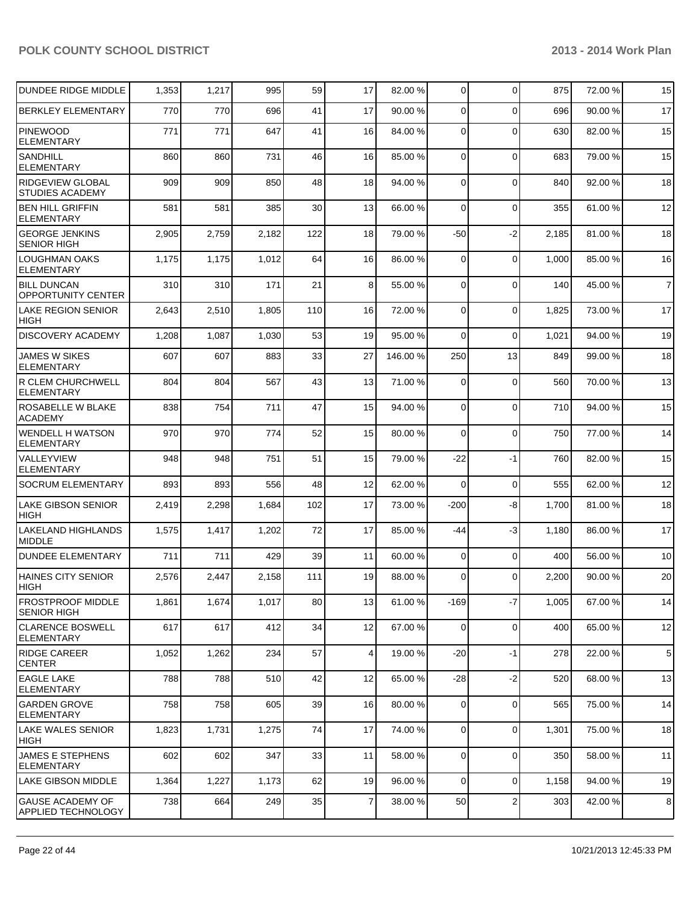| DUNDEE RIDGE MIDDLE                                  | 1,353 | 1,217 | 995   | 59  | 17              | 82.00 % | $\overline{0}$ | $\Omega$       | 875   | 72.00 % | 15              |
|------------------------------------------------------|-------|-------|-------|-----|-----------------|---------|----------------|----------------|-------|---------|-----------------|
| <b>BERKLEY ELEMENTARY</b>                            | 770   | 770   | 696   | 41  | 17              | 90.00 % | $\Omega$       | $\Omega$       | 696   | 90.00 % | 17              |
| PINEWOOD<br><b>ELEMENTARY</b>                        | 771   | 771   | 647   | 41  | 16              | 84.00 % | $\Omega$       | $\Omega$       | 630   | 82.00 % | 15              |
| <b>SANDHILL</b><br><b>ELEMENTARY</b>                 | 860   | 860   | 731   | 46  | 16              | 85.00 % | $\Omega$       | $\mathbf 0$    | 683   | 79.00 % | 15              |
| <b>RIDGEVIEW GLOBAL</b><br><b>STUDIES ACADEMY</b>    | 909   | 909   | 850   | 48  | 18              | 94.00 % | $\Omega$       | $\Omega$       | 840   | 92.00%  | 18              |
| <b>BEN HILL GRIFFIN</b><br><b>ELEMENTARY</b>         | 581   | 581   | 385   | 30  | 13              | 66.00 % | $\Omega$       | $\Omega$       | 355   | 61.00%  | 12              |
| <b>GEORGE JENKINS</b><br><b>SENIOR HIGH</b>          | 2,905 | 2,759 | 2,182 | 122 | 18              | 79.00 % | $-50$          | $-2$           | 2,185 | 81.00%  | 18              |
| <b>LOUGHMAN OAKS</b><br><b>ELEMENTARY</b>            | 1,175 | 1,175 | 1,012 | 64  | 16              | 86.00 % | $\Omega$       | $\Omega$       | 1,000 | 85.00 % | 16              |
| <b>BILL DUNCAN</b><br><b>OPPORTUNITY CENTER</b>      | 310   | 310   | 171   | 21  | 8 <sup>1</sup>  | 55.00 % | $\Omega$       | $\Omega$       | 140   | 45.00 % | $\overline{7}$  |
| <b>LAKE REGION SENIOR</b><br><b>HIGH</b>             | 2,643 | 2,510 | 1,805 | 110 | 16              | 72.00 % | $\Omega$       | $\Omega$       | 1,825 | 73.00 % | 17              |
| <b>DISCOVERY ACADEMY</b>                             | 1,208 | 1,087 | 1,030 | 53  | 19              | 95.00 % | $\Omega$       | $\mathbf 0$    | 1,021 | 94.00%  | 19              |
| <b>JAMES W SIKES</b><br><b>ELEMENTARY</b>            | 607   | 607   | 883   | 33  | 27              | 146.00% | 250            | 13             | 849   | 99.00 % | 18              |
| R CLEM CHURCHWELL<br><b>ELEMENTARY</b>               | 804   | 804   | 567   | 43  | 13              | 71.00 % | $\Omega$       | $\Omega$       | 560   | 70.00%  | 13              |
| ROSABELLE W BLAKE<br><b>ACADEMY</b>                  | 838   | 754   | 711   | 47  | 15              | 94.00 % | $\Omega$       | $\Omega$       | 710   | 94.00%  | 15              |
| <b>WENDELL H WATSON</b><br><b>ELEMENTARY</b>         | 970   | 970   | 774   | 52  | 15              | 80.00 % | $\Omega$       | $\mathbf 0$    | 750   | 77.00 % | 14              |
| VALLEYVIEW<br><b>ELEMENTARY</b>                      | 948   | 948   | 751   | 51  | 15              | 79.00 % | $-22$          | $-1$           | 760   | 82.00%  | 15              |
| <b>SOCRUM ELEMENTARY</b>                             | 893   | 893   | 556   | 48  | 12              | 62.00 % | $\Omega$       | $\mathbf 0$    | 555   | 62.00 % | 12              |
| <b>LAKE GIBSON SENIOR</b><br><b>HIGH</b>             | 2,419 | 2,298 | 1,684 | 102 | 17              | 73.00 % | $-200$         | -8             | 1,700 | 81.00%  | 18              |
| <b>LAKELAND HIGHLANDS</b><br><b>MIDDLE</b>           | 1,575 | 1,417 | 1,202 | 72  | 17              | 85.00 % | $-44$          | $-3$           | 1,180 | 86.00%  | 17              |
| <b>DUNDEE ELEMENTARY</b>                             | 711   | 711   | 429   | 39  | 11              | 60.00 % | $\overline{0}$ | $\mathbf 0$    | 400   | 56.00 % | 10              |
| <b>HAINES CITY SENIOR</b><br>HIGH                    | 2,576 | 2,447 | 2,158 | 111 | 19              | 88.00 % | $\Omega$       | $\Omega$       | 2,200 | 90.00 % | 20              |
| <b>FROSTPROOF MIDDLE</b><br><b>SENIOR HIGH</b>       | 1,861 | 1,674 | 1,017 | 80  | 13              | 61.00 % | $-169$         | $-7$           | 1,005 | 67.00%  | 14              |
| <b>CLARENCE BOSWELL</b><br><b>ELEMENTARY</b>         | 617   | 617   | 412   | 34  | 12              | 67.00 % | 0              | $\mathbf 0$    | 400   | 65.00 % | 12              |
| <b>RIDGE CAREER</b><br><b>CENTER</b>                 | 1,052 | 1,262 | 234   | 57  | $\vert 4 \vert$ | 19.00 % | $-20$          | $-1$           | 278   | 22.00 % | $5\phantom{.0}$ |
| <b>EAGLE LAKE</b><br>ELEMENTARY                      | 788   | 788   | 510   | 42  | 12              | 65.00 % | $-28$          | $-2$           | 520   | 68.00 % | 13              |
| <b>GARDEN GROVE</b><br><b>ELEMENTARY</b>             | 758   | 758   | 605   | 39  | 16              | 80.00 % | $\overline{0}$ | $\mathbf 0$    | 565   | 75.00 % | 14              |
| <b>LAKE WALES SENIOR</b><br><b>HIGH</b>              | 1,823 | 1,731 | 1,275 | 74  | 17              | 74.00 % | $\Omega$       | $\mathbf 0$    | 1,301 | 75.00 % | 18              |
| <b>JAMES E STEPHENS</b><br><b>ELEMENTARY</b>         | 602   | 602   | 347   | 33  | 11              | 58.00 % | $\overline{0}$ | $\mathbf 0$    | 350   | 58.00 % | 11              |
| <b>LAKE GIBSON MIDDLE</b>                            | 1,364 | 1,227 | 1,173 | 62  | 19              | 96.00 % | $\Omega$       | $\overline{0}$ | 1,158 | 94.00%  | 19              |
| <b>GAUSE ACADEMY OF</b><br><b>APPLIED TECHNOLOGY</b> | 738   | 664   | 249   | 35  | $\overline{7}$  | 38.00 % | 50             | $\overline{c}$ | 303   | 42.00%  | $\bf 8$         |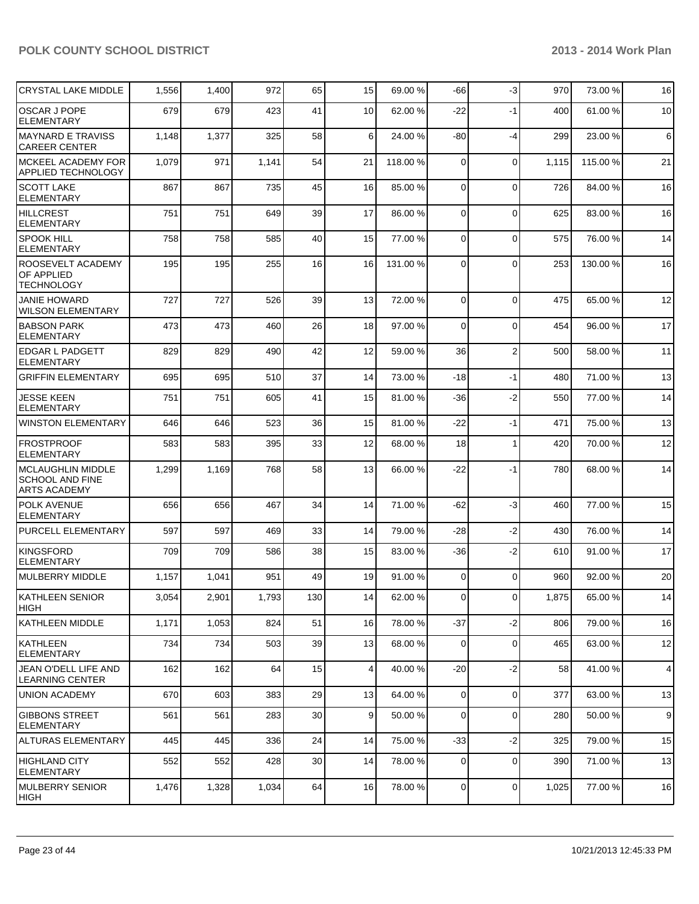| <b>CRYSTAL LAKE MIDDLE</b>                                                | 1,556 | 1,400 | 972   | 65              | 15              | 69.00 %  | -66            | $-3$           | 970   | 73.00 %  | 16 |
|---------------------------------------------------------------------------|-------|-------|-------|-----------------|-----------------|----------|----------------|----------------|-------|----------|----|
| OSCAR J POPE<br><b>ELEMENTARY</b>                                         | 679   | 679   | 423   | 41              | 10              | 62.00 %  | $-22$          | $-1$           | 400   | 61.00%   | 10 |
| <b>MAYNARD E TRAVISS</b><br><b>CAREER CENTER</b>                          | 1,148 | 1,377 | 325   | 58              | 6               | 24.00 %  | -80            | $-4$           | 299   | 23.00 %  | 6  |
| <b>MCKEEL ACADEMY FOR</b><br>APPLIED TECHNOLOGY                           | 1,079 | 971   | 1,141 | 54              | 21              | 118.00 % | 0              | $\Omega$       | 1,115 | 115.00 % | 21 |
| <b>SCOTT LAKE</b><br><b>ELEMENTARY</b>                                    | 867   | 867   | 735   | 45              | 16              | 85.00 %  | 0              | $\Omega$       | 726   | 84.00%   | 16 |
| <b>HILLCREST</b><br><b>ELEMENTARY</b>                                     | 751   | 751   | 649   | 39              | 17              | 86.00 %  | 0              | $\Omega$       | 625   | 83.00 %  | 16 |
| <b>SPOOK HILL</b><br><b>ELEMENTARY</b>                                    | 758   | 758   | 585   | 40              | 15              | 77.00 %  | 0              | $\Omega$       | 575   | 76.00 %  | 14 |
| ROOSEVELT ACADEMY<br>OF APPLIED<br><b>TECHNOLOGY</b>                      | 195   | 195   | 255   | 16              | 16              | 131.00 % | $\Omega$       | $\Omega$       | 253   | 130.00%  | 16 |
| <b>JANIE HOWARD</b><br><b>WILSON ELEMENTARY</b>                           | 727   | 727   | 526   | 39              | 13              | 72.00 %  | 0              | $\Omega$       | 475   | 65.00 %  | 12 |
| <b>BABSON PARK</b><br><b>ELEMENTARY</b>                                   | 473   | 473   | 460   | 26              | 18              | 97.00 %  | $\Omega$       | $\Omega$       | 454   | 96.00%   | 17 |
| <b>EDGAR L PADGETT</b><br><b>ELEMENTARY</b>                               | 829   | 829   | 490   | 42              | 12              | 59.00 %  | 36             | $\overline{2}$ | 500   | 58.00 %  | 11 |
| <b>GRIFFIN ELEMENTARY</b>                                                 | 695   | 695   | 510   | 37              | 14              | 73.00 %  | $-18$          | $-1$           | 480   | 71.00%   | 13 |
| <b>JESSE KEEN</b><br><b>ELEMENTARY</b>                                    | 751   | 751   | 605   | 41              | 15              | 81.00 %  | -36            | $-2$           | 550   | 77.00 %  | 14 |
| <b>WINSTON ELEMENTARY</b>                                                 | 646   | 646   | 523   | 36              | 15              | 81.00 %  | $-22$          | $-1$           | 471   | 75.00 %  | 13 |
| <b>FROSTPROOF</b><br><b>ELEMENTARY</b>                                    | 583   | 583   | 395   | 33              | 12              | 68.00 %  | 18             | $\overline{1}$ | 420   | 70.00%   | 12 |
| <b>MCLAUGHLIN MIDDLE</b><br><b>SCHOOL AND FINE</b><br><b>ARTS ACADEMY</b> | 1,299 | 1,169 | 768   | 58              | 13              | 66.00 %  | $-22$          | $-1$           | 780   | 68.00 %  | 14 |
| <b>POLK AVENUE</b><br><b>ELEMENTARY</b>                                   | 656   | 656   | 467   | 34              | 14              | 71.00 %  | $-62$          | $-3$           | 460   | 77.00 %  | 15 |
| PURCELL ELEMENTARY                                                        | 597   | 597   | 469   | 33              | 14              | 79.00 %  | $-28$          | $-2$           | 430   | 76.00%   | 14 |
| KINGSFORD<br><b>ELEMENTARY</b>                                            | 709   | 709   | 586   | 38              | 15              | 83.00 %  | $-36$          | $-2$           | 610   | 91.00 %  | 17 |
| <b>MULBERRY MIDDLE</b>                                                    | 1,157 | 1,041 | 951   | 49              | 19              | 91.00%   | 0              | $\Omega$       | 960   | 92.00 %  | 20 |
| KATHLEEN SENIOR<br>HIGH                                                   | 3,054 | 2,901 | 1,793 | 130             | 14              | 62.00 %  | $\Omega$       | $\overline{0}$ | 1,875 | 65.00 %  | 14 |
| KATHLEEN MIDDLE                                                           | 1,171 | 1,053 | 824   | 51              | 16              | 78.00 %  | $-37$          | $-2$           | 806   | 79.00 %  | 16 |
| KATHLEEN<br><b>ELEMENTARY</b>                                             | 734   | 734   | 503   | 39              | 13              | 68.00 %  | 0              | $\Omega$       | 465   | 63.00 %  | 12 |
| JEAN O'DELL LIFE AND<br><b>LEARNING CENTER</b>                            | 162   | 162   | 64    | 15              | $\vert 4 \vert$ | 40.00 %  | $-20$          | $-2$           | 58    | 41.00%   | 4  |
| <b>UNION ACADEMY</b>                                                      | 670   | 603   | 383   | 29              | 13              | 64.00 %  | $\overline{0}$ | $\Omega$       | 377   | 63.00 %  | 13 |
| <b>GIBBONS STREET</b><br><b>ELEMENTARY</b>                                | 561   | 561   | 283   | 30              | 9 <sup>1</sup>  | 50.00 %  | 0              | $\Omega$       | 280   | 50.00 %  | 9  |
| <b>ALTURAS ELEMENTARY</b>                                                 | 445   | 445   | 336   | 24              | 14              | 75.00 %  | $-33$          | $-2$           | 325   | 79.00 %  | 15 |
| HIGHLAND CITY<br><b>ELEMENTARY</b>                                        | 552   | 552   | 428   | 30 <sup>°</sup> | 14              | 78.00 %  | 0              | 0              | 390   | 71.00 %  | 13 |
| MULBERRY SENIOR<br>HIGH                                                   | 1,476 | 1,328 | 1,034 | 64              | 16              | 78.00 %  | $\overline{0}$ | $\mathbf 0$    | 1,025 | 77.00 %  | 16 |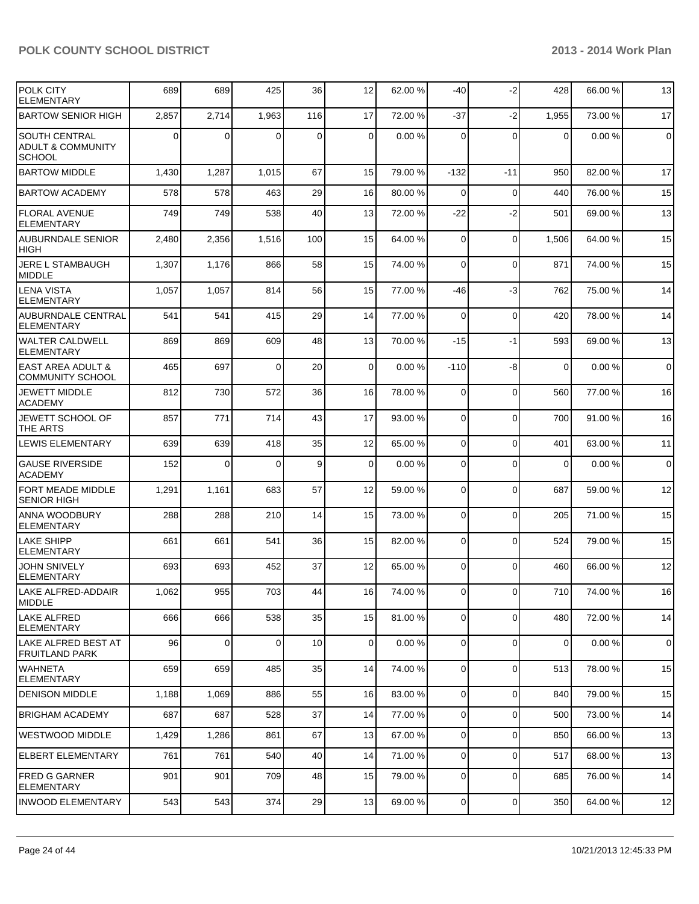| <b>POLK CITY</b><br><b>ELEMENTARY</b>                                 | 689            | 689         | 425      | 36          | 12             | 62.00 % | -40            | $-2$        | 428         | 66.00 % | 13          |
|-----------------------------------------------------------------------|----------------|-------------|----------|-------------|----------------|---------|----------------|-------------|-------------|---------|-------------|
| <b>BARTOW SENIOR HIGH</b>                                             | 2,857          | 2,714       | 1,963    | 116         | 17             | 72.00 % | $-37$          | $-2$        | 1,955       | 73.00 % | 17          |
| <b>SOUTH CENTRAL</b><br><b>ADULT &amp; COMMUNITY</b><br><b>SCHOOL</b> | $\overline{0}$ | 0           | $\Omega$ | $\mathbf 0$ | $\Omega$       | 0.00%   | $\Omega$       | $\Omega$    | $\Omega$    | 0.00%   | $\pmb{0}$   |
| <b>BARTOW MIDDLE</b>                                                  | 1,430          | 1,287       | 1,015    | 67          | 15             | 79.00 % | -132           | $-11$       | 950         | 82.00 % | 17          |
| <b>BARTOW ACADEMY</b>                                                 | 578            | 578         | 463      | 29          | 16             | 80.00 % | $\Omega$       | $\Omega$    | 440         | 76.00 % | 15          |
| <b>FLORAL AVENUE</b><br><b>ELEMENTARY</b>                             | 749            | 749         | 538      | 40          | 13             | 72.00 % | $-22$          | $-2$        | 501         | 69.00 % | 13          |
| <b>AUBURNDALE SENIOR</b><br><b>HIGH</b>                               | 2,480          | 2,356       | 1,516    | 100         | 15             | 64.00 % | $\Omega$       | $\mathbf 0$ | 1,506       | 64.00%  | 15          |
| JERE L STAMBAUGH<br><b>MIDDLE</b>                                     | 1,307          | 1,176       | 866      | 58          | 15             | 74.00 % | $\overline{0}$ | $\mathbf 0$ | 871         | 74.00 % | 15          |
| <b>LENA VISTA</b><br><b>ELEMENTARY</b>                                | 1,057          | 1,057       | 814      | 56          | 15             | 77.00 % | -46            | $-3$        | 762         | 75.00 % | 14          |
| <b>AUBURNDALE CENTRAL</b><br><b>ELEMENTARY</b>                        | 541            | 541         | 415      | 29          | 14             | 77.00 % | 0              | $\mathbf 0$ | 420         | 78.00 % | 14          |
| WALTER CALDWELL<br><b>ELEMENTARY</b>                                  | 869            | 869         | 609      | 48          | 13             | 70.00 % | $-15$          | $-1$        | 593         | 69.00 % | 13          |
| <b>EAST AREA ADULT &amp;</b><br><b>COMMUNITY SCHOOL</b>               | 465            | 697         | $\Omega$ | 20          | $\Omega$       | 0.00%   | $-110$         | -8          | $\Omega$    | 0.00%   | $\mathbf 0$ |
| <b>JEWETT MIDDLE</b><br><b>ACADEMY</b>                                | 812            | 730         | 572      | 36          | 16             | 78.00 % | $\Omega$       | $\mathbf 0$ | 560         | 77.00 % | 16          |
| JEWETT SCHOOL OF<br>THE ARTS                                          | 857            | 771         | 714      | 43          | 17             | 93.00 % | $\Omega$       | $\mathbf 0$ | 700         | 91.00%  | 16          |
| <b>LEWIS ELEMENTARY</b>                                               | 639            | 639         | 418      | 35          | 12             | 65.00 % | $\overline{0}$ | $\mathbf 0$ | 401         | 63.00 % | 11          |
| <b>GAUSE RIVERSIDE</b><br><b>ACADEMY</b>                              | 152            | $\Omega$    | $\Omega$ | 9           | $\overline{0}$ | 0.00%   | $\Omega$       | $\Omega$    | $\mathbf 0$ | 0.00%   | $\mathbf 0$ |
| FORT MEADE MIDDLE<br><b>SENIOR HIGH</b>                               | 1,291          | 1,161       | 683      | 57          | 12             | 59.00 % | $\Omega$       | $\mathbf 0$ | 687         | 59.00 % | 12          |
| ANNA WOODBURY<br><b>ELEMENTARY</b>                                    | 288            | 288         | 210      | 14          | 15             | 73.00 % | 0              | $\mathbf 0$ | 205         | 71.00%  | 15          |
| LAKE SHIPP<br><b>ELEMENTARY</b>                                       | 661            | 661         | 541      | 36          | 15             | 82.00 % | $\Omega$       | $\Omega$    | 524         | 79.00 % | 15          |
| JOHN SNIVELY<br>ELEMENTARY                                            | 693            | 693         | 452      | 37          | 12             | 65.00 % | $\Omega$       | $\Omega$    | 460         | 66.00 % | 12          |
| LAKE ALFRED-ADDAIR<br><b>IMIDDLE</b>                                  | 1,062          | 955         | 703      | 44          | 16             | 74.00 % | $\Omega$       | 0           | 710         | 74.00%  | 16          |
| LAKE ALFRED<br>ELEMENTARY                                             | 666            | 666         | 538      | 35          | 15             | 81.00 % | $\overline{0}$ | 0           | 480         | 72.00 % | 14          |
| LAKE ALFRED BEST AT<br>FRUITLAND PARK                                 | 96             | $\mathbf 0$ | $\Omega$ | 10          | $\overline{0}$ | 0.00%   | $\overline{0}$ | $\mathbf 0$ | 0           | 0.00%   | $\mathbf 0$ |
| <b>I</b> WAHNETA<br><b>ELEMENTARY</b>                                 | 659            | 659         | 485      | 35          | 14             | 74.00 % | $\overline{0}$ | $\mathbf 0$ | 513         | 78.00 % | 15          |
| IDENISON MIDDLE                                                       | 1,188          | 1,069       | 886      | 55          | 16             | 83.00 % | $\overline{0}$ | $\Omega$    | 840         | 79.00 % | 15          |
| <b>BRIGHAM ACADEMY</b>                                                | 687            | 687         | 528      | 37          | 14             | 77.00 % | $\overline{0}$ | 0           | 500         | 73.00 % | 14          |
| <b>WESTWOOD MIDDLE</b>                                                | 1,429          | 1,286       | 861      | 67          | 13             | 67.00 % | $\overline{0}$ | $\mathbf 0$ | 850         | 66.00%  | 13          |
| <b>ELBERT ELEMENTARY</b>                                              | 761            | 761         | 540      | 40          | 14             | 71.00 % | $\overline{0}$ | $\mathbf 0$ | 517         | 68.00 % | 13          |
| <b>FRED G GARNER</b><br><b>ELEMENTARY</b>                             | 901            | 901         | 709      | 48          | 15             | 79.00 % | $\overline{0}$ | 0           | 685         | 76.00 % | 14          |
| <b>INWOOD ELEMENTARY</b>                                              | 543            | 543         | 374      | 29          | 13             | 69.00 % | $\overline{0}$ | $\mathbf 0$ | 350         | 64.00%  | 12          |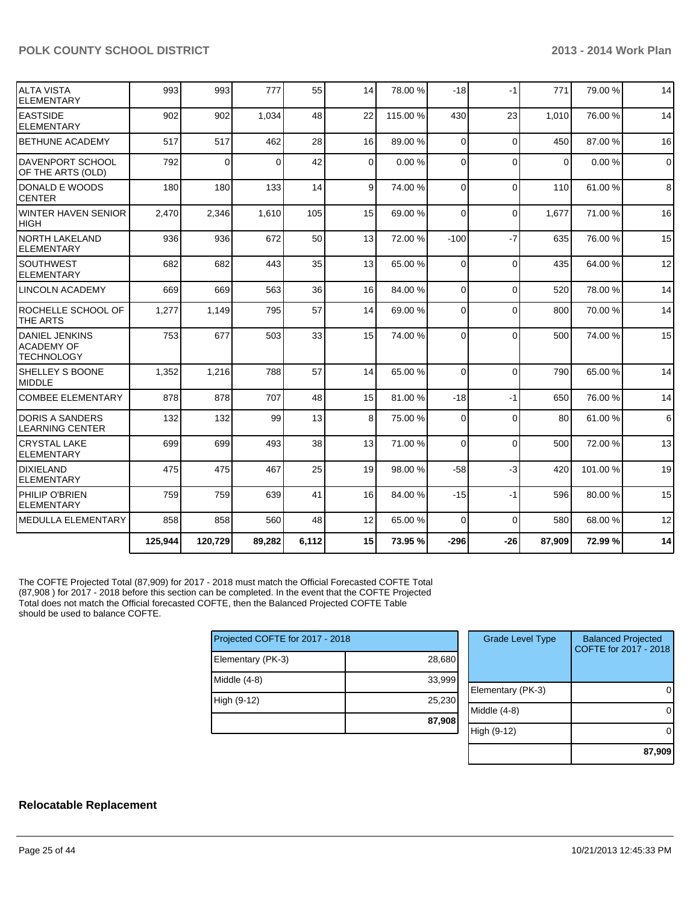| IALTA VISTA<br><b>ELEMENTARY</b>                                | 993     | 993      | 777      | 55    | 14             | 78.00 %  | $-18$          | $-1$        | 771      | 79.00 % | 14          |
|-----------------------------------------------------------------|---------|----------|----------|-------|----------------|----------|----------------|-------------|----------|---------|-------------|
| <b>LEASTSIDE</b><br>IELEMENTARY                                 | 902     | 902      | 1,034    | 48    | 22             | 115.00 % | 430            | 23          | 1,010    | 76.00 % | 14          |
| <b>BETHUNE ACADEMY</b>                                          | 517     | 517      | 462      | 28    | 16             | 89.00 %  | $\Omega$       | $\Omega$    | 450      | 87.00 % | 16          |
| <b>DAVENPORT SCHOOL</b><br>OF THE ARTS (OLD)                    | 792     | $\Omega$ | $\Omega$ | 42    | $\overline{0}$ | 0.00%    | $\Omega$       | $\Omega$    | $\Omega$ | 0.00%   | $\mathbf 0$ |
| <b>IDONALD E WOODS</b><br>ICENTER                               | 180     | 180      | 133      | 14    | $\vert$        | 74.00 %  | $\Omega$       | $\Omega$    | 110      | 61.00%  | 8           |
| WINTER HAVEN SENIOR<br><b>HIGH</b>                              | 2,470   | 2,346    | 1.610    | 105   | 15             | 69.00 %  | $\Omega$       | $\Omega$    | 1,677    | 71.00 % | 16          |
| INORTH LAKELAND<br><b>ELEMENTARY</b>                            | 936     | 936      | 672      | 50    | 13             | 72.00 %  | $-100$         | $-7$        | 635      | 76.00 % | 15          |
| <b>SOUTHWEST</b><br>IELEMENTARY                                 | 682     | 682      | 443      | 35    | 13             | 65.00 %  | $\Omega$       | $\Omega$    | 435      | 64.00%  | 12          |
| LINCOLN ACADEMY                                                 | 669     | 669      | 563      | 36    | 16             | 84.00 %  | $\overline{0}$ | $\mathbf 0$ | 520      | 78.00 % | 14          |
| ROCHELLE SCHOOL OF<br>THE ARTS                                  | 1,277   | 1,149    | 795      | 57    | 14             | 69.00 %  | $\Omega$       | $\Omega$    | 800      | 70.00%  | 14          |
| <b>DANIEL JENKINS</b><br><b>ACADEMY OF</b><br><b>TECHNOLOGY</b> | 753     | 677      | 503      | 33    | 15             | 74.00 %  | $\Omega$       | $\Omega$    | 500      | 74.00%  | 15          |
| <b>I</b> SHELLEY S BOONE<br>MIDDLE                              | 1,352   | 1,216    | 788      | 57    | 14             | 65.00 %  | $\Omega$       | $\Omega$    | 790      | 65.00 % | 14          |
| <b>COMBEE ELEMENTARY</b>                                        | 878     | 878      | 707      | 48    | 15             | 81.00%   | $-18$          | $-1$        | 650      | 76.00%  | 14          |
| <b>DORIS A SANDERS</b><br><b>LEARNING CENTER</b>                | 132     | 132      | 99       | 13    | 8 <sup>1</sup> | 75.00 %  | 0              | $\Omega$    | 80       | 61.00%  | 6           |
| <b>CRYSTAL LAKE</b><br><b>ELEMENTARY</b>                        | 699     | 699      | 493      | 38    | 13             | 71.00 %  | $\Omega$       | $\Omega$    | 500      | 72.00 % | 13          |
| <b>DIXIELAND</b><br>ELEMENTARY                                  | 475     | 475      | 467      | 25    | 19             | 98.00 %  | $-58$          | $-3$        | 420      | 101.00% | 19          |
| PHILIP O'BRIEN<br><b>ELEMENTARY</b>                             | 759     | 759      | 639      | 41    | 16             | 84.00 %  | $-15$          | $-1$        | 596      | 80.00%  | 15          |
| MEDULLA ELEMENTARY                                              | 858     | 858      | 560      | 48    | 12             | 65.00 %  | $\Omega$       | $\mathbf 0$ | 580      | 68.00 % | 12          |
|                                                                 | 125,944 | 120,729  | 89,282   | 6,112 | 15             | 73.95 %  | $-296$         | $-26$       | 87,909   | 72.99%  | 14          |

The COFTE Projected Total (87,909) for 2017 - 2018 must match the Official Forecasted COFTE Total (87,908 ) for 2017 - 2018 before this section can be completed. In the event that the COFTE Projected Total does not match the Official forecasted COFTE, then the Balanced Projected COFTE Table should be used to balance COFTE.

| Projected COFTE for 2017 - 2018 |        |  |  |  |  |  |  |
|---------------------------------|--------|--|--|--|--|--|--|
| Elementary (PK-3)               | 28,680 |  |  |  |  |  |  |
| Middle $(4-8)$                  | 33,999 |  |  |  |  |  |  |
| High (9-12)                     | 25,230 |  |  |  |  |  |  |
|                                 | 87,908 |  |  |  |  |  |  |

| <b>Grade Level Type</b> | <b>Balanced Projected</b><br>COFTE for 2017 - 2018 |
|-------------------------|----------------------------------------------------|
| Elementary (PK-3)       |                                                    |
| Middle $(4-8)$          |                                                    |
| High (9-12)             |                                                    |
|                         | 87,909                                             |

# **Relocatable Replacement**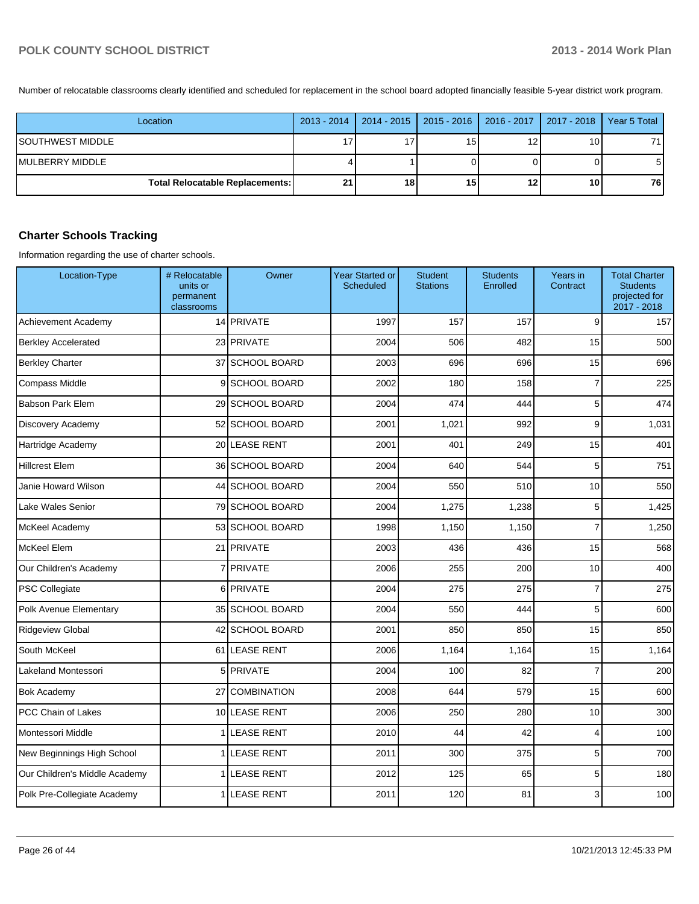Number of relocatable classrooms clearly identified and scheduled for replacement in the school board adopted financially feasible 5-year district work program.

| Location                        |    | 2013 - 2014   2014 - 2015   2015 - 2016   2016 - 2017   2017 - 2018   Year 5 Total |    |    |      |
|---------------------------------|----|------------------------------------------------------------------------------------|----|----|------|
| SOUTHWEST MIDDLE                | 17 |                                                                                    | 15 | 10 | 71 I |
| IMULBERRY MIDDLE                |    |                                                                                    |    |    | 51   |
| Total Relocatable Replacements: | 21 | 18                                                                                 | 15 | 10 | 76 I |

# **Charter Schools Tracking**

Information regarding the use of charter schools.

| Location-Type                 | # Relocatable<br>units or<br>permanent<br>classrooms | Owner               | <b>Year Started or</b><br><b>Scheduled</b> | <b>Student</b><br><b>Stations</b> | <b>Students</b><br>Enrolled | Years in<br>Contract | <b>Total Charter</b><br><b>Students</b><br>projected for<br>2017 - 2018 |
|-------------------------------|------------------------------------------------------|---------------------|--------------------------------------------|-----------------------------------|-----------------------------|----------------------|-------------------------------------------------------------------------|
| Achievement Academy           |                                                      | 14 PRIVATE          | 1997                                       | 157                               | 157                         | 9                    | 157                                                                     |
| <b>Berkley Accelerated</b>    |                                                      | 23 PRIVATE          | 2004                                       | 506                               | 482                         | 15                   | 500                                                                     |
| <b>Berkley Charter</b>        | 37                                                   | <b>SCHOOL BOARD</b> | 2003                                       | 696                               | 696                         | 15                   | 696                                                                     |
| Compass Middle                | 9                                                    | <b>SCHOOL BOARD</b> | 2002                                       | 180                               | 158                         | $\overline{7}$       | 225                                                                     |
| <b>Babson Park Elem</b>       |                                                      | 29 SCHOOL BOARD     | 2004                                       | 474                               | 444                         | 5                    | 474                                                                     |
| Discovery Academy             |                                                      | 52 SCHOOL BOARD     | 2001                                       | 1,021                             | 992                         | 9                    | 1,031                                                                   |
| Hartridge Academy             |                                                      | 20 LEASE RENT       | 2001                                       | 401                               | 249                         | 15                   | 401                                                                     |
| <b>Hillcrest Elem</b>         |                                                      | 36 SCHOOL BOARD     | 2004                                       | 640                               | 544                         | 5                    | 751                                                                     |
| Janie Howard Wilson           |                                                      | 44 SCHOOL BOARD     | 2004                                       | 550                               | 510                         | 10                   | 550                                                                     |
| Lake Wales Senior             |                                                      | 79 SCHOOL BOARD     | 2004                                       | 1,275                             | 1,238                       | 5                    | 1,425                                                                   |
| McKeel Academy                |                                                      | 53 SCHOOL BOARD     | 1998                                       | 1,150                             | 1,150                       | $\overline{7}$       | 1,250                                                                   |
| <b>McKeel Elem</b>            |                                                      | 21 PRIVATE          | 2003                                       | 436                               | 436                         | 15                   | 568                                                                     |
| Our Children's Academy        |                                                      | 7 PRIVATE           | 2006                                       | 255                               | 200                         | 10                   | 400                                                                     |
| PSC Collegiate                |                                                      | 6 PRIVATE           | 2004                                       | 275                               | 275                         | $\overline{7}$       | 275                                                                     |
| Polk Avenue Elementary        |                                                      | 35 SCHOOL BOARD     | 2004                                       | 550                               | 444                         | 5                    | 600                                                                     |
| Ridgeview Global              |                                                      | 42 SCHOOL BOARD     | 2001                                       | 850                               | 850                         | 15                   | 850                                                                     |
| South McKeel                  |                                                      | 61 LEASE RENT       | 2006                                       | 1,164                             | 1,164                       | 15                   | 1,164                                                                   |
| Lakeland Montessori           |                                                      | 5 PRIVATE           | 2004                                       | 100                               | 82                          | $\overline{7}$       | 200                                                                     |
| <b>Bok Academy</b>            | 27                                                   | <b>COMBINATION</b>  | 2008                                       | 644                               | 579                         | 15                   | 600                                                                     |
| PCC Chain of Lakes            |                                                      | 10 LEASE RENT       | 2006                                       | 250                               | 280                         | 10                   | 300                                                                     |
| Montessori Middle             | 1 <sup>1</sup>                                       | <b>LEASE RENT</b>   | 2010                                       | 44                                | 42                          | 4                    | 100                                                                     |
| New Beginnings High School    | 1                                                    | <b>LEASE RENT</b>   | 2011                                       | 300                               | 375                         | 5                    | 700                                                                     |
| Our Children's Middle Academy | 1                                                    | <b>LEASE RENT</b>   | 2012                                       | 125                               | 65                          | 5                    | 180                                                                     |
| Polk Pre-Collegiate Academy   | 1                                                    | LEASE RENT          | 2011                                       | 120                               | 81                          | 3                    | 100                                                                     |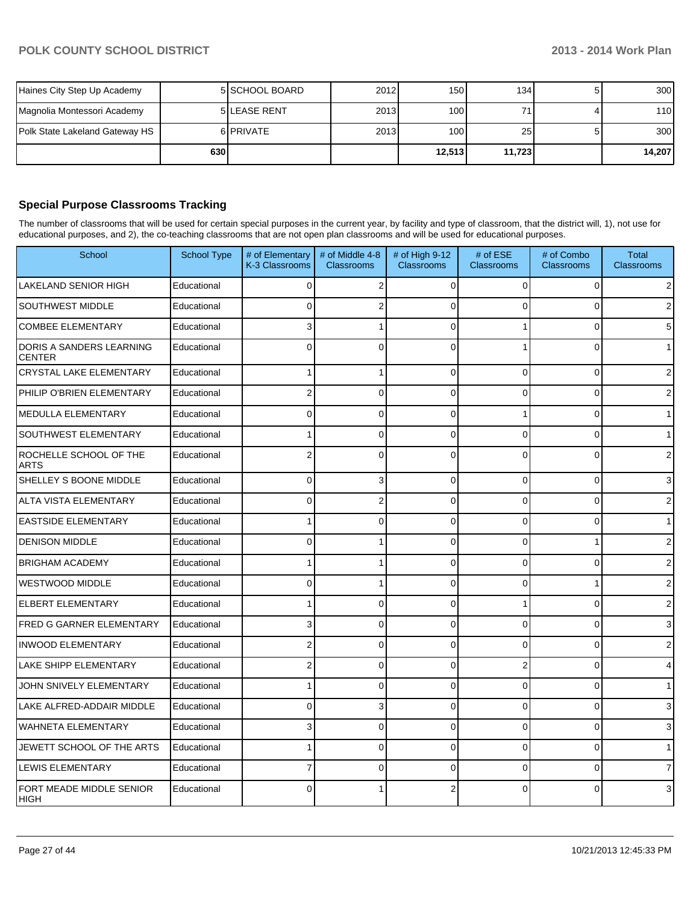|                                | 630 |                     |      | 12.513 | 11,723 | 14,207 |
|--------------------------------|-----|---------------------|------|--------|--------|--------|
| Polk State Lakeland Gateway HS |     | 6 <b>PRIVATE</b>    | 2013 | 100    | 25     | 300    |
| Magnolia Montessori Academy    |     | <b>5ILEASE RENT</b> | 2013 | 100    |        | 110    |
| Haines City Step Up Academy    |     | 5 SCHOOL BOARD      | 2012 | 150    | 134    | 300    |

# **Special Purpose Classrooms Tracking**

The number of classrooms that will be used for certain special purposes in the current year, by facility and type of classroom, that the district will, 1), not use for educational purposes, and 2), the co-teaching classrooms that are not open plan classrooms and will be used for educational purposes.

| School                                    | <b>School Type</b> | # of Elementary<br>K-3 Classrooms | # of Middle 4-8<br><b>Classrooms</b> | # of High 9-12<br><b>Classrooms</b> | # of ESE<br><b>Classrooms</b> | # of Combo<br><b>Classrooms</b> | <b>Total</b><br>Classrooms |
|-------------------------------------------|--------------------|-----------------------------------|--------------------------------------|-------------------------------------|-------------------------------|---------------------------------|----------------------------|
| <b>LAKELAND SENIOR HIGH</b>               | Educational        | $\Omega$                          | $\overline{2}$                       | $\Omega$                            | $\Omega$                      | $\Omega$                        | $\overline{2}$             |
| <b>SOUTHWEST MIDDLE</b>                   | Educational        | $\Omega$                          | $\overline{c}$                       | $\Omega$                            | $\Omega$                      | $\Omega$                        | 2                          |
| <b>COMBEE ELEMENTARY</b>                  | Educational        | 3                                 | 1                                    | $\Omega$                            |                               | $\Omega$                        | 5                          |
| DORIS A SANDERS LEARNING<br><b>CENTER</b> | Educational        | $\Omega$                          | $\Omega$                             | $\Omega$                            |                               | $\mathbf 0$                     | $\mathbf{1}$               |
| CRYSTAL LAKE ELEMENTARY                   | Educational        |                                   | 1                                    | 0                                   | $\Omega$                      | $\mathbf 0$                     | $\overline{2}$             |
| PHILIP O'BRIEN ELEMENTARY                 | Educational        | $\overline{2}$                    | 0                                    | $\Omega$                            | $\Omega$                      | 0                               | $\overline{2}$             |
| MEDULLA ELEMENTARY                        | Educational        | 0                                 | 0                                    | $\Omega$                            |                               | $\mathbf 0$                     | 1                          |
| <b>SOUTHWEST ELEMENTARY</b>               | Educational        |                                   | 0                                    | $\Omega$                            | $\Omega$                      | 0                               | 1                          |
| ROCHELLE SCHOOL OF THE<br><b>ARTS</b>     | Educational        | 2                                 | $\Omega$                             | $\Omega$                            | $\Omega$                      | 0                               | $\overline{2}$             |
| SHELLEY S BOONE MIDDLE                    | Educational        | 0                                 | 3                                    | $\Omega$                            | $\Omega$                      | $\mathbf 0$                     | 3                          |
| <b>ALTA VISTA ELEMENTARY</b>              | Educational        | $\Omega$                          | $\overline{2}$                       | $\mathbf{0}$                        | $\Omega$                      | $\Omega$                        | $\overline{2}$             |
| <b>EASTSIDE ELEMENTARY</b>                | Educational        |                                   | $\mathbf{0}$                         | $\Omega$                            | $\Omega$                      | $\Omega$                        | $\mathbf{1}$               |
| <b>DENISON MIDDLE</b>                     | Educational        | $\Omega$                          |                                      | $\Omega$                            | $\Omega$                      | 1                               | $\overline{\mathbf{c}}$    |
| <b>BRIGHAM ACADEMY</b>                    | Educational        |                                   |                                      | $\Omega$                            | $\Omega$                      | $\mathbf 0$                     | $\overline{c}$             |
| <b>WESTWOOD MIDDLE</b>                    | Educational        | $\Omega$                          |                                      | $\Omega$                            | $\Omega$                      | 1                               | $\overline{2}$             |
| <b>ELBERT ELEMENTARY</b>                  | Educational        |                                   | $\mathbf 0$                          | $\Omega$                            |                               | 0                               | $\overline{\mathbf{c}}$    |
| <b>FRED G GARNER ELEMENTARY</b>           | Educational        | 3                                 | $\Omega$                             | $\Omega$                            | $\Omega$                      | $\mathbf 0$                     | 3                          |
| <b>INWOOD ELEMENTARY</b>                  | Educational        | 2                                 | 0                                    | $\Omega$                            | $\Omega$                      | 0                               | $\overline{2}$             |
| LAKE SHIPP ELEMENTARY                     | Educational        | $\overline{2}$                    | $\Omega$                             | $\Omega$                            | $\overline{2}$                | $\Omega$                        | 4                          |
| JOHN SNIVELY ELEMENTARY                   | Educational        |                                   | $\Omega$                             | $\mathbf{0}$                        | $\Omega$                      | 0                               | $\mathbf{1}$               |
| LAKE ALFRED-ADDAIR MIDDLE                 | Educational        | $\Omega$                          | 3                                    | $\Omega$                            | $\Omega$                      | $\Omega$                        | 3                          |
| <b>WAHNETA ELEMENTARY</b>                 | Educational        | 3                                 | $\mathbf{0}$                         | $\Omega$                            | $\Omega$                      | $\mathbf 0$                     | 3                          |
| JEWETT SCHOOL OF THE ARTS                 | Educational        |                                   | $\Omega$                             | $\Omega$                            | $\Omega$                      | $\Omega$                        | $\mathbf{1}$               |
| LEWIS ELEMENTARY                          | Educational        | 7                                 | $\mathbf 0$                          | $\Omega$                            | $\Omega$                      | 0                               | $\overline{7}$             |
| FORT MEADE MIDDLE SENIOR<br> HIGH         | Educational        | $\Omega$                          |                                      | $\overline{2}$                      | $\Omega$                      | $\Omega$                        | $\overline{3}$             |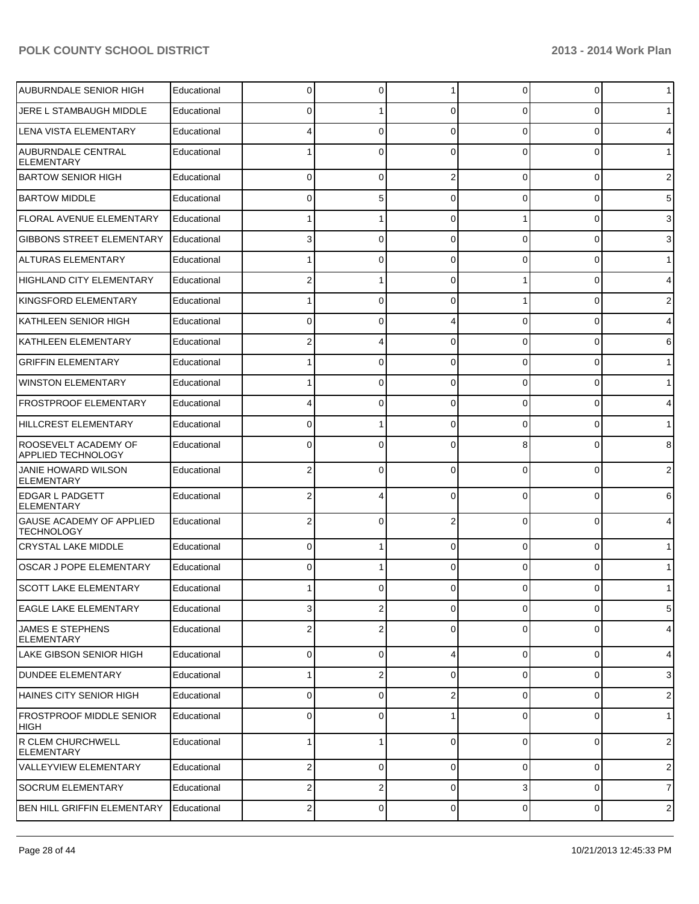| <b>AUBURNDALE SENIOR HIGH</b>                        | Educational | 0 | 0              |                | 0              | 0              | $\mathbf 1$    |
|------------------------------------------------------|-------------|---|----------------|----------------|----------------|----------------|----------------|
| JERE L STAMBAUGH MIDDLE                              | Educational | 0 |                | $\Omega$       | 0              | 0              | $\mathbf 1$    |
| <b>LENA VISTA ELEMENTARY</b>                         | Educational |   | 0              | $\Omega$       | 0              | 0              | 4              |
| <b>AUBURNDALE CENTRAL</b><br><b>ELEMENTARY</b>       | Educational |   | $\Omega$       | $\Omega$       | $\Omega$       | 0              | $\mathbf 1$    |
| <b>BARTOW SENIOR HIGH</b>                            | Educational | 0 | $\Omega$       | 2              | 0              | 0              | $\overline{c}$ |
| <b>BARTOW MIDDLE</b>                                 | Educational | 0 | 5              | $\Omega$       | 0              | 0              | 5              |
| <b>FLORAL AVENUE ELEMENTARY</b>                      | Educational |   |                | $\Omega$       | 1              | 0              | 3              |
| <b>GIBBONS STREET ELEMENTARY</b>                     | Educational | 3 | $\Omega$       | $\Omega$       | 0              | 0              | 3              |
| <b>ALTURAS ELEMENTARY</b>                            | Educational | 1 | $\Omega$       | $\Omega$       | 0              | 0              | $\mathbf{1}$   |
| HIGHLAND CITY ELEMENTARY                             | Educational | 2 |                | $\Omega$       | 1              | 0              | 4              |
| KINGSFORD ELEMENTARY                                 | Educational |   | $\Omega$       | $\Omega$       |                | 0              | $\overline{c}$ |
| KATHLEEN SENIOR HIGH                                 | Educational | 0 | $\Omega$       | 4              | 0              | 0              | 4              |
| <b>KATHLEEN ELEMENTARY</b>                           | Educational | 2 |                | $\Omega$       | 0              | 0              | 6              |
| <b>GRIFFIN ELEMENTARY</b>                            | Educational |   | $\Omega$       | $\Omega$       | 0              | 0              | $\mathbf{1}$   |
| <b>WINSTON ELEMENTARY</b>                            | Educational |   | $\Omega$       | $\Omega$       | 0              | 0              | $\mathbf{1}$   |
| <b>FROSTPROOF ELEMENTARY</b>                         | Educational |   | $\Omega$       | $\Omega$       | 0              | 0              | 4              |
| <b>HILLCREST ELEMENTARY</b>                          | Educational | 0 |                | $\Omega$       | 0              | 0              | $\mathbf{1}$   |
| ROOSEVELT ACADEMY OF<br><b>APPLIED TECHNOLOGY</b>    | Educational | 0 | 0              | $\Omega$       | 8              | 0              | 8              |
| JANIE HOWARD WILSON<br><b>ELEMENTARY</b>             | Educational | 2 | 0              | $\Omega$       | $\Omega$       | 0              | $\overline{2}$ |
| EDGAR L PADGETT<br><b>ELEMENTARY</b>                 | Educational | 2 |                | $\Omega$       | 0              | 0              | 6              |
| <b>GAUSE ACADEMY OF APPLIED</b><br><b>TECHNOLOGY</b> | Educational | 2 | $\Omega$       | $\mathfrak{p}$ | $\Omega$       | 0              | 4              |
| <b>CRYSTAL LAKE MIDDLE</b>                           | Educational | 0 |                | $\Omega$       | 0              | 0              | $\mathbf{1}$   |
| <b>OSCAR J POPE ELEMENTARY</b>                       | Educational | 0 |                | $\Omega$       | 0              | 0              | $\mathbf{1}$   |
| <b>SCOTT LAKE ELEMENTARY</b>                         | Educational | 1 | 0              | $\Omega$       | 0              | $\overline{0}$ | $\mathbf 1$    |
| <b>EAGLE LAKE ELEMENTARY</b>                         | Educational | 3 | 2              | $\Omega$       | 0              | $\overline{0}$ | 5              |
| <b>JAMES E STEPHENS</b><br><b>ELEMENTARY</b>         | Educational | 2 | $\overline{2}$ | 0              | 0              | 0              | 4              |
| <b>LAKE GIBSON SENIOR HIGH</b>                       | Educational | 0 | 0              | 4              | 0              | 0              | 4              |
| <b>DUNDEE ELEMENTARY</b>                             | Educational |   | 2              | $\Omega$       | 0              | 0              | $\mathbf{3}$   |
| HAINES CITY SENIOR HIGH                              | Educational | 0 | 0              | $\overline{2}$ | 0              | 0              | $\overline{2}$ |
| <b>FROSTPROOF MIDDLE SENIOR</b><br>HIGH              | Educational | 0 | $\Omega$       |                | 0              | 0              | $\mathbf{1}$   |
| R CLEM CHURCHWELL<br><b>ELEMENTARY</b>               | Educational |   |                | $\Omega$       | 0              | 0              | $\overline{2}$ |
| <b>VALLEYVIEW ELEMENTARY</b>                         | Educational | 2 | 0              | $\mathbf 0$    | 0              | 0              | $\overline{2}$ |
| <b>SOCRUM ELEMENTARY</b>                             | Educational | 2 | 2              | 0              | 3              | 0              | $\overline{7}$ |
| BEN HILL GRIFFIN ELEMENTARY                          | Educational | 2 | 0              | $\mathbf 0$    | $\overline{0}$ | 0              | $\sqrt{2}$     |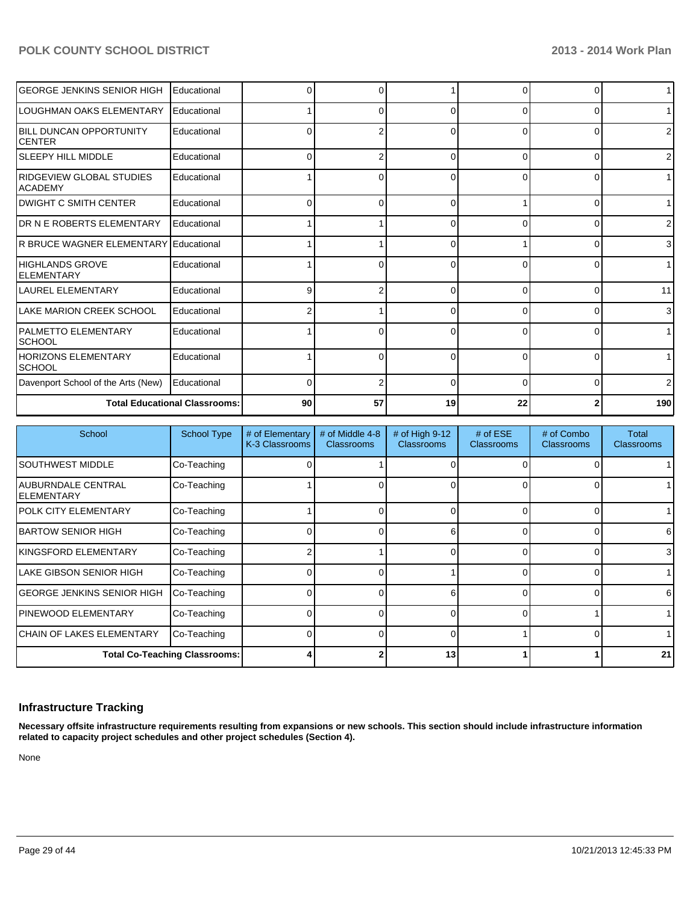| <b>GEORGE JENKINS SENIOR HIGH</b>                  | Educational                          |              | 0  |          | 0            | 0        | 1              |
|----------------------------------------------------|--------------------------------------|--------------|----|----------|--------------|----------|----------------|
| ILOUGHMAN OAKS ELEMENTARY                          | Educational                          |              | 0  | ∩        | 0            | 0        | 1 <sup>1</sup> |
| <b>IBILL DUNCAN OPPORTUNITY</b><br><b>ICENTER</b>  | Educational                          |              |    | r        | <sup>0</sup> | ŋ        | $\overline{2}$ |
| <b>SLEEPY HILL MIDDLE</b>                          | Educational                          |              | 2  | C        | $\Omega$     | $\Omega$ | 2              |
| <b>IRIDGEVIEW GLOBAL STUDIES</b><br><b>ACADEMY</b> | Educational                          |              | 0  | 0        | $\Omega$     | 0        | 1 <sup>1</sup> |
| IDWIGHT C SMITH CENTER                             | Educational                          |              | U  |          |              | ŋ        | 1              |
| <b>IDR N E ROBERTS ELEMENTARY</b>                  | Educational                          |              |    | ∩        | 0            | 0        | $\overline{2}$ |
| IR BRUCE WAGNER ELEMENTARY Educational             |                                      |              |    | ∩        |              | $\Omega$ | $\overline{3}$ |
| <b>IHIGHLANDS GROVE</b><br><b>ELEMENTARY</b>       | Educational                          |              | 0  | ſ        | 0            | 0        | 1 <sup>1</sup> |
| <b>LAUREL ELEMENTARY</b>                           | Educational                          |              |    |          | <sup>n</sup> | $\Omega$ | 11             |
| LAKE MARION CREEK SCHOOL                           | Educational                          |              |    | 0        | $\Omega$     | $\Omega$ | $\overline{3}$ |
| <b>IPALMETTO ELEMENTARY</b><br><b>SCHOOL</b>       | Educational                          |              | 0  | ∩        | <sup>0</sup> | 0        | 1 <sup>1</sup> |
| HORIZONS ELEMENTARY<br><b>SCHOOL</b>               | Educational                          |              | 0  | ∩        | $\Omega$     | 0        | 1              |
| Davenport School of the Arts (New)                 | Educational                          | <sup>0</sup> | 2  | $\Omega$ | $\Omega$     | $\Omega$ | $\overline{2}$ |
|                                                    | <b>Total Educational Classrooms:</b> | 90           | 57 | 19       | 22           | 2        | 190            |

| School                            | <b>School Type</b>                   | # of Elementary<br>K-3 Classrooms | # of Middle 4-8<br><b>Classrooms</b> | # of High 9-12<br><b>Classrooms</b> | $#$ of ESE<br><b>Classrooms</b> | # of Combo<br><b>Classrooms</b> | Total<br><b>Classrooms</b> |
|-----------------------------------|--------------------------------------|-----------------------------------|--------------------------------------|-------------------------------------|---------------------------------|---------------------------------|----------------------------|
| <b>SOUTHWEST MIDDLE</b>           | Co-Teaching                          |                                   |                                      |                                     |                                 | 0                               |                            |
| AUBURNDALE CENTRAL<br>IELEMENTARY | Co-Teaching                          |                                   | 0                                    |                                     |                                 | $\Omega$                        |                            |
| <b>POLK CITY ELEMENTARY</b>       | Co-Teaching                          |                                   | n.                                   |                                     |                                 | $\Omega$                        |                            |
| <b>IBARTOW SENIOR HIGH</b>        | Co-Teaching                          |                                   | $\Omega$                             | ĥ                                   |                                 | $\Omega$                        | 6                          |
| İKINGSFORD ELEMENTARY             | Co-Teaching                          |                                   |                                      |                                     |                                 | $\Omega$                        | 3                          |
| ILAKE GIBSON SENIOR HIGH          | Co-Teaching                          |                                   |                                      |                                     |                                 | 0                               |                            |
| GEORGE JENKINS SENIOR HIGH        | Co-Teaching                          |                                   |                                      | 6                                   |                                 | 0                               | 6                          |
| IPINEWOOD ELEMENTARY              | Co-Teaching                          |                                   | o۱                                   |                                     |                                 |                                 |                            |
| <b>ICHAIN OF LAKES ELEMENTARY</b> | Co-Teaching                          |                                   | n                                    |                                     |                                 | $\Omega$                        |                            |
|                                   | <b>Total Co-Teaching Classrooms:</b> |                                   |                                      | 13                                  |                                 |                                 | 21                         |

# **Infrastructure Tracking**

**Necessary offsite infrastructure requirements resulting from expansions or new schools. This section should include infrastructure information related to capacity project schedules and other project schedules (Section 4).**

None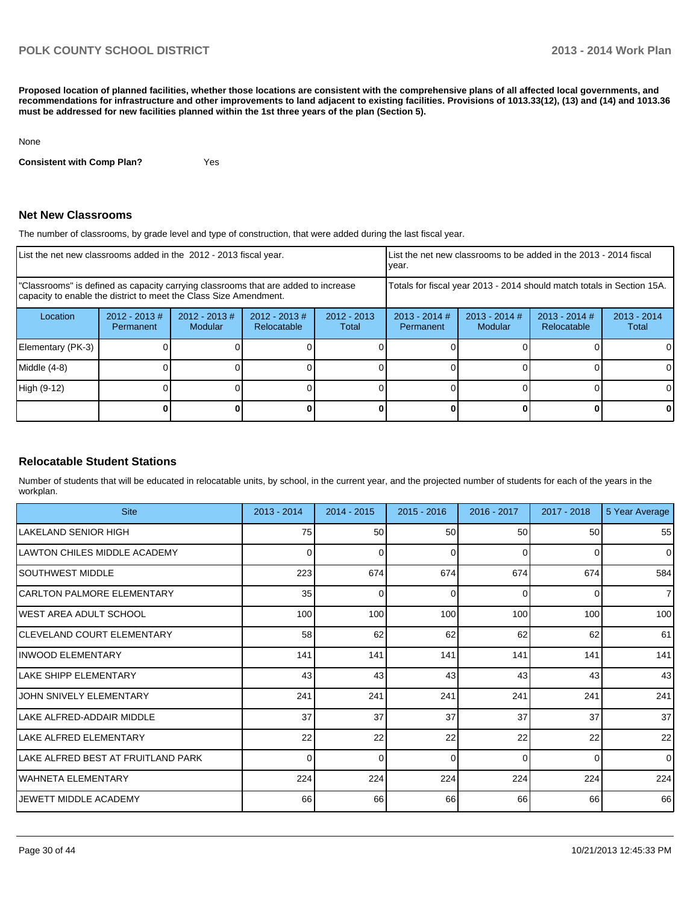**Proposed location of planned facilities, whether those locations are consistent with the comprehensive plans of all affected local governments, and recommendations for infrastructure and other improvements to land adjacent to existing facilities. Provisions of 1013.33(12), (13) and (14) and 1013.36 must be addressed for new facilities planned within the 1st three years of the plan (Section 5).**

#### None

**Consistent with Comp Plan?** Yes

### **Net New Classrooms**

The number of classrooms, by grade level and type of construction, that were added during the last fiscal year.

| List the net new classrooms added in the 2012 - 2013 fiscal year.                                                                                       |                              |                                   |                                 |                        | vear.                                                                  |                            | List the net new classrooms to be added in the 2013 - 2014 fiscal |                        |
|---------------------------------------------------------------------------------------------------------------------------------------------------------|------------------------------|-----------------------------------|---------------------------------|------------------------|------------------------------------------------------------------------|----------------------------|-------------------------------------------------------------------|------------------------|
| "Classrooms" is defined as capacity carrying classrooms that are added to increase<br>capacity to enable the district to meet the Class Size Amendment. |                              |                                   |                                 |                        | Totals for fiscal year 2013 - 2014 should match totals in Section 15A. |                            |                                                                   |                        |
| Location                                                                                                                                                | $2012 - 2013$ #<br>Permanent | $2012 - 2013$ #<br><b>Modular</b> | $2012 - 2013 \#$<br>Relocatable | $2012 - 2013$<br>Total | $2013 - 2014$ #<br>Permanent                                           | $2013 - 2014$ #<br>Modular | $2013 - 2014$ #<br>Relocatable                                    | $2013 - 2014$<br>Total |
| Elementary (PK-3)                                                                                                                                       |                              |                                   |                                 |                        |                                                                        |                            |                                                                   |                        |
| Middle (4-8)                                                                                                                                            |                              |                                   |                                 |                        |                                                                        |                            |                                                                   |                        |
| High (9-12)                                                                                                                                             |                              |                                   |                                 |                        |                                                                        |                            |                                                                   | 0                      |
|                                                                                                                                                         |                              |                                   |                                 |                        |                                                                        |                            |                                                                   |                        |

### **Relocatable Student Stations**

Number of students that will be educated in relocatable units, by school, in the current year, and the projected number of students for each of the years in the workplan.

| <b>Site</b>                        | 2013 - 2014 | $2014 - 2015$ | $2015 - 2016$ | 2016 - 2017 | 2017 - 2018 | 5 Year Average |
|------------------------------------|-------------|---------------|---------------|-------------|-------------|----------------|
| ILAKELAND SENIOR HIGH              | 75          | 50            | 50            | 50          | 50          | 55             |
| ILAWTON CHILES MIDDLE ACADEMY      | 0           | 0             | 0             | $\Omega$    | 0           | $\overline{0}$ |
| ISOUTHWEST MIDDLE                  | 223         | 674           | 674           | 674         | 674         | 584            |
| <b>CARLTON PALMORE ELEMENTARY</b>  | 35          | 0             | 0             | $\Omega$    | 0           | 7 <sup>1</sup> |
| <b>IWEST AREA ADULT SCHOOL</b>     | 100         | 100           | 100           | 100         | 100         | 100            |
| CLEVELAND COURT ELEMENTARY         | 58          | 62            | 62            | 62          | 62          | 61             |
| INWOOD ELEMENTARY                  | 141         | 141           | 141           | 141         | 141         | 141            |
| LAKE SHIPP ELEMENTARY              | 43          | 43            | 43            | 43          | 43          | 43             |
| JOHN SNIVELY ELEMENTARY            | 241         | 241           | 241           | 241         | 241         | 241            |
| LAKE ALFRED-ADDAIR MIDDLE          | 37          | 37            | 37            | 37          | 37          | 37             |
| LAKE ALFRED ELEMENTARY             | 22          | 22            | 22            | 22          | 22          | 22             |
| LAKE ALFRED BEST AT FRUITLAND PARK | 0           | 0             | $\Omega$      | $\Omega$    | $\Omega$    | $\Omega$       |
| WAHNETA ELEMENTARY                 | 224         | 224           | 224           | 224         | 224         | 224            |
| IJEWETT MIDDLE ACADEMY             | 66          | 66            | 66            | 66          | 66          | 66             |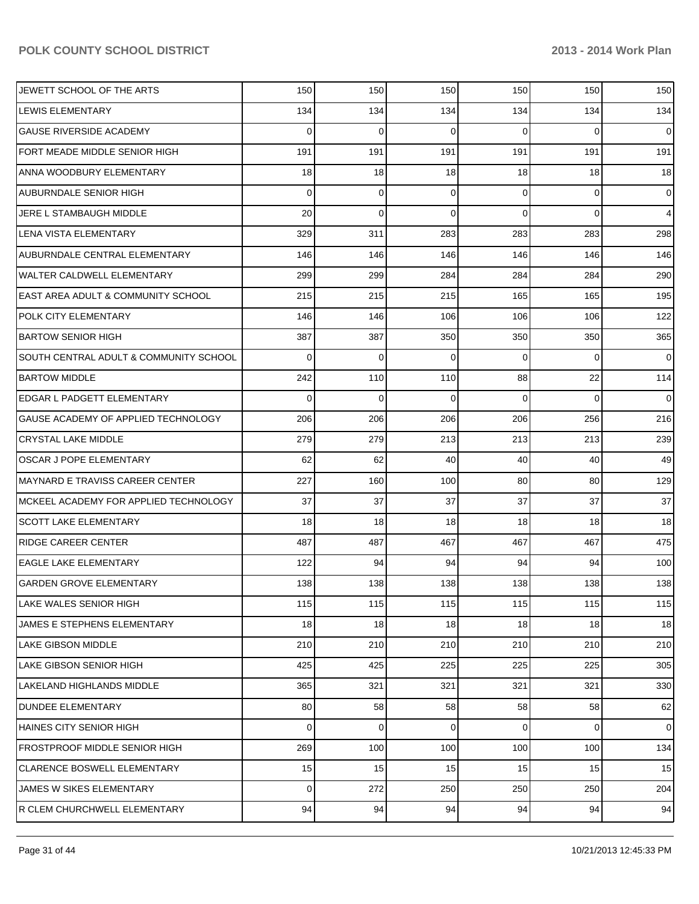| JEWETT SCHOOL OF THE ARTS                     | 150            | 150         | 150         | 150      | 150            | 150            |
|-----------------------------------------------|----------------|-------------|-------------|----------|----------------|----------------|
| LEWIS ELEMENTARY                              | 134            | 134         | 134         | 134      | 134            | 134            |
| <b>GAUSE RIVERSIDE ACADEMY</b>                | 0              | $\mathbf 0$ | 0           | $\Omega$ | $\Omega$       | $\overline{0}$ |
| FORT MEADE MIDDLE SENIOR HIGH                 | 191            | 191         | 191         | 191      | 191            | 191            |
| ANNA WOODBURY ELEMENTARY                      | 18             | 18          | 18          | 18       | 18             | 18             |
| <b>AUBURNDALE SENIOR HIGH</b>                 | 0              | 0           | 0           | $\Omega$ | 0              | $\overline{0}$ |
| JERE L STAMBAUGH MIDDLE                       | 20             | $\mathbf 0$ | 0           | $\Omega$ | $\Omega$       | $\overline{4}$ |
| LENA VISTA ELEMENTARY                         | 329            | 311         | 283         | 283      | 283            | 298            |
| <b>AUBURNDALE CENTRAL ELEMENTARY</b>          | 146            | 146         | 146         | 146      | 146            | 146            |
| <b>WALTER CALDWELL ELEMENTARY</b>             | 299            | 299         | 284         | 284      | 284            | 290            |
| <b>EAST AREA ADULT &amp; COMMUNITY SCHOOL</b> | 215            | 215         | 215         | 165      | 165            | 195            |
| POLK CITY ELEMENTARY                          | 146            | 146         | 106         | 106      | 106            | 122            |
| <b>BARTOW SENIOR HIGH</b>                     | 387            | 387         | 350         | 350      | 350            | 365            |
| SOUTH CENTRAL ADULT & COMMUNITY SCHOOL        | 0              | $\mathbf 0$ | 0           | $\Omega$ | $\Omega$       | $\overline{0}$ |
| <b>BARTOW MIDDLE</b>                          | 242            | 110         | 110         | 88       | 22             | 114            |
| <b>EDGAR L PADGETT ELEMENTARY</b>             | 0              | $\mathbf 0$ | $\Omega$    | $\Omega$ | $\Omega$       | $\overline{0}$ |
| GAUSE ACADEMY OF APPLIED TECHNOLOGY           | 206            | 206         | 206         | 206      | 256            | 216            |
| <b>CRYSTAL LAKE MIDDLE</b>                    | 279            | 279         | 213         | 213      | 213            | 239            |
| <b>OSCAR J POPE ELEMENTARY</b>                | 62             | 62          | 40          | 40       | 40             | 49             |
| <b>MAYNARD E TRAVISS CAREER CENTER</b>        | 227            | 160         | 100         | 80       | 80             | 129            |
| MCKEEL ACADEMY FOR APPLIED TECHNOLOGY         | 37             | 37          | 37          | 37       | 37             | 37             |
| <b>SCOTT LAKE ELEMENTARY</b>                  | 18             | 18          | 18          | 18       | 18             | 18             |
| <b>RIDGE CAREER CENTER</b>                    | 487            | 487         | 467         | 467      | 467            | 475            |
| <b>EAGLE LAKE ELEMENTARY</b>                  | 122            | 94          | 94          | 94       | 94             | 100            |
| <b>GARDEN GROVE ELEMENTARY</b>                | 138            | 138         | 138         | 138      | 138            | 138            |
| LAKE WALES SENIOR HIGH                        | 115            | 115         | 115         | 115      | 115            | 115            |
| JAMES E STEPHENS ELEMENTARY                   | 18             | 18          | 18          | 18       | 18             | 18             |
| <b>LAKE GIBSON MIDDLE</b>                     | 210            | 210         | 210         | 210      | 210            | 210            |
| <b>LAKE GIBSON SENIOR HIGH</b>                | 425            | 425         | 225         | 225      | 225            | 305            |
| LAKELAND HIGHLANDS MIDDLE                     | 365            | 321         | 321         | 321      | 321            | 330            |
| <b>DUNDEE ELEMENTARY</b>                      | 80             | 58          | 58          | 58       | 58             | 62             |
| <b>HAINES CITY SENIOR HIGH</b>                | 0              | 0           | $\mathbf 0$ | 0        | $\overline{0}$ | $\overline{0}$ |
| <b>FROSTPROOF MIDDLE SENIOR HIGH</b>          | 269            | 100         | 100         | 100      | 100            | 134            |
| <b>CLARENCE BOSWELL ELEMENTARY</b>            | 15             | 15          | 15          | 15       | 15             | 15             |
| JAMES W SIKES ELEMENTARY                      | $\overline{0}$ | 272         | 250         | 250      | 250            | 204            |
| R CLEM CHURCHWELL ELEMENTARY                  | 94             | 94          | 94          | 94       | 94             | 94             |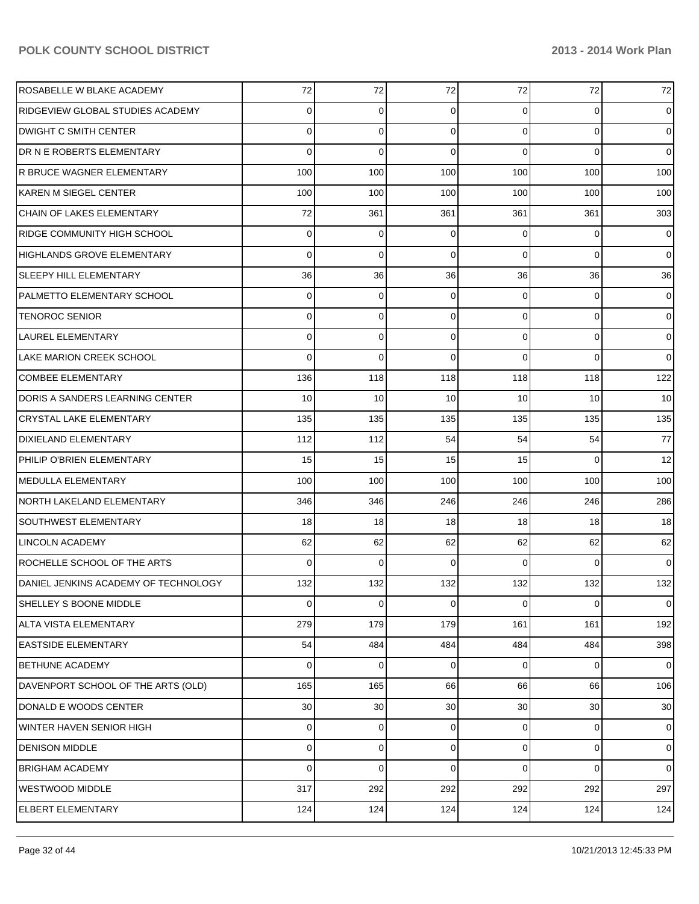| ROSABELLE W BLAKE ACADEMY            | 72       | 72          | 72          | 72              | 72             | 72              |
|--------------------------------------|----------|-------------|-------------|-----------------|----------------|-----------------|
| RIDGEVIEW GLOBAL STUDIES ACADEMY     | 0        | 0           | 0           | 0               | 0              | $\overline{0}$  |
| DWIGHT C SMITH CENTER                | 0        | 0           | 0           | $\overline{0}$  | 0              | $\overline{0}$  |
| DR N E ROBERTS ELEMENTARY            | 0        | 0           | 0           | $\Omega$        | $\Omega$       | $\overline{0}$  |
| R BRUCE WAGNER ELEMENTARY            | 100      | 100         | 100         | 100             | 100            | 100             |
| KAREN M SIEGEL CENTER                | 100      | 100         | 100         | 100             | 100            | 100             |
| CHAIN OF LAKES ELEMENTARY            | 72       | 361         | 361         | 361             | 361            | 303             |
| RIDGE COMMUNITY HIGH SCHOOL          | 0        | 0           | 0           | $\overline{0}$  | 0              | $\overline{0}$  |
| <b>HIGHLANDS GROVE ELEMENTARY</b>    | 0        | 0           | 0           | $\Omega$        | 0              | $\overline{0}$  |
| SLEEPY HILL ELEMENTARY               | 36       | 36          | 36          | 36              | 36             | 36              |
| <b>PALMETTO ELEMENTARY SCHOOL</b>    | 0        | 0           | 0           | $\overline{0}$  | 0              | $\overline{0}$  |
| <b>TENOROC SENIOR</b>                | 0        | 0           | 0           | $\overline{0}$  | 0              | $\overline{0}$  |
| <b>LAUREL ELEMENTARY</b>             | 0        | 0           | 0           | $\overline{0}$  | 0              | $\overline{0}$  |
| <b>LAKE MARION CREEK SCHOOL</b>      | 0        | $\mathbf 0$ | 0           | $\Omega$        | $\Omega$       | $\overline{0}$  |
| <b>COMBEE ELEMENTARY</b>             | 136      | 118         | 118         | 118             | 118            | 122             |
| DORIS A SANDERS LEARNING CENTER      | 10       | 10          | 10          | 10              | 10             | 10 <sup>1</sup> |
| <b>CRYSTAL LAKE ELEMENTARY</b>       | 135      | 135         | 135         | 135             | 135            | 135             |
| <b>DIXIELAND ELEMENTARY</b>          | 112      | 112         | 54          | 54              | 54             | 77              |
| PHILIP O'BRIEN ELEMENTARY            | 15       | 15          | 15          | 15              | $\Omega$       | 12              |
| <b>MEDULLA ELEMENTARY</b>            | 100      | 100         | 100         | 100             | 100            | 100             |
| NORTH LAKELAND ELEMENTARY            | 346      | 346         | 246         | 246             | 246            | 286             |
| <b>SOUTHWEST ELEMENTARY</b>          | 18       | 18          | 18          | 18              | 18             | 18              |
| <b>LINCOLN ACADEMY</b>               | 62       | 62          | 62          | 62              | 62             | 62              |
| ROCHELLE SCHOOL OF THE ARTS          | 0        | 0           | $\Omega$    | $\Omega$        | $\Omega$       | $\overline{0}$  |
| DANIEL JENKINS ACADEMY OF TECHNOLOGY | 132      | 132         | 132         | 132             | 132            | 132             |
| SHELLEY S BOONE MIDDLE               | $\Omega$ | 0           | $\mathbf 0$ | $\overline{0}$  | 0              | $\overline{0}$  |
| <b>ALTA VISTA ELEMENTARY</b>         | 279      | 179         | 179         | 161             | 161            | 192             |
| <b>EASTSIDE ELEMENTARY</b>           | 54       | 484         | 484         | 484             | 484            | 398             |
| <b>BETHUNE ACADEMY</b>               | 0        | $\mathbf 0$ | 0           | $\overline{0}$  | 0              | $\overline{0}$  |
| DAVENPORT SCHOOL OF THE ARTS (OLD)   | 165      | 165         | 66          | 66              | 66             | 106             |
| DONALD E WOODS CENTER                | 30       | 30          | 30          | 30 <sup>°</sup> | 30             | 30              |
| <b>WINTER HAVEN SENIOR HIGH</b>      | 0        | 0           | 0           | 0               | 0              | $\overline{0}$  |
| <b>DENISON MIDDLE</b>                | 0        | 0           | 0           | $\overline{0}$  | $\overline{0}$ | $\overline{0}$  |
| <b>BRIGHAM ACADEMY</b>               | 0        | 0           | 0           | $\Omega$        | 0              | $\overline{0}$  |
| <b>WESTWOOD MIDDLE</b>               | 317      | 292         | 292         | 292             | 292            | 297             |
| <b>ELBERT ELEMENTARY</b>             | 124      | 124         | 124         | 124             | 124            | 124             |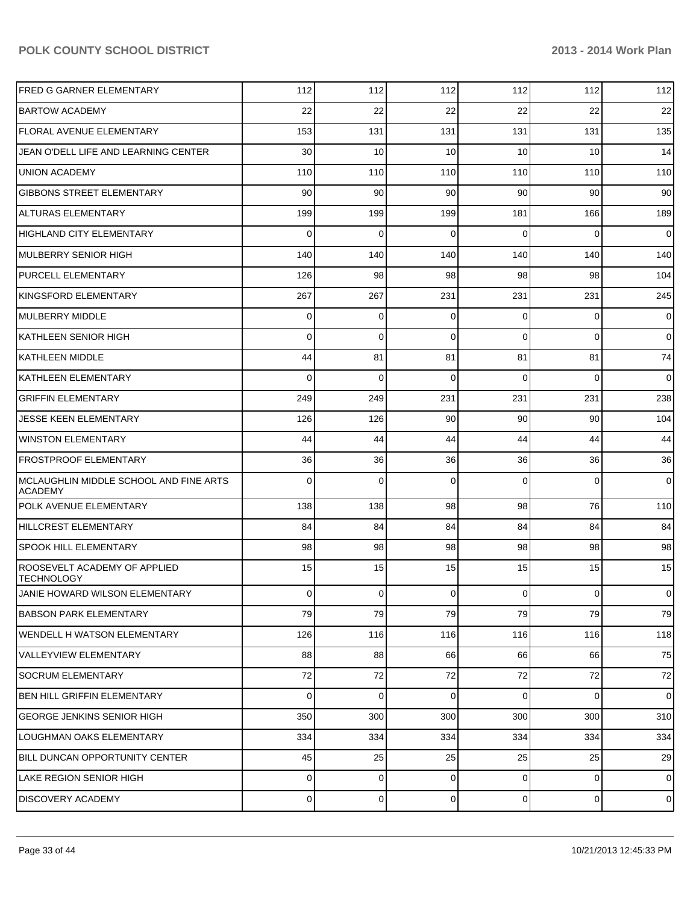| <b>FRED G GARNER ELEMENTARY</b>                          | 112            | 112            | 112            | 112            | 112            | 112            |
|----------------------------------------------------------|----------------|----------------|----------------|----------------|----------------|----------------|
| <b>BARTOW ACADEMY</b>                                    | 22             | 22             | 22             | 22             | 22             | 22             |
| <b>FLORAL AVENUE ELEMENTARY</b>                          | 153            | 131            | 131            | 131            | 131            | 135            |
| JEAN O'DELL LIFE AND LEARNING CENTER                     | 30             | 10             | 10             | 10             | 10             | 14             |
| <b>UNION ACADEMY</b>                                     | 110            | 110            | 110            | 110            | 110            | 110            |
| <b>GIBBONS STREET ELEMENTARY</b>                         | 90             | 90             | 90             | 90             | 90             | 90             |
| <b>ALTURAS ELEMENTARY</b>                                | 199            | 199            | 199            | 181            | 166            | 189            |
| <b>HIGHLAND CITY ELEMENTARY</b>                          | 0              | 0              | $\Omega$       | $\Omega$       | 0              | $\overline{0}$ |
| MULBERRY SENIOR HIGH                                     | 140            | 140            | 140            | 140            | 140            | 140            |
| <b>PURCELL ELEMENTARY</b>                                | 126            | 98             | 98             | 98             | 98             | 104            |
| KINGSFORD ELEMENTARY                                     | 267            | 267            | 231            | 231            | 231            | 245            |
| MULBERRY MIDDLE                                          | 0              | 0              | $\Omega$       | 0              | 0              | $\overline{0}$ |
| KATHLEEN SENIOR HIGH                                     | 0              | 0              | $\Omega$       | $\Omega$       | 0              | $\overline{0}$ |
| KATHLEEN MIDDLE                                          | 44             | 81             | 81             | 81             | 81             | 74             |
| <b>KATHLEEN ELEMENTARY</b>                               | 0              | 0              | $\Omega$       | $\Omega$       | 0              | 0              |
| <b>GRIFFIN ELEMENTARY</b>                                | 249            | 249            | 231            | 231            | 231            | 238            |
| JESSE KEEN ELEMENTARY                                    | 126            | 126            | 90             | 90             | 90             | 104            |
| <b>WINSTON ELEMENTARY</b>                                | 44             | 44             | 44             | 44             | 44             | 44             |
| <b>FROSTPROOF ELEMENTARY</b>                             | 36             | 36             | 36             | 36             | 36             | 36             |
| MCLAUGHLIN MIDDLE SCHOOL AND FINE ARTS<br><b>ACADEMY</b> | 0              | 0              | $\Omega$       | $\Omega$       | 0              | $\overline{0}$ |
| POLK AVENUE ELEMENTARY                                   | 138            | 138            | 98             | 98             | 76             | 110            |
| HILLCREST ELEMENTARY                                     | 84             | 84             | 84             | 84             | 84             | 84             |
| <b>SPOOK HILL ELEMENTARY</b>                             | 98             | 98             | 98             | 98             | 98             | 98             |
| ROOSEVELT ACADEMY OF APPLIED<br><b>TECHNOLOGY</b>        | 15             | 15             | 15             | 15             | 15             | 15             |
| JANIE HOWARD WILSON ELEMENTARY                           | 0              | 0              | 0              | 0              | $\overline{0}$ | $\mathbf 0$    |
| <b>BABSON PARK ELEMENTARY</b>                            | 79             | 79             | 79             | 79             | 79             | 79             |
| WENDELL H WATSON ELEMENTARY                              | 126            | 116            | 116            | 116            | 116            | 118            |
| VALLEYVIEW ELEMENTARY                                    | 88             | 88             | 66             | 66             | 66             | 75             |
| SOCRUM ELEMENTARY                                        | 72             | 72             | 72             | 72             | 72             | 72             |
| BEN HILL GRIFFIN ELEMENTARY                              | $\mathbf 0$    | $\mathbf 0$    | $\Omega$       | $\overline{0}$ | $\overline{0}$ | $\overline{0}$ |
| <b>GEORGE JENKINS SENIOR HIGH</b>                        | 350            | 300            | 300            | 300            | 300            | 310            |
| LOUGHMAN OAKS ELEMENTARY                                 | 334            | 334            | 334            | 334            | 334            | 334            |
| BILL DUNCAN OPPORTUNITY CENTER                           | 45             | 25             | 25             | 25             | 25             | 29             |
| LAKE REGION SENIOR HIGH                                  | $\overline{0}$ | $\overline{0}$ | $\overline{0}$ | $\overline{0}$ | $\overline{0}$ | $\mathbf 0$    |
| <b>DISCOVERY ACADEMY</b>                                 | 0              | $\overline{0}$ | $\overline{0}$ | $\overline{0}$ | $\overline{0}$ | $\mathbf 0$    |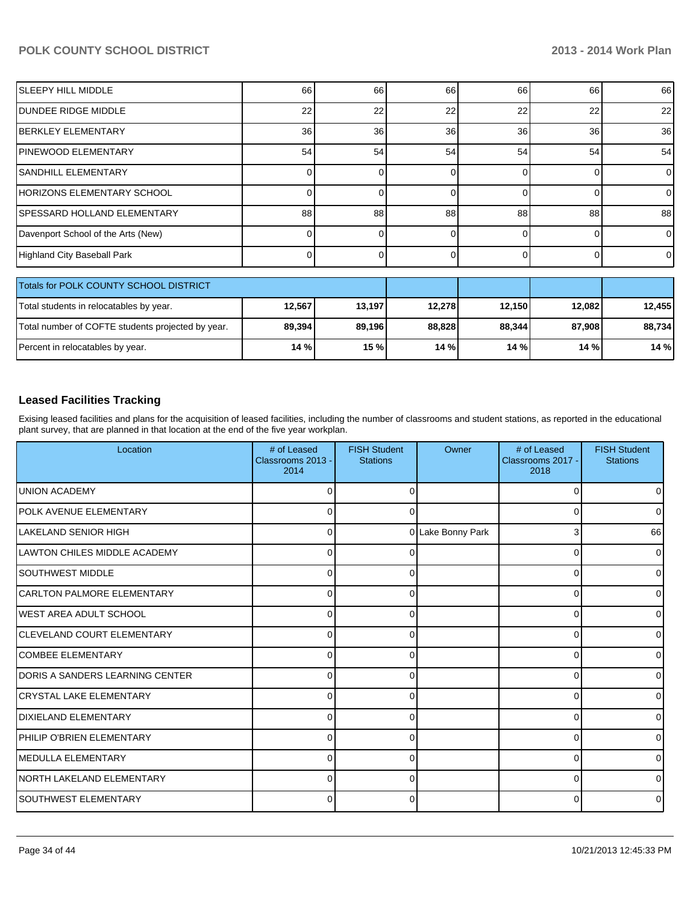| <b>SLEEPY HILL MIDDLE</b>               | 66     | 66     | 66     | 66       | 66     | 66             |  |  |
|-----------------------------------------|--------|--------|--------|----------|--------|----------------|--|--|
| IDUNDEE RIDGE MIDDLE                    | 22     | 22     | 22     | 22       | 22     | 22             |  |  |
| <b>IBERKLEY ELEMENTARY</b>              | 36     | 36     | 36     | 36       | 36     | 36             |  |  |
| IPINEWOOD ELEMENTARY                    | 54     | 54     | 54     | 54       | 54     | 54             |  |  |
| <b>I</b> SANDHILL ELEMENTARY            |        |        | U      | $\Omega$ |        | $\overline{0}$ |  |  |
| IHORIZONS ELEMENTARY SCHOOL             |        |        |        |          |        | $\overline{0}$ |  |  |
| SPESSARD HOLLAND ELEMENTARY             | 88     | 88     | 88     | 88       | 88     | 88             |  |  |
| Davenport School of the Arts (New)      |        |        |        |          |        | $\overline{0}$ |  |  |
| Highland City Baseball Park             |        |        |        |          |        | $\overline{0}$ |  |  |
|                                         |        |        |        |          |        |                |  |  |
| Totals for POLK COUNTY SCHOOL DISTRICT  |        |        |        |          |        |                |  |  |
| Total students in relocatables by year. | 12,567 | 13,197 | 12,278 | 12,150   | 12,082 | 12,455         |  |  |

| Total students in relocatables by year.           | 12,567 | 13,197 | 12.278 | 12.150 | 12.082 | 12,455 |
|---------------------------------------------------|--------|--------|--------|--------|--------|--------|
| Total number of COFTE students projected by year. | 89,394 | 89,196 | 88.828 | 88,344 | 87,908 | 88,734 |
| Percent in relocatables by year.                  | 14 % l | 15 % l | 14%    | 14%    | 14%    | 14%    |

# **Leased Facilities Tracking**

Exising leased facilities and plans for the acquisition of leased facilities, including the number of classrooms and student stations, as reported in the educational plant survey, that are planned in that location at the end of the five year workplan.

| Location                          | # of Leased<br>Classrooms 2013 -<br>2014 | <b>FISH Student</b><br><b>Stations</b> | Owner             | # of Leased<br>Classrooms 2017 -<br>2018 | <b>FISH Student</b><br><b>Stations</b> |
|-----------------------------------|------------------------------------------|----------------------------------------|-------------------|------------------------------------------|----------------------------------------|
| <b>UNION ACADEMY</b>              | U                                        | 0                                      |                   | 0                                        | 01                                     |
| POLK AVENUE ELEMENTARY            | 0                                        | 0                                      |                   | 0                                        | 01                                     |
| LAKELAND SENIOR HIGH              | $\Omega$                                 |                                        | 0 Lake Bonny Park | 3                                        | 66                                     |
| LAWTON CHILES MIDDLE ACADEMY      | $\Omega$                                 | <sup>o</sup>                           |                   | $\Omega$                                 | $\overline{0}$                         |
| <b>SOUTHWEST MIDDLE</b>           | U                                        | $\Omega$                               |                   | O                                        | $\overline{0}$                         |
| <b>CARLTON PALMORE ELEMENTARY</b> | U                                        | $\Omega$                               |                   | $\Omega$                                 | $\overline{0}$                         |
| WEST AREA ADULT SCHOOL            | $\Omega$                                 | ∩                                      |                   | U                                        | $\overline{0}$                         |
| CLEVELAND COURT ELEMENTARY        | U                                        |                                        |                   | 0                                        | $\overline{0}$                         |
| COMBEE ELEMENTARY                 | U                                        |                                        |                   | 0                                        | 0                                      |
| IDORIS A SANDERS LEARNING CENTER  | O                                        |                                        |                   | 0                                        | $\overline{0}$                         |
| ICRYSTAL LAKE ELEMENTARY          | O                                        |                                        |                   | 0                                        | ٥I                                     |
| <b>IDIXIELAND ELEMENTARY</b>      | U                                        | 0                                      |                   | 0                                        | 0                                      |
| PHILIP O'BRIEN ELEMENTARY         | 0                                        | 0                                      |                   | $\Omega$                                 | 0                                      |
| <b>I</b> MEDULLA ELEMENTARY       | 0                                        | 0                                      |                   | $\Omega$                                 | 0                                      |
| INORTH LAKELAND ELEMENTARY        | $\Omega$                                 | 0                                      |                   | 0                                        | 0                                      |
| <b>SOUTHWEST ELEMENTARY</b>       | $\Omega$                                 | $\Omega$                               |                   | 0                                        | 0                                      |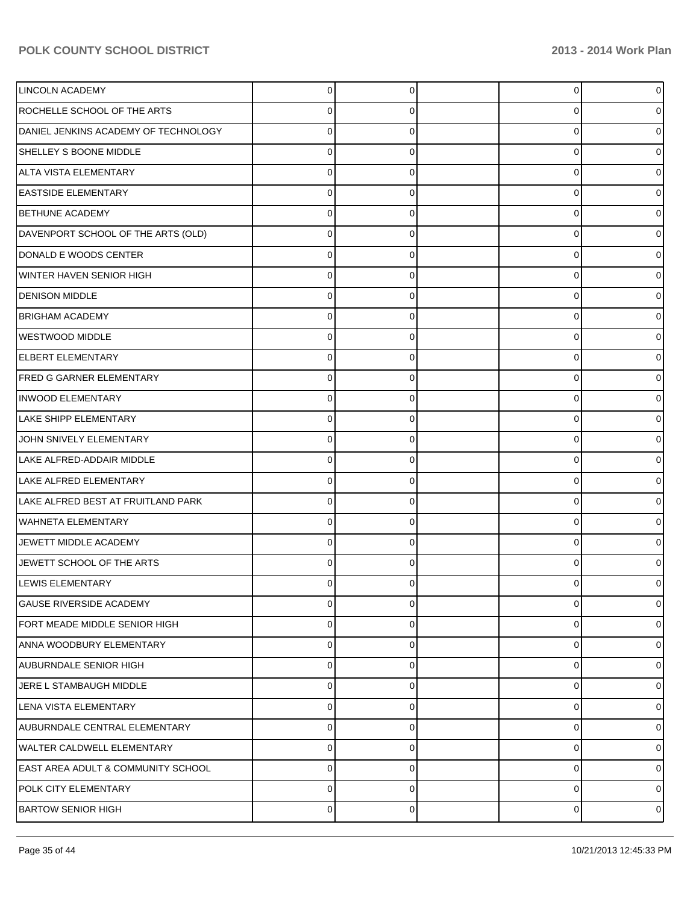| <b>LINCOLN ACADEMY</b>                        | $\Omega$ | $\Omega$    | $\Omega$    | $\overline{0}$ |
|-----------------------------------------------|----------|-------------|-------------|----------------|
| ROCHELLE SCHOOL OF THE ARTS                   | 0        | 0           | 0           | 0              |
| DANIEL JENKINS ACADEMY OF TECHNOLOGY          | 0        |             | $\Omega$    | 0              |
| SHELLEY S BOONE MIDDLE                        | 0        | 0           | $\Omega$    | 0              |
| ALTA VISTA ELEMENTARY                         | 0        |             | $\Omega$    | 0              |
| <b>EASTSIDE ELEMENTARY</b>                    | 0        | 0           | $\Omega$    | 0              |
| <b>BETHUNE ACADEMY</b>                        | 0        |             | $\Omega$    | 0              |
| DAVENPORT SCHOOL OF THE ARTS (OLD)            | 0        | 0           | $\Omega$    | 0              |
| DONALD E WOODS CENTER                         | o        |             | 0           | 0              |
| WINTER HAVEN SENIOR HIGH                      | 0        |             | 0           | 0              |
| <b>DENISON MIDDLE</b>                         | 0        |             | $\Omega$    | 0              |
| <b>BRIGHAM ACADEMY</b>                        | 0        | 0           | $\Omega$    | 0              |
| WESTWOOD MIDDLE                               | o        |             | 0           | 0              |
| <b>ELBERT ELEMENTARY</b>                      | 0        |             | 0           | 0              |
| <b>FRED G GARNER ELEMENTARY</b>               | 0        |             | $\Omega$    | 0              |
| <b>INWOOD ELEMENTARY</b>                      | 0        | 0           | $\Omega$    | 0              |
| LAKE SHIPP ELEMENTARY                         | o        |             | 0           | 0              |
| JOHN SNIVELY ELEMENTARY                       | 0        |             | 0           | 0              |
| LAKE ALFRED-ADDAIR MIDDLE                     | o        |             | $\Omega$    | 0              |
| LAKE ALFRED ELEMENTARY                        | 0        | $\Omega$    | $\Omega$    | 0              |
| LAKE ALFRED BEST AT FRUITLAND PARK            | o        |             | $\Omega$    | 0              |
| <b>WAHNETA ELEMENTARY</b>                     | 0        |             | 0           | 0              |
| JEWETT MIDDLE ACADEMY                         | o        |             | 0           | 0              |
| JEWETT SCHOOL OF THE ARTS                     | 0        |             | $\Omega$    | 0              |
| LEWIS ELEMENTARY                              |          |             | U           | 0              |
| <b>GAUSE RIVERSIDE ACADEMY</b>                | 0        | $\Omega$    | $\mathbf 0$ | $\overline{0}$ |
| FORT MEADE MIDDLE SENIOR HIGH                 | 0        | 0           | 0           | 0              |
| ANNA WOODBURY ELEMENTARY                      | 0        | $\Omega$    | $\mathbf 0$ | $\overline{0}$ |
| AUBURNDALE SENIOR HIGH                        | 0        | 0           | $\mathbf 0$ | $\overline{0}$ |
| JERE L STAMBAUGH MIDDLE                       | 0        | 0           | $\mathbf 0$ | $\overline{0}$ |
| LENA VISTA ELEMENTARY                         | 0        | $\Omega$    | $\mathbf 0$ | 0              |
| AUBURNDALE CENTRAL ELEMENTARY                 | 0        | $\Omega$    | $\mathbf 0$ | $\overline{0}$ |
| <b>WALTER CALDWELL ELEMENTARY</b>             | 0        | $\mathbf 0$ | $\mathbf 0$ | $\overline{0}$ |
| <b>EAST AREA ADULT &amp; COMMUNITY SCHOOL</b> | 0        | 0           | 0           | $\overline{0}$ |
| POLK CITY ELEMENTARY                          | 0        | $\Omega$    | 0           | $\overline{0}$ |
| <b>BARTOW SENIOR HIGH</b>                     | 0        | 0           | 0           | $\circ$        |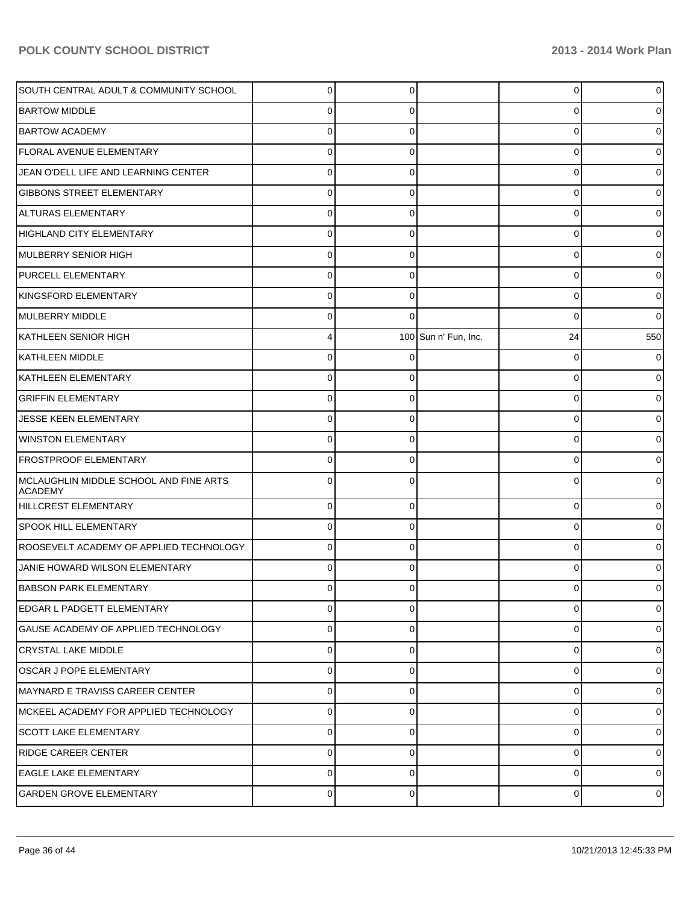| SOUTH CENTRAL ADULT & COMMUNITY SCHOOL                   | 0        | C        |                      | 0  | $\overline{0}$ |
|----------------------------------------------------------|----------|----------|----------------------|----|----------------|
| <b>BARTOW MIDDLE</b>                                     |          |          |                      | 0  | 0              |
| <b>BARTOW ACADEMY</b>                                    |          |          |                      | 0  | 0              |
| <b>FLORAL AVENUE ELEMENTARY</b>                          | U        |          |                      | 0  | 01             |
| JEAN O'DELL LIFE AND LEARNING CENTER                     | U        |          |                      | 0  | 0              |
| <b>GIBBONS STREET ELEMENTARY</b>                         | 0        |          |                      | 0  | 0              |
| ALTURAS ELEMENTARY                                       | U        |          |                      | 0  | 0              |
| HIGHLAND CITY ELEMENTARY                                 | U        |          |                      | 0  | 0              |
| MULBERRY SENIOR HIGH                                     |          |          |                      | 0  | 0              |
| <b>PURCELL ELEMENTARY</b>                                | 0        |          |                      | 0  | 01             |
| KINGSFORD ELEMENTARY                                     | U        |          |                      | 0  | 0              |
| MULBERRY MIDDLE                                          | 0        |          |                      | 0  | 01             |
| KATHLEEN SENIOR HIGH                                     |          |          | 100 Sun n' Fun, Inc. | 24 | 550            |
| KATHLEEN MIDDLE                                          | 0        |          |                      | 0  | 01             |
| KATHLEEN ELEMENTARY                                      | U        |          |                      | 0  | 0              |
| <b>GRIFFIN ELEMENTARY</b>                                | U        |          |                      | 0  | 01             |
| JESSE KEEN ELEMENTARY                                    |          |          |                      | 0  | 0              |
| <b>WINSTON ELEMENTARY</b>                                | 0        |          |                      | 0  | 0              |
| <b>FROSTPROOF ELEMENTARY</b>                             | U        |          |                      | 0  | 01             |
| MCLAUGHLIN MIDDLE SCHOOL AND FINE ARTS<br><b>ACADEMY</b> | 0        |          |                      | 0  | 0              |
| HILLCREST ELEMENTARY                                     | $\Omega$ | $\Omega$ |                      | 0  | 0              |
| <b>SPOOK HILL ELEMENTARY</b>                             | 0        | C        |                      | 0  | 0              |
| ROOSEVELT ACADEMY OF APPLIED TECHNOLOGY                  | 0        | $\Omega$ |                      | 0  | 0              |
| JANIE HOWARD WILSON ELEMENTARY                           | ⋂        |          |                      | 0  | 0              |
| <b>BABSON PARK ELEMENTARY</b>                            | $\Omega$ | $\Omega$ |                      | 0  | 01             |
| <b>EDGAR L PADGETT ELEMENTARY</b>                        | 0        | ∩        |                      | 0  | 0              |
| GAUSE ACADEMY OF APPLIED TECHNOLOGY                      | 0        | $\Omega$ |                      | 0  | 0              |
| <b>CRYSTAL LAKE MIDDLE</b>                               | 0        | $\Omega$ |                      | 0  | 01             |
| <b>OSCAR J POPE ELEMENTARY</b>                           | 0        | U        |                      | 0  | 0              |
| IMAYNARD E TRAVISS CAREER CENTER                         | 0        | $\Omega$ |                      | 0  | 01             |
| MCKEEL ACADEMY FOR APPLIED TECHNOLOGY                    | 0        | C        |                      | 0  | 0              |
| <b>SCOTT LAKE ELEMENTARY</b>                             | 0        | $\Omega$ |                      | 0  | 01             |
| <b>RIDGE CAREER CENTER</b>                               | $\Omega$ | C        |                      | 0  | 0              |
| <b>EAGLE LAKE ELEMENTARY</b>                             | 0        | $\Omega$ |                      | 0  | $\overline{0}$ |
| <b>GARDEN GROVE ELEMENTARY</b>                           | 0        | $\Omega$ |                      | 0  | $\overline{0}$ |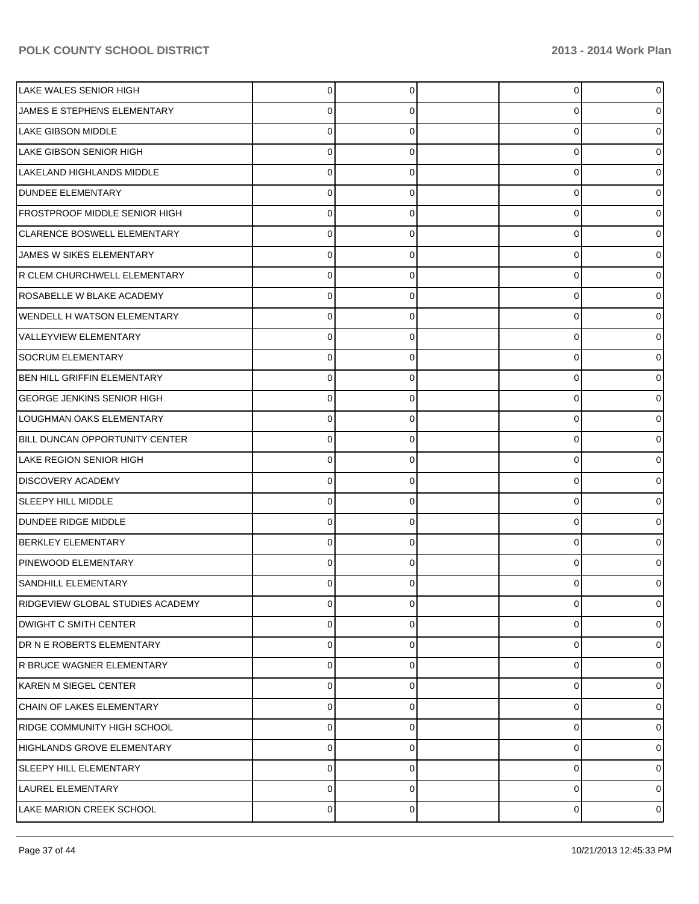| LAKE WALES SENIOR HIGH            | 0 | 0 | 0           |   |
|-----------------------------------|---|---|-------------|---|
| JAMES E STEPHENS ELEMENTARY       | 0 | 0 | 0           |   |
| LAKE GIBSON MIDDLE                |   | 0 | 0           |   |
| <b>LAKE GIBSON SENIOR HIGH</b>    | 0 | 0 | 0           |   |
| LAKELAND HIGHLANDS MIDDLE         |   | 0 | 0           |   |
| <b>DUNDEE ELEMENTARY</b>          | 0 | 0 | 0           |   |
| FROSTPROOF MIDDLE SENIOR HIGH     |   | 0 | 0           |   |
| CLARENCE BOSWELL ELEMENTARY       | 0 | 0 | 0           |   |
| JAMES W SIKES ELEMENTARY          |   | 0 | 0           |   |
| R CLEM CHURCHWELL ELEMENTARY      | 0 | 0 | 0           |   |
| ROSABELLE W BLAKE ACADEMY         | U | 0 | 0           |   |
| WENDELL H WATSON ELEMENTARY       | 0 | 0 | 0           |   |
| <b>VALLEYVIEW ELEMENTARY</b>      |   | 0 | 0           |   |
| <b>SOCRUM ELEMENTARY</b>          | 0 | 0 | 0           |   |
| BEN HILL GRIFFIN ELEMENTARY       | U | 0 | 0           |   |
| <b>GEORGE JENKINS SENIOR HIGH</b> | 0 | 0 | 0           |   |
| LOUGHMAN OAKS ELEMENTARY          |   | 0 | 0           |   |
| BILL DUNCAN OPPORTUNITY CENTER    | 0 | 0 | 0           |   |
| <b>LAKE REGION SENIOR HIGH</b>    | U | 0 | 0           |   |
| <b>DISCOVERY ACADEMY</b>          | 0 | 0 | 0           |   |
| SLEEPY HILL MIDDLE                |   | 0 | 0           |   |
| DUNDEE RIDGE MIDDLE               | 0 | 0 | 0           |   |
| <b>BERKLEY ELEMENTARY</b>         | 0 | 0 | 0           |   |
| PINEWOOD ELEMENTARY               | 0 | 0 | 0           |   |
| SANDHILL ELEMENTARY               |   | 0 | 0           |   |
| RIDGEVIEW GLOBAL STUDIES ACADEMY  | 0 | 0 | 0           |   |
| <b>DWIGHT C SMITH CENTER</b>      | 0 | 0 | 0           |   |
| DR N E ROBERTS ELEMENTARY         | 0 | 0 | $\mathbf 0$ |   |
| R BRUCE WAGNER ELEMENTARY         | 0 | 0 | 0           |   |
| KAREN M SIEGEL CENTER             | 0 | 0 | $\mathbf 0$ |   |
| CHAIN OF LAKES ELEMENTARY         | 0 | 0 | 0           |   |
| RIDGE COMMUNITY HIGH SCHOOL       | 0 | 0 | 0           |   |
| HIGHLANDS GROVE ELEMENTARY        | 0 | 0 | 0           |   |
| <b>SLEEPY HILL ELEMENTARY</b>     | 0 | 0 | 0           |   |
| LAUREL ELEMENTARY                 | 0 | 0 | 0           |   |
| LAKE MARION CREEK SCHOOL          | 0 | 0 | 0           | 0 |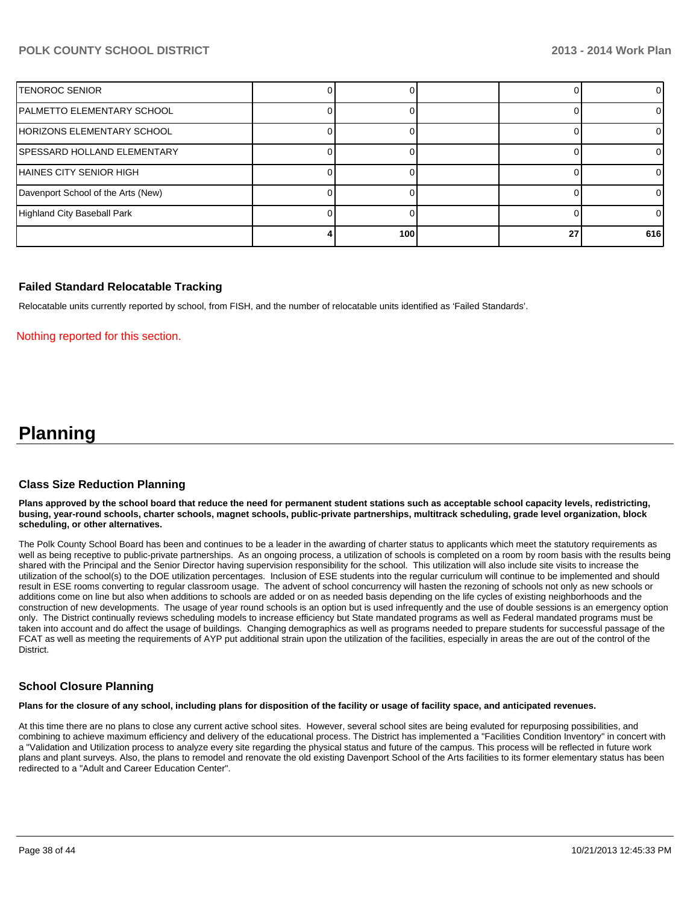|                                    | 100 | 27 | 616 |
|------------------------------------|-----|----|-----|
| Highland City Baseball Park        |     |    |     |
| Davenport School of the Arts (New) |     |    |     |
| HAINES CITY SENIOR HIGH            |     |    |     |
| SPESSARD HOLLAND ELEMENTARY        |     |    |     |
| HORIZONS ELEMENTARY SCHOOL         |     |    |     |
| PALMETTO ELEMENTARY SCHOOL         |     |    |     |
| ITENOROC SENIOR                    |     |    |     |

#### **Failed Standard Relocatable Tracking**

Relocatable units currently reported by school, from FISH, and the number of relocatable units identified as 'Failed Standards'.

#### Nothing reported for this section.

# **Planning**

### **Class Size Reduction Planning**

**Plans approved by the school board that reduce the need for permanent student stations such as acceptable school capacity levels, redistricting, busing, year-round schools, charter schools, magnet schools, public-private partnerships, multitrack scheduling, grade level organization, block scheduling, or other alternatives.**

The Polk County School Board has been and continues to be a leader in the awarding of charter status to applicants which meet the statutory requirements as well as being receptive to public-private partnerships. As an ongoing process, a utilization of schools is completed on a room by room basis with the results being shared with the Principal and the Senior Director having supervision responsibility for the school. This utilization will also include site visits to increase the utilization of the school(s) to the DOE utilization percentages. Inclusion of ESE students into the regular curriculum will continue to be implemented and should result in ESE rooms converting to regular classroom usage. The advent of school concurrency will hasten the rezoning of schools not only as new schools or additions come on line but also when additions to schools are added or on as needed basis depending on the life cycles of existing neighborhoods and the construction of new developments. The usage of year round schools is an option but is used infrequently and the use of double sessions is an emergency option only. The District continually reviews scheduling models to increase efficiency but State mandated programs as well as Federal mandated programs must be taken into account and do affect the usage of buildings. Changing demographics as well as programs needed to prepare students for successful passage of the FCAT as well as meeting the requirements of AYP put additional strain upon the utilization of the facilities, especially in areas the are out of the control of the **District** 

#### **School Closure Planning**

**Plans for the closure of any school, including plans for disposition of the facility or usage of facility space, and anticipated revenues.**

At this time there are no plans to close any current active school sites. However, several school sites are being evaluted for repurposing possibilities, and combining to achieve maximum efficiency and delivery of the educational process. The District has implemented a "Facilities Condition Inventory" in concert with a "Validation and Utilization process to analyze every site regarding the physical status and future of the campus. This process will be reflected in future work plans and plant surveys. Also, the plans to remodel and renovate the old existing Davenport School of the Arts facilities to its former elementary status has been redirected to a "Adult and Career Education Center".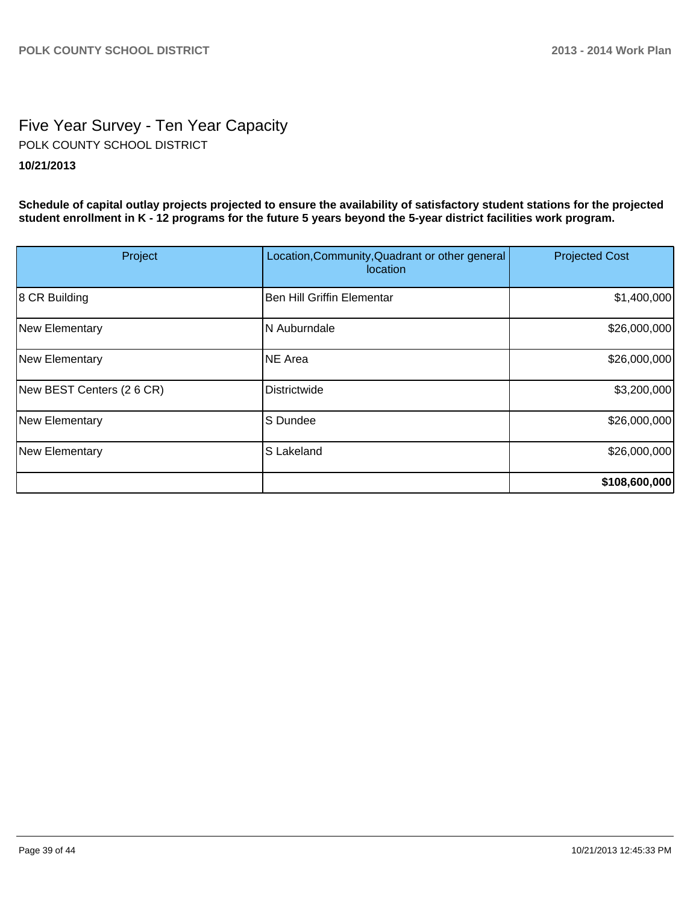# Five Year Survey - Ten Year Capacity **10/21/2013** POLK COUNTY SCHOOL DISTRICT

**Schedule of capital outlay projects projected to ensure the availability of satisfactory student stations for the projected student enrollment in K - 12 programs for the future 5 years beyond the 5-year district facilities work program.**

| Project                   | Location, Community, Quadrant or other general<br><i>location</i> | <b>Projected Cost</b> |
|---------------------------|-------------------------------------------------------------------|-----------------------|
| 8 CR Building             | Ben Hill Griffin Elementar                                        | \$1,400,000           |
| New Elementary            | <b>N</b> Auburndale                                               | \$26,000,000          |
| New Elementary            | <b>INE Area</b>                                                   | \$26,000,000          |
| New BEST Centers (2 6 CR) | Districtwide                                                      | \$3,200,000           |
| New Elementary            | S Dundee                                                          | \$26,000,000          |
| New Elementary            | S Lakeland                                                        | \$26,000,000          |
|                           |                                                                   | \$108,600,000         |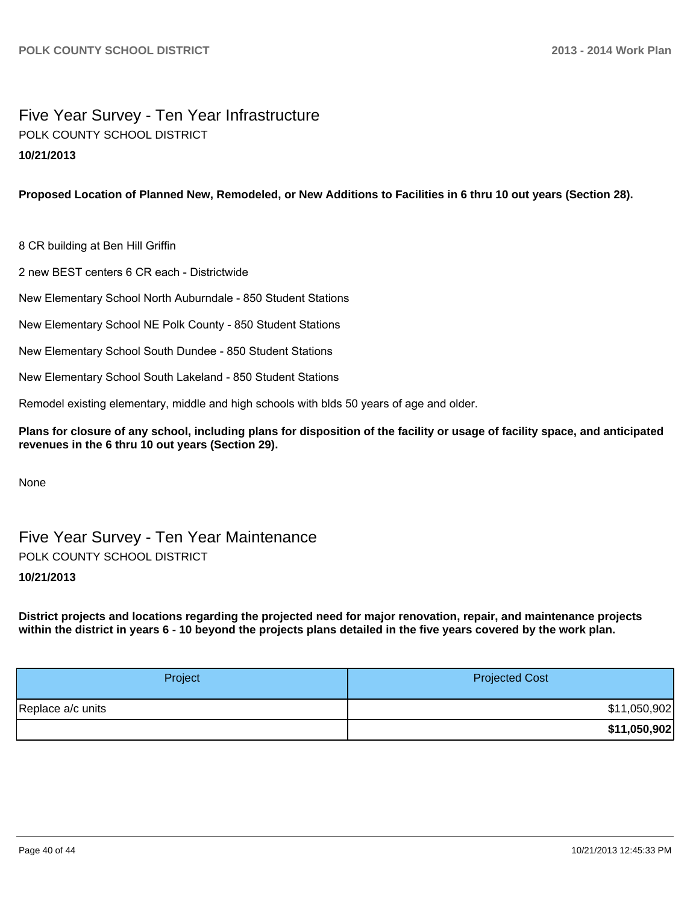# Five Year Survey - Ten Year Infrastructure **10/21/2013** POLK COUNTY SCHOOL DISTRICT

# **Proposed Location of Planned New, Remodeled, or New Additions to Facilities in 6 thru 10 out years (Section 28).**

8 CR building at Ben Hill Griffin

2 new BEST centers 6 CR each - Districtwide

New Elementary School North Auburndale - 850 Student Stations

New Elementary School NE Polk County - 850 Student Stations

New Elementary School South Dundee - 850 Student Stations

New Elementary School South Lakeland - 850 Student Stations

Remodel existing elementary, middle and high schools with blds 50 years of age and older.

**Plans for closure of any school, including plans for disposition of the facility or usage of facility space, and anticipated revenues in the 6 thru 10 out years (Section 29).**

None

Five Year Survey - Ten Year Maintenance POLK COUNTY SCHOOL DISTRICT

# **10/21/2013**

**District projects and locations regarding the projected need for major renovation, repair, and maintenance projects within the district in years 6 - 10 beyond the projects plans detailed in the five years covered by the work plan.**

| Project           | <b>Projected Cost</b> |
|-------------------|-----------------------|
| Replace a/c units | \$11,050,902          |
|                   | \$11,050,902          |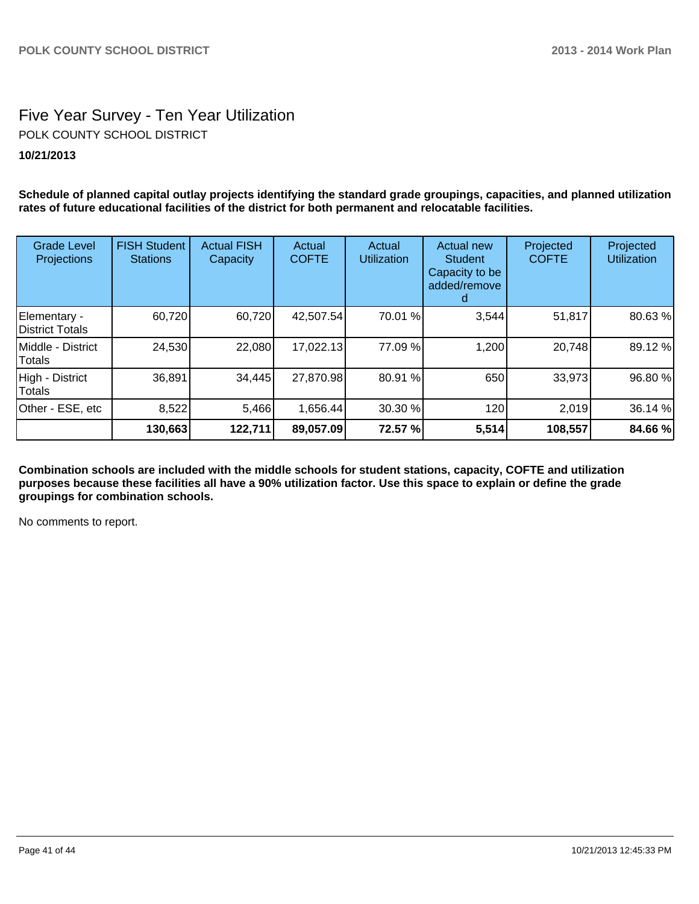# Five Year Survey - Ten Year Utilization **10/21/2013** POLK COUNTY SCHOOL DISTRICT

**Schedule of planned capital outlay projects identifying the standard grade groupings, capacities, and planned utilization rates of future educational facilities of the district for both permanent and relocatable facilities.**

| <b>Grade Level</b><br>Projections      | <b>FISH Student</b><br><b>Stations</b> | <b>Actual FISH</b><br>Capacity | Actual<br><b>COFTE</b> | Actual<br><b>Utilization</b> | <b>Actual new</b><br><b>Student</b><br>Capacity to be<br>added/remove<br>a. | Projected<br><b>COFTE</b> | Projected<br><b>Utilization</b> |
|----------------------------------------|----------------------------------------|--------------------------------|------------------------|------------------------------|-----------------------------------------------------------------------------|---------------------------|---------------------------------|
| Elementary -<br><b>District Totals</b> | 60,720                                 | 60,720                         | 42,507.54              | 70.01 %                      | 3,544                                                                       | 51,817                    | 80.63%                          |
| Middle - District<br>Totals            | 24,530                                 | 22,080                         | 17,022.13              | 77.09 %                      | 1,200                                                                       | 20,748                    | 89.12 %                         |
| High - District<br>Totals              | 36,891                                 | 34,445                         | 27,870.98              | 80.91 %                      | 650                                                                         | 33,973                    | 96.80 %                         |
| Other - ESE, etc                       | 8,522                                  | 5,466                          | 1,656.44               | 30.30 %                      | 120                                                                         | 2,019                     | 36.14 %                         |
|                                        | 130,663                                | 122,711                        | 89,057.09              | 72.57 %                      | 5,514                                                                       | 108,557                   | 84.66 %                         |

**Combination schools are included with the middle schools for student stations, capacity, COFTE and utilization purposes because these facilities all have a 90% utilization factor. Use this space to explain or define the grade groupings for combination schools.**

No comments to report.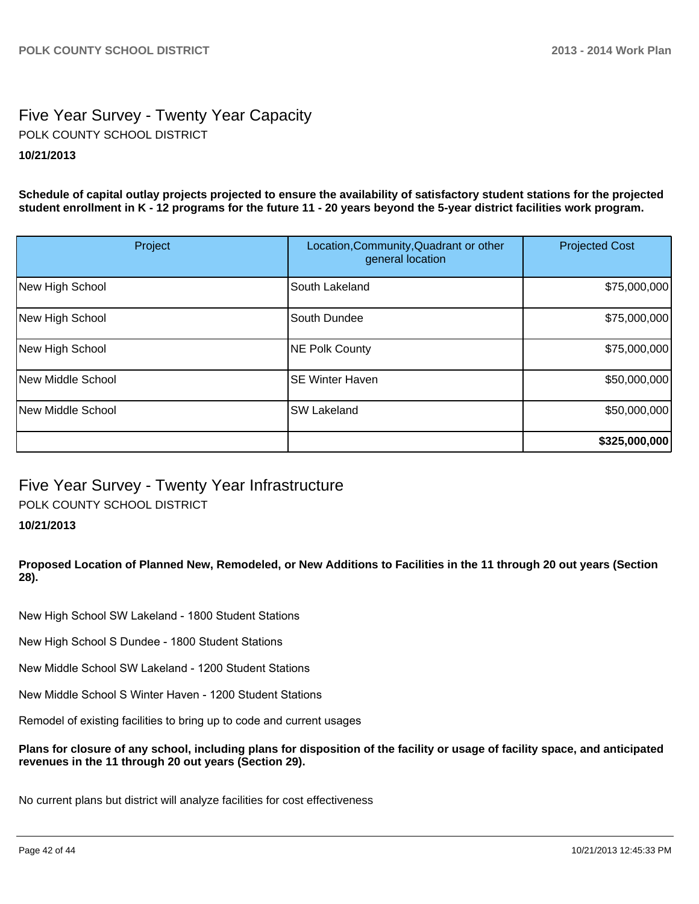# Five Year Survey - Twenty Year Capacity **10/21/2013** POLK COUNTY SCHOOL DISTRICT

**Schedule of capital outlay projects projected to ensure the availability of satisfactory student stations for the projected student enrollment in K - 12 programs for the future 11 - 20 years beyond the 5-year district facilities work program.**

| Project           | Location, Community, Quadrant or other<br>general location | <b>Projected Cost</b> |
|-------------------|------------------------------------------------------------|-----------------------|
| New High School   | South Lakeland                                             | \$75,000,000          |
| New High School   | South Dundee                                               | \$75,000,000          |
| New High School   | NE Polk County                                             | \$75,000,000          |
| New Middle School | <b>SE Winter Haven</b>                                     | \$50,000,000          |
| New Middle School | <b>SW Lakeland</b>                                         | \$50,000,000          |
|                   |                                                            | \$325,000,000         |

# Five Year Survey - Twenty Year Infrastructure POLK COUNTY SCHOOL DISTRICT

# **10/21/2013**

# **Proposed Location of Planned New, Remodeled, or New Additions to Facilities in the 11 through 20 out years (Section 28).**

New High School SW Lakeland - 1800 Student Stations

New High School S Dundee - 1800 Student Stations

New Middle School SW Lakeland - 1200 Student Stations

New Middle School S Winter Haven - 1200 Student Stations

Remodel of existing facilities to bring up to code and current usages

**Plans for closure of any school, including plans for disposition of the facility or usage of facility space, and anticipated revenues in the 11 through 20 out years (Section 29).**

No current plans but district will analyze facilities for cost effectiveness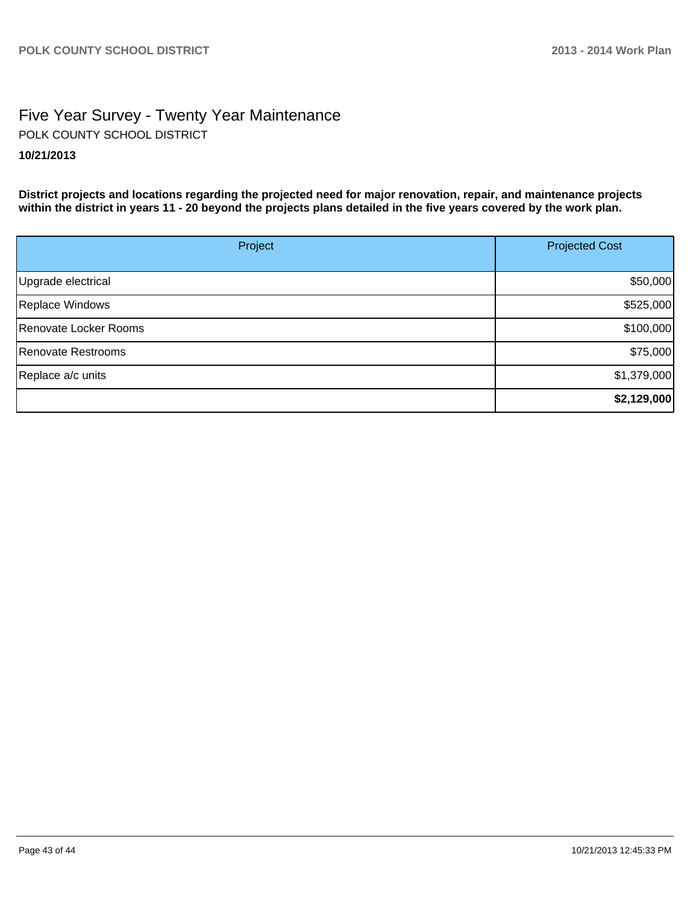# Five Year Survey - Twenty Year Maintenance **10/21/2013** POLK COUNTY SCHOOL DISTRICT

**District projects and locations regarding the projected need for major renovation, repair, and maintenance projects within the district in years 11 - 20 beyond the projects plans detailed in the five years covered by the work plan.**

| Project               | <b>Projected Cost</b> |  |
|-----------------------|-----------------------|--|
|                       |                       |  |
| Upgrade electrical    | \$50,000              |  |
| Replace Windows       | \$525,000             |  |
| Renovate Locker Rooms | \$100,000             |  |
| Renovate Restrooms    | \$75,000              |  |
| Replace a/c units     | \$1,379,000           |  |
|                       | \$2,129,000           |  |